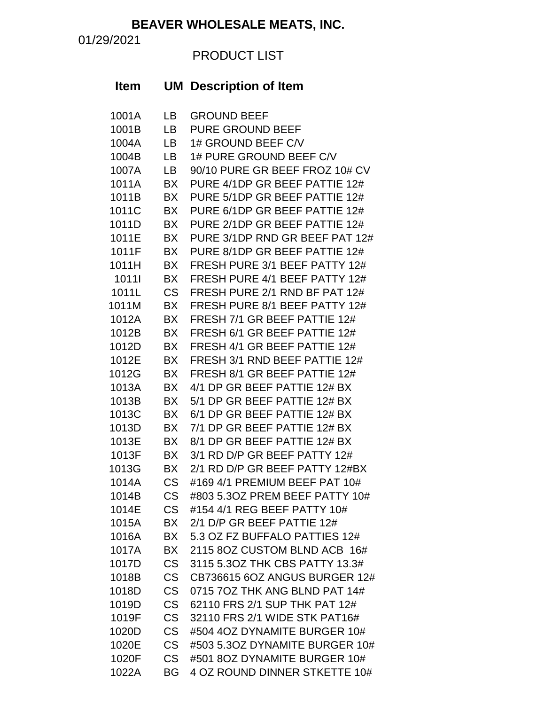**BEAVER WHOLESALE MEATS, INC.**

01/29/2021

## PRODUCT LIST

| <b>Item</b> |           | <b>UM</b> Description of Item  |
|-------------|-----------|--------------------------------|
| 1001A       | LB.       | <b>GROUND BEEF</b>             |
| 1001B       | LB.       | <b>PURE GROUND BEEF</b>        |
| 1004A       | LВ        | 1# GROUND BEEF C/V             |
| 1004B       | <b>LB</b> | 1# PURE GROUND BEEF C/V        |
| 1007A       | LВ        | 90/10 PURE GR BEEF FROZ 10# CV |
| 1011A       | <b>BX</b> | PURE 4/1DP GR BEEF PATTIE 12#  |
| 1011B       | <b>BX</b> | PURE 5/1DP GR BEEF PATTIE 12#  |
| 1011C       | <b>BX</b> | PURE 6/1DP GR BEEF PATTIE 12#  |
| 1011D       | <b>BX</b> | PURE 2/1DP GR BEEF PATTIE 12#  |
| 1011E       | <b>BX</b> | PURE 3/1DP RND GR BEEF PAT 12# |
| 1011F       | <b>BX</b> | PURE 8/1DP GR BEEF PATTIE 12#  |
| 1011H       | <b>BX</b> | FRESH PURE 3/1 BEEF PATTY 12#  |
| 10111       | <b>BX</b> | FRESH PURE 4/1 BEEF PATTY 12#  |
| 1011L       | <b>CS</b> | FRESH PURE 2/1 RND BF PAT 12#  |
| 1011M       | <b>BX</b> | FRESH PURE 8/1 BEEF PATTY 12#  |
| 1012A       | <b>BX</b> | FRESH 7/1 GR BEEF PATTIE 12#   |
| 1012B       | <b>BX</b> | FRESH 6/1 GR BEEF PATTIE 12#   |
| 1012D       | <b>BX</b> | FRESH 4/1 GR BEEF PATTIE 12#   |
| 1012E       | <b>BX</b> | FRESH 3/1 RND BEEF PATTIE 12#  |
| 1012G       | <b>BX</b> | FRESH 8/1 GR BEEF PATTIE 12#   |
| 1013A       | <b>BX</b> | 4/1 DP GR BEEF PATTIE 12# BX   |
| 1013B       | <b>BX</b> | 5/1 DP GR BEEF PATTIE 12# BX   |
| 1013C       | <b>BX</b> | 6/1 DP GR BEEF PATTIE 12# BX   |
| 1013D       | <b>BX</b> | 7/1 DP GR BEEF PATTIE 12# BX   |
| 1013E       | <b>BX</b> | 8/1 DP GR BEEF PATTIE 12# BX   |
| 1013F       | <b>BX</b> | 3/1 RD D/P GR BEEF PATTY 12#   |
| 1013G       | BX        | 2/1 RD D/P GR BEEF PATTY 12#BX |
| 1014A       | <b>CS</b> | #169 4/1 PREMIUM BEEF PAT 10#  |
| 1014B       | <b>CS</b> | #803 5.3OZ PREM BEEF PATTY 10# |
| 1014E       | <b>CS</b> | #154 4/1 REG BEEF PATTY 10#    |
| 1015A       | BX        | 2/1 D/P GR BEEF PATTIE 12#     |
| 1016A       | BX        | 5.3 OZ FZ BUFFALO PATTIES 12#  |
| 1017A       | BX        | 2115 8OZ CUSTOM BLND ACB 16#   |
| 1017D       | <b>CS</b> | 3115 5.30Z THK CBS PATTY 13.3# |
| 1018B       | <b>CS</b> | CB736615 6OZ ANGUS BURGER 12#  |
| 1018D       | <b>CS</b> | 0715 7OZ THK ANG BLND PAT 14#  |
| 1019D       | <b>CS</b> | 62110 FRS 2/1 SUP THK PAT 12#  |
| 1019F       | <b>CS</b> | 32110 FRS 2/1 WIDE STK PAT16#  |
| 1020D       | <b>CS</b> | #504 4OZ DYNAMITE BURGER 10#   |
| 1020E       | <b>CS</b> | #503 5.3OZ DYNAMITE BURGER 10# |
| 1020F       | <b>CS</b> | #501 8OZ DYNAMITE BURGER 10#   |
| 1022A       | BG        | 4 OZ ROUND DINNER STKETTE 10#  |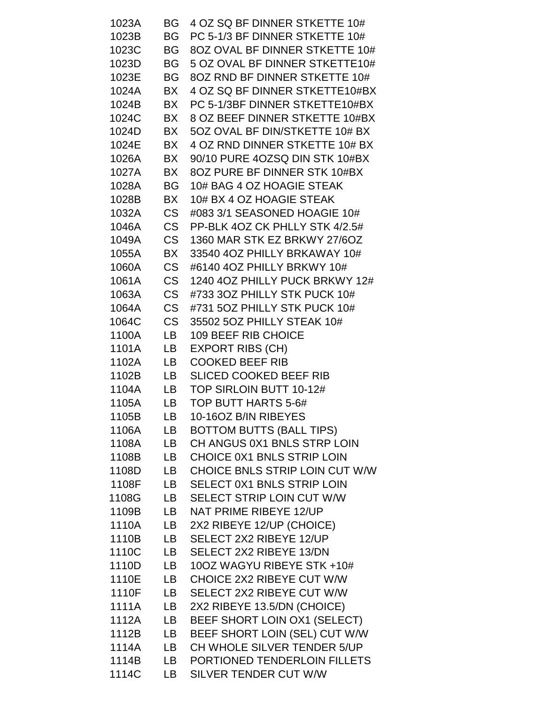| 1023A          | BG        | 4 OZ SQ BF DINNER STKETTE 10#                                |
|----------------|-----------|--------------------------------------------------------------|
| 1023B          | BG        | PC 5-1/3 BF DINNER STKETTE 10#                               |
| 1023C          | BG        | 8OZ OVAL BF DINNER STKETTE 10#                               |
| 1023D          | BG        | 5 OZ OVAL BF DINNER STKETTE10#                               |
| 1023E          | BG.       | 8OZ RND BF DINNER STKETTE 10#                                |
| 1024A          | BX        | 4 OZ SQ BF DINNER STKETTE10#BX                               |
| 1024B          | BX        | PC 5-1/3BF DINNER STKETTE10#BX                               |
| 1024C          | BX        | 8 OZ BEEF DINNER STKETTE 10#BX                               |
| 1024D          | BX        | 5OZ OVAL BF DIN/STKETTE 10# BX                               |
| 1024E          | BX        | 4 OZ RND DINNER STKETTE 10# BX                               |
| 1026A          | BX        | 90/10 PURE 4OZSQ DIN STK 10#BX                               |
| 1027A          | BX        | 8OZ PURE BF DINNER STK 10#BX                                 |
| 1028A          | BG        | 10# BAG 4 OZ HOAGIE STEAK                                    |
| 1028B          | BX        | 10# BX 4 OZ HOAGIE STEAK                                     |
| 1032A          | <b>CS</b> | #083 3/1 SEASONED HOAGIE 10#                                 |
| 1046A          | CS        | PP-BLK 4OZ CK PHLLY STK 4/2.5#                               |
| 1049A          | <b>CS</b> | 1360 MAR STK EZ BRKWY 27/6OZ                                 |
| 1055A          | BX        | 33540 4OZ PHILLY BRKAWAY 10#                                 |
| 1060A          | <b>CS</b> | #6140 4OZ PHILLY BRKWY 10#                                   |
| 1061A          | <b>CS</b> | 1240 4OZ PHILLY PUCK BRKWY 12#                               |
| 1063A          | <b>CS</b> | #733 3OZ PHILLY STK PUCK 10#                                 |
| 1064A          | <b>CS</b> | #731 5OZ PHILLY STK PUCK 10#                                 |
| 1064C          | <b>CS</b> | 35502 5OZ PHILLY STEAK 10#                                   |
| 1100A          | LB        | <b>109 BEEF RIB CHOICE</b>                                   |
| 1101A          | LB        | <b>EXPORT RIBS (CH)</b>                                      |
| 1102A          | LB        | <b>COOKED BEEF RIB</b>                                       |
| 1102B          | LB.       | <b>SLICED COOKED BEEF RIB</b>                                |
| 1104A          | LB.       | TOP SIRLOIN BUTT 10-12#                                      |
| 1105A          | LB.       | TOP BUTT HARTS 5-6#                                          |
| 1105B          | LB        | 10-16OZ B/IN RIBEYES                                         |
| 1106A          | LB        | <b>BOTTOM BUTTS (BALL TIPS)</b>                              |
| 1108A          | LB        | CH ANGUS 0X1 BNLS STRP LOIN                                  |
| 1108B          | LB        | CHOICE 0X1 BNLS STRIP LOIN                                   |
| 1108D          | LB        | CHOICE BNLS STRIP LOIN CUT W/W                               |
| 1108F          | LB        | SELECT 0X1 BNLS STRIP LOIN                                   |
| 1108G          | LB        | SELECT STRIP LOIN CUT W/W                                    |
| 1109B          | LB        | <b>NAT PRIME RIBEYE 12/UP</b>                                |
| 1110A          | LB        | 2X2 RIBEYE 12/UP (CHOICE)                                    |
| 1110B          | LB        | SELECT 2X2 RIBEYE 12/UP                                      |
| 1110C          | LB        | SELECT 2X2 RIBEYE 13/DN                                      |
| 1110D          | LB        | 10OZ WAGYU RIBEYE STK +10#                                   |
| 1110E          | LB        | CHOICE 2X2 RIBEYE CUT W/W                                    |
| 1110F          | LB        | SELECT 2X2 RIBEYE CUT W/W                                    |
| 1111A          | LB        | 2X2 RIBEYE 13.5/DN (CHOICE)                                  |
| 1112A<br>1112B | LB        | BEEF SHORT LOIN OX1 (SELECT)                                 |
| 1114A          | LB<br>LB  | BEEF SHORT LOIN (SEL) CUT W/W<br>CH WHOLE SILVER TENDER 5/UP |
| 1114B          |           |                                                              |
| 1114C          | LB        | PORTIONED TENDERLOIN FILLETS                                 |
|                | LB        | SILVER TENDER CUT W/W                                        |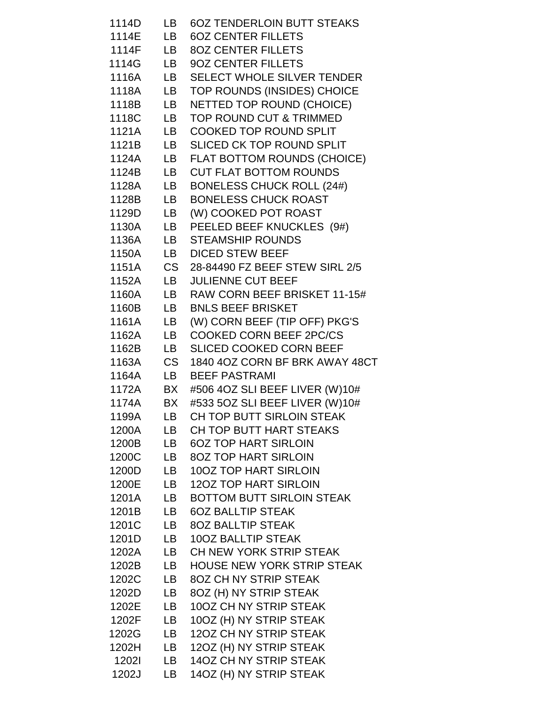| 1114D        | LB   | <b>6OZ TENDERLOIN BUTT STEAKS</b> |
|--------------|------|-----------------------------------|
| 1114E        | LB.  | <b>6OZ CENTER FILLETS</b>         |
| 1114F        |      | LB 80Z CENTER FILLETS             |
| 1114G        | LB — | 90Z CENTER FILLETS                |
| 1116A        |      | LB SELECT WHOLE SILVER TENDER     |
| 1118A        | LB   | TOP ROUNDS (INSIDES) CHOICE       |
| 1118B        | LB   | NETTED TOP ROUND (CHOICE)         |
| 1118C        | LB   | TOP ROUND CUT & TRIMMED           |
| 1121A        |      | LB COOKED TOP ROUND SPLIT         |
| 1121B        | LB   | SLICED CK TOP ROUND SPLIT         |
| 1124A        |      | LB FLAT BOTTOM ROUNDS (CHOICE)    |
| 1124B        | LB   | <b>CUT FLAT BOTTOM ROUNDS</b>     |
| 1128A        | LB   | <b>BONELESS CHUCK ROLL (24#)</b>  |
| 1128B        | LB — | <b>BONELESS CHUCK ROAST</b>       |
| 1129D        | LB   | (W) COOKED POT ROAST              |
| 1130A        |      | LB PEELED BEEF KNUCKLES (9#)      |
| 1136A        | LB — | <b>STEAMSHIP ROUNDS</b>           |
| 1150A        |      | LB DICED STEW BEEF                |
| 1151A        |      | CS 28-84490 FZ BEEF STEW SIRL 2/5 |
| 1152A        | LB   | <b>JULIENNE CUT BEEF</b>          |
| 1160A        |      | LB RAW CORN BEEF BRISKET 11-15#   |
| 1160B        |      | LB BNLS BEEF BRISKET              |
| 1161A        |      | LB (W) CORN BEEF (TIP OFF) PKG'S  |
| 1162A        |      | LB COOKED CORN BEEF 2PC/CS        |
| 1162B        | LB — | <b>SLICED COOKED CORN BEEF</b>    |
| 1163A        |      | CS 1840 4OZ CORN BF BRK AWAY 48CT |
| 1164A        |      | LB BEEF PASTRAMI                  |
| 1172A        |      | BX #506 4OZ SLI BEEF LIVER (W)10# |
| 1174A        |      | BX #533 5OZ SLI BEEF LIVER (W)10# |
| 1199A        | LB   | CH TOP BUTT SIRLOIN STEAK         |
| 1200A        | LB   | CH TOP BUTT HART STEAKS           |
| 1200B        | LB   | <b>6OZ TOP HART SIRLOIN</b>       |
| 1200C        | LB   | <b>80Z TOP HART SIRLOIN</b>       |
| 1200D        | LB   | <b>100Z TOP HART SIRLOIN</b>      |
| 1200E        | LB   | <b>120Z TOP HART SIRLOIN</b>      |
| 1201A        | LB   | <b>BOTTOM BUTT SIRLOIN STEAK</b>  |
| 1201B        | LB   | <b>6OZ BALLTIP STEAK</b>          |
| 1201C        | LB   | <b>8OZ BALLTIP STEAK</b>          |
| 1201D        | LB   | <b>10OZ BALLTIP STEAK</b>         |
| 1202A        | LB   | CH NEW YORK STRIP STEAK           |
| 1202B        | LB   | HOUSE NEW YORK STRIP STEAK        |
| 1202C        | LB   | 80Z CH NY STRIP STEAK             |
| 1202D        | LB.  | 8OZ (H) NY STRIP STEAK            |
| 1202E        | LB   | 10OZ CH NY STRIP STEAK            |
| 1202F        | LB.  | 10OZ (H) NY STRIP STEAK           |
| 1202G        | LB   | 120Z CH NY STRIP STEAK            |
| 1202H        | LB   | 120Z (H) NY STRIP STEAK           |
| <b>12021</b> | LB   | 14OZ CH NY STRIP STEAK            |
| 1202J        | LB.  | 14OZ (H) NY STRIP STEAK           |
|              |      |                                   |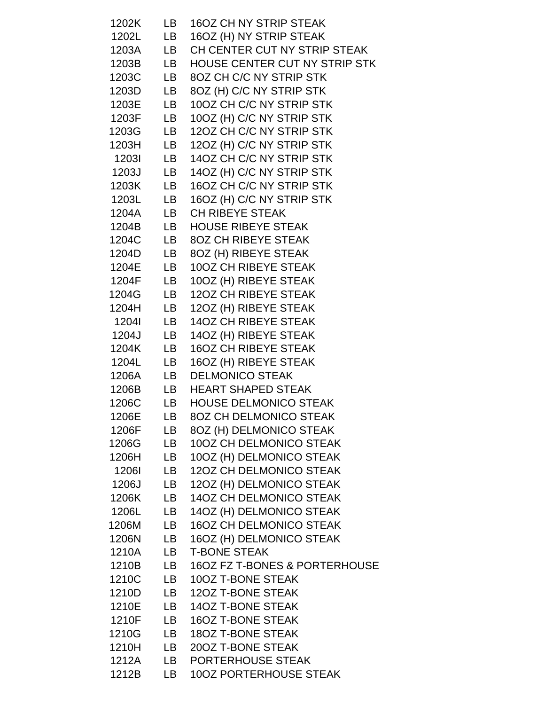| 1202K | LB        | <b>16OZ CH NY STRIP STEAK</b>        |
|-------|-----------|--------------------------------------|
| 1202L | LB        | 16OZ (H) NY STRIP STEAK              |
| 1203A | LB.       | CH CENTER CUT NY STRIP STEAK         |
| 1203B | LB -      | <b>HOUSE CENTER CUT NY STRIP STK</b> |
| 1203C | LB        | 8OZ CH C/C NY STRIP STK              |
| 1203D | LB        | 8OZ (H) C/C NY STRIP STK             |
| 1203E | LB        | 10OZ CH C/C NY STRIP STK             |
| 1203F | LB.       | 10OZ (H) C/C NY STRIP STK            |
| 1203G | LB        | 120Z CH C/C NY STRIP STK             |
| 1203H | LB        | 12OZ (H) C/C NY STRIP STK            |
| 12031 | LB        | 14OZ CH C/C NY STRIP STK             |
| 1203J | LB        | 14OZ (H) C/C NY STRIP STK            |
| 1203K | LB.       | 16OZ CH C/C NY STRIP STK             |
| 1203L | LB.       | 16OZ (H) C/C NY STRIP STK            |
| 1204A | LB        | <b>CH RIBEYE STEAK</b>               |
| 1204B | LB        | <b>HOUSE RIBEYE STEAK</b>            |
| 1204C | LB        | <b>8OZ CH RIBEYE STEAK</b>           |
| 1204D | LB        | 8OZ (H) RIBEYE STEAK                 |
| 1204E | LB        | <b>10OZ CH RIBEYE STEAK</b>          |
| 1204F | LB        | 10OZ (H) RIBEYE STEAK                |
| 1204G | <b>LB</b> | <b>12OZ CH RIBEYE STEAK</b>          |
| 1204H | LB        | 12OZ (H) RIBEYE STEAK                |
| 12041 | LB        | <b>14OZ CH RIBEYE STEAK</b>          |
| 1204J | LB        | 14OZ (H) RIBEYE STEAK                |
| 1204K | LB        | <b>16OZ CH RIBEYE STEAK</b>          |
| 1204L | LB        | 16OZ (H) RIBEYE STEAK                |
| 1206A | LB        | <b>DELMONICO STEAK</b>               |
| 1206B | LB        | <b>HEART SHAPED STEAK</b>            |
| 1206C | LB        | <b>HOUSE DELMONICO STEAK</b>         |
| 1206E | <b>LB</b> | <b>8OZ CH DELMONICO STEAK</b>        |
| 1206F | LB        | 8OZ (H) DELMONICO STEAK              |
| 1206G | LB        | 100Z CH DELMONICO STEAK              |
| 1206H | LB        | 10OZ (H) DELMONICO STEAK             |
| 12061 | LB        | <b>12OZ CH DELMONICO STEAK</b>       |
| 1206J | LB        | 12OZ (H) DELMONICO STEAK             |
| 1206K | LB        | <b>14OZ CH DELMONICO STEAK</b>       |
| 1206L | LB        | 14OZ (H) DELMONICO STEAK             |
| 1206M | LB        | <b>16OZ CH DELMONICO STEAK</b>       |
| 1206N | LB        | 16OZ (H) DELMONICO STEAK             |
| 1210A | LB        | <b>T-BONE STEAK</b>                  |
| 1210B | LB        | 16OZ FZ T-BONES & PORTERHOUSE        |
| 1210C | LB        | 100Z T-BONE STEAK                    |
| 1210D | LB        | 120Z T-BONE STEAK                    |
| 1210E | LB        | <b>14OZ T-BONE STEAK</b>             |
| 1210F | LB        | <b>16OZ T-BONE STEAK</b>             |
| 1210G | LB        | <b>18OZ T-BONE STEAK</b>             |
| 1210H | LB        | 200Z T-BONE STEAK                    |
| 1212A | LB        | PORTERHOUSE STEAK                    |
| 1212B | LB        | <b>10OZ PORTERHOUSE STEAK</b>        |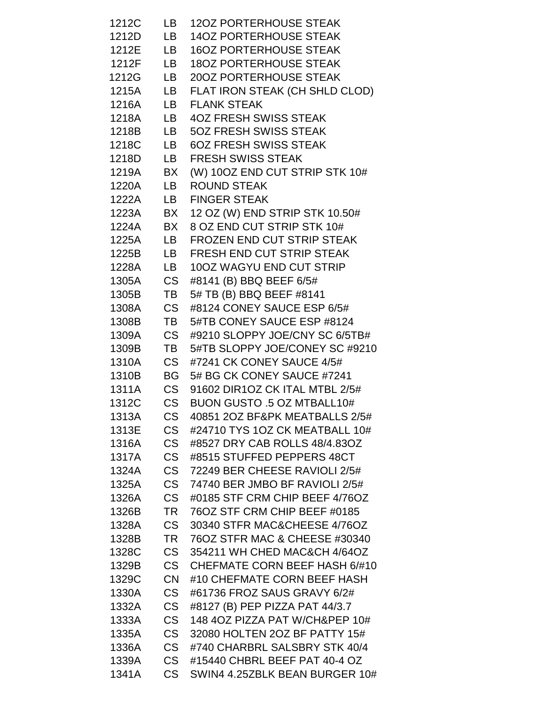| 1212C          | LB                     | <b>12OZ PORTERHOUSE STEAK</b>                                        |
|----------------|------------------------|----------------------------------------------------------------------|
| 1212D          | LB                     | <b>14OZ PORTERHOUSE STEAK</b>                                        |
| 1212E          | LB                     | <b>16OZ PORTERHOUSE STEAK</b>                                        |
| 1212F          | LB                     | <b>180Z PORTERHOUSE STEAK</b>                                        |
| 1212G          | LB                     | 200Z PORTERHOUSE STEAK                                               |
| 1215A          | LB                     | FLAT IRON STEAK (CH SHLD CLOD)                                       |
| 1216A          | LB .                   | <b>FLANK STEAK</b>                                                   |
| 1218A          | LB                     | <b>4OZ FRESH SWISS STEAK</b>                                         |
| 1218B          | LB —                   | <b>50Z FRESH SWISS STEAK</b>                                         |
| 1218C          | LB                     | <b>6OZ FRESH SWISS STEAK</b>                                         |
| 1218D          | LB                     | <b>FRESH SWISS STEAK</b>                                             |
| 1219A          | BX                     | (W) 10OZ END CUT STRIP STK 10#                                       |
| 1220A          | LB                     | <b>ROUND STEAK</b>                                                   |
| 1222A          | LB .                   | <b>FINGER STEAK</b>                                                  |
| 1223A          | BX                     | 12 OZ (W) END STRIP STK 10.50#                                       |
| 1224A          | BX                     | 8 OZ END CUT STRIP STK 10#                                           |
| 1225A          | LB -                   | FROZEN END CUT STRIP STEAK                                           |
| 1225B          | LB                     | <b>FRESH END CUT STRIP STEAK</b>                                     |
| 1228A          | LB                     | 100Z WAGYU END CUT STRIP                                             |
| 1305A          | CS .                   | #8141 (B) BBQ BEEF 6/5#                                              |
| 1305B          | TВ                     | 5# TB (B) BBQ BEEF #8141                                             |
| 1308A          | <b>CS</b>              | #8124 CONEY SAUCE ESP 6/5#                                           |
| 1308B          | TB                     | 5#TB CONEY SAUCE ESP #8124                                           |
| 1309A          | <b>CS</b>              | #9210 SLOPPY JOE/CNY SC 6/5TB#                                       |
| 1309B          | TB                     | 5#TB SLOPPY JOE/CONEY SC #9210                                       |
| 1310A          | <b>CS</b>              | #7241 CK CONEY SAUCE 4/5#                                            |
| 1310B          | BG I                   | 5# BG CK CONEY SAUCE #7241                                           |
| 1311A          | <b>CS</b>              | 91602 DIR1OZ CK ITAL MTBL 2/5#                                       |
| 1312C          | <b>CS</b>              | BUON GUSTO .5 OZ MTBALL10#                                           |
| 1313A          | <b>CS</b>              | 40851 2OZ BF&PK MEATBALLS 2/5#                                       |
| 1313E          | <b>CS</b>              | #24710 TYS 1OZ CK MEATBALL 10#                                       |
| 1316A          | <b>CS</b>              | #8527 DRY CAB ROLLS 48/4.83OZ                                        |
| 1317A          | <b>CS</b>              | #8515 STUFFED PEPPERS 48CT                                           |
| 1324A          | <b>CS</b>              | 72249 BER CHEESE RAVIOLI 2/5#                                        |
| 1325A          | <b>CS</b>              | 74740 BER JMBO BF RAVIOLI 2/5#                                       |
| 1326A          | <b>CS</b>              | #0185 STF CRM CHIP BEEF 4/76OZ                                       |
| 1326B          | <b>TR</b>              | 76OZ STF CRM CHIP BEEF #0185                                         |
| 1328A          | <b>CS</b>              | 30340 STFR MAC&CHEESE 4/76OZ                                         |
| 1328B          | <b>TR</b>              | 76OZ STFR MAC & CHEESE #30340                                        |
| 1328C          | <b>CS</b><br><b>CS</b> | 354211 WH CHED MAC&CH 4/64OZ<br><b>CHEFMATE CORN BEEF HASH 6/#10</b> |
| 1329B          | <b>CN</b>              | #10 CHEFMATE CORN BEEF HASH                                          |
| 1329C          | <b>CS</b>              | #61736 FROZ SAUS GRAVY 6/2#                                          |
| 1330A<br>1332A | <b>CS</b>              | #8127 (B) PEP PIZZA PAT 44/3.7                                       |
| 1333A          | <b>CS</b>              | 148 4OZ PIZZA PAT W/CH&PEP 10#                                       |
| 1335A          | <b>CS</b>              | 32080 HOLTEN 2OZ BF PATTY 15#                                        |
| 1336A          | <b>CS</b>              | #740 CHARBRL SALSBRY STK 40/4                                        |
| 1339A          | <b>CS</b>              | #15440 CHBRL BEEF PAT 40-4 OZ                                        |
| 1341A          | <b>CS</b>              | SWIN4 4.25ZBLK BEAN BURGER 10#                                       |
|                |                        |                                                                      |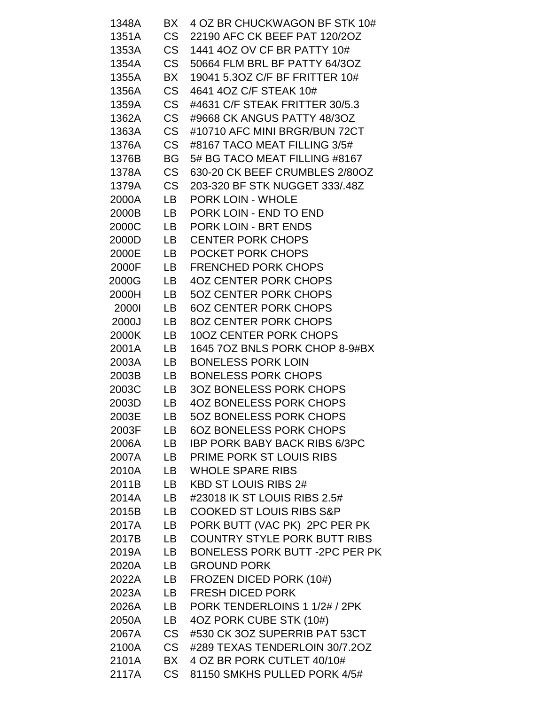| 1348A        | BX        | 4 OZ BR CHUCKWAGON BF STK 10#       |
|--------------|-----------|-------------------------------------|
| 1351A        | CS        | 22190 AFC CK BEEF PAT 120/2OZ       |
| 1353A        | <b>CS</b> | 1441 4OZ OV CF BR PATTY 10#         |
| 1354A        | <b>CS</b> | 50664 FLM BRL BF PATTY 64/3OZ       |
| 1355A        | BX        | 19041 5.30Z C/F BF FRITTER 10#      |
| 1356A        | <b>CS</b> | 4641 4OZ C/F STEAK 10#              |
| 1359A        | <b>CS</b> | #4631 C/F STEAK FRITTER 30/5.3      |
| 1362A        | <b>CS</b> | #9668 CK ANGUS PATTY 48/30Z         |
| 1363A        | <b>CS</b> | #10710 AFC MINI BRGR/BUN 72CT       |
| 1376A        | <b>CS</b> | #8167 TACO MEAT FILLING 3/5#        |
| 1376B        | <b>BG</b> | 5# BG TACO MEAT FILLING #8167       |
| 1378A        | <b>CS</b> | 630-20 CK BEEF CRUMBLES 2/80OZ      |
| 1379A        | CS        | 203-320 BF STK NUGGET 333/.48Z      |
| 2000A        | LB        | <b>PORK LOIN - WHOLE</b>            |
| 2000B        | LB.       | PORK LOIN - END TO END              |
| 2000C        | LB        | PORK LOIN - BRT ENDS                |
| 2000D        | LB.       | <b>CENTER PORK CHOPS</b>            |
| 2000E        | LB        | POCKET PORK CHOPS                   |
| 2000F        | LB.       | <b>FRENCHED PORK CHOPS</b>          |
| 2000G        | LB        | <b>4OZ CENTER PORK CHOPS</b>        |
| 2000H        | LB        | <b>5OZ CENTER PORK CHOPS</b>        |
| <b>2000l</b> | LB        | <b>6OZ CENTER PORK CHOPS</b>        |
| 2000J        | LB        | <b>8OZ CENTER PORK CHOPS</b>        |
| 2000K        | LB.       | <b>10OZ CENTER PORK CHOPS</b>       |
| 2001A        | LB        | 1645 7OZ BNLS PORK CHOP 8-9#BX      |
| 2003A        | LB.       | <b>BONELESS PORK LOIN</b>           |
| 2003B        | LB        | <b>BONELESS PORK CHOPS</b>          |
| 2003C        | LB        | <b>3OZ BONELESS PORK CHOPS</b>      |
| 2003D        | LB        | <b>4OZ BONELESS PORK CHOPS</b>      |
| 2003E        | LB        | <b>5OZ BONELESS PORK CHOPS</b>      |
| 2003F        | LB        | <b>6OZ BONELESS PORK CHOPS</b>      |
| 2006A        | LB        | IBP PORK BABY BACK RIBS 6/3PC       |
| 2007A        | LB        | PRIME PORK ST LOUIS RIBS            |
| 2010A        | LB        | <b>WHOLE SPARE RIBS</b>             |
| 2011B        | LB        | <b>KBD ST LOUIS RIBS 2#</b>         |
| 2014A        | LB.       | #23018 IK ST LOUIS RIBS 2.5#        |
| 2015B        | LB.       | <b>COOKED ST LOUIS RIBS S&amp;P</b> |
| 2017A        | LB        | PORK BUTT (VAC PK) 2PC PER PK       |
| 2017B        | LB        | <b>COUNTRY STYLE PORK BUTT RIBS</b> |
| 2019A        | LB        | BONELESS PORK BUTT -2PC PER PK      |
| 2020A        | LB        | <b>GROUND PORK</b>                  |
| 2022A        | LB.       | FROZEN DICED PORK (10#)             |
| 2023A        | LB        | <b>FRESH DICED PORK</b>             |
| 2026A        | LB        | PORK TENDERLOINS 1 1/2# / 2PK       |
| 2050A        | LB        | 4OZ PORK CUBE STK (10#)             |
| 2067A        | CS        | #530 CK 3OZ SUPERRIB PAT 53CT       |
| 2100A        | CS        | #289 TEXAS TENDERLOIN 30/7.2OZ      |
| 2101A        | BX        | 4 OZ BR PORK CUTLET 40/10#          |
| 2117A        | CS        | 81150 SMKHS PULLED PORK 4/5#        |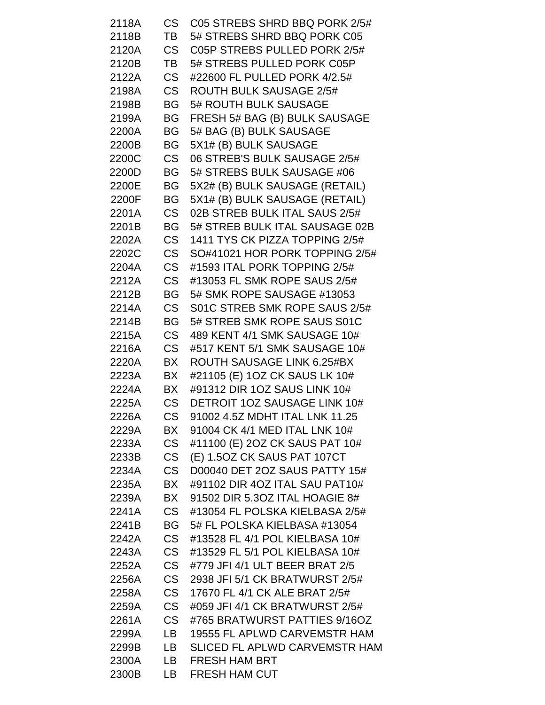| CS<br>2118A        |           | C05 STREBS SHRD BBQ PORK 2/5#  |
|--------------------|-----------|--------------------------------|
| 2118B<br>TB        |           | 5# STREBS SHRD BBQ PORK C05    |
| CS<br>2120A        |           | C05P STREBS PULLED PORK 2/5#   |
| 2120B<br>TB        |           | 5# STREBS PULLED PORK C05P     |
| CS<br>2122A        |           | #22600 FL PULLED PORK 4/2.5#   |
| <b>CS</b><br>2198A |           | <b>ROUTH BULK SAUSAGE 2/5#</b> |
| 2198B<br>BG        |           | 5# ROUTH BULK SAUSAGE          |
| BG<br>2199A        |           | FRESH 5# BAG (B) BULK SAUSAGE  |
| 2200A<br>BG        |           | 5# BAG (B) BULK SAUSAGE        |
| 2200B<br>BG        |           | 5X1# (B) BULK SAUSAGE          |
| 2200C<br>CS        |           | 06 STREB'S BULK SAUSAGE 2/5#   |
| BG<br>2200D        |           | 5# STREBS BULK SAUSAGE #06     |
| 2200E<br>BG        |           | 5X2# (B) BULK SAUSAGE (RETAIL) |
| 2200F<br><b>BG</b> |           | 5X1# (B) BULK SAUSAGE (RETAIL) |
| <b>CS</b><br>2201A |           | 02B STREB BULK ITAL SAUS 2/5#  |
| 2201B<br>BG        |           | 5# STREB BULK ITAL SAUSAGE 02B |
| 2202A              | <b>CS</b> | 1411 TYS CK PIZZA TOPPING 2/5# |
| 2202C<br>CS        |           | SO#41021 HOR PORK TOPPING 2/5# |
| <b>CS</b><br>2204A |           | #1593 ITAL PORK TOPPING 2/5#   |
| 2212A<br>CS        |           | #13053 FL SMK ROPE SAUS 2/5#   |
| BG<br>2212B        |           | 5# SMK ROPE SAUSAGE #13053     |
| 2214A<br>CS        |           | S01C STREB SMK ROPE SAUS 2/5#  |
| 2214B<br>BG        |           | 5# STREB SMK ROPE SAUS S01C    |
| 2215A<br>CS        |           | 489 KENT 4/1 SMK SAUSAGE 10#   |
| <b>CS</b><br>2216A |           | #517 KENT 5/1 SMK SAUSAGE 10#  |
| BX<br>2220A        |           | ROUTH SAUSAGE LINK 6.25#BX     |
| BX<br>2223A        |           | #21105 (E) 1OZ CK SAUS LK 10#  |
| 2224A<br>BX        |           | #91312 DIR 1OZ SAUS LINK 10#   |
| CS<br>2225A        |           | DETROIT 1OZ SAUSAGE LINK 10#   |
| <b>CS</b><br>2226A |           | 91002 4.5Z MDHT ITAL LNK 11.25 |
| BX<br>2229A        |           | 91004 CK 4/1 MED ITAL LNK 10#  |
| <b>CS</b><br>2233A |           | #11100 (E) 2OZ CK SAUS PAT 10# |
| CS<br>2233B        |           | (E) 1.5OZ CK SAUS PAT 107CT    |
| <b>CS</b><br>2234A |           | D00040 DET 2OZ SAUS PATTY 15#  |
| 2235A<br>BX        |           | #91102 DIR 4OZ ITAL SAU PAT10# |
| BX<br>2239A        |           | 91502 DIR 5.30Z ITAL HOAGIE 8# |
| CS<br>2241A        |           | #13054 FL POLSKA KIELBASA 2/5# |
| 2241B<br>BG        |           | 5# FL POLSKA KIELBASA #13054   |
| <b>CS</b><br>2242A |           | #13528 FL 4/1 POL KIELBASA 10# |
| CS<br>2243A        |           | #13529 FL 5/1 POL KIELBASA 10# |
| <b>CS</b><br>2252A |           | #779 JFI 4/1 ULT BEER BRAT 2/5 |
| CS<br>2256A        |           | 2938 JFI 5/1 CK BRATWURST 2/5# |
| <b>CS</b><br>2258A |           | 17670 FL 4/1 CK ALE BRAT 2/5#  |
| <b>CS</b><br>2259A |           | #059 JFI 4/1 CK BRATWURST 2/5# |
| <b>CS</b><br>2261A |           | #765 BRATWURST PATTIES 9/16OZ  |
| 2299A<br>LB        |           | 19555 FL APLWD CARVEMSTR HAM   |
| 2299B<br>LB        |           | SLICED FL APLWD CARVEMSTR HAM  |
| 2300A<br>LB.       |           | <b>FRESH HAM BRT</b>           |
| 2300B<br>LB        |           | <b>FRESH HAM CUT</b>           |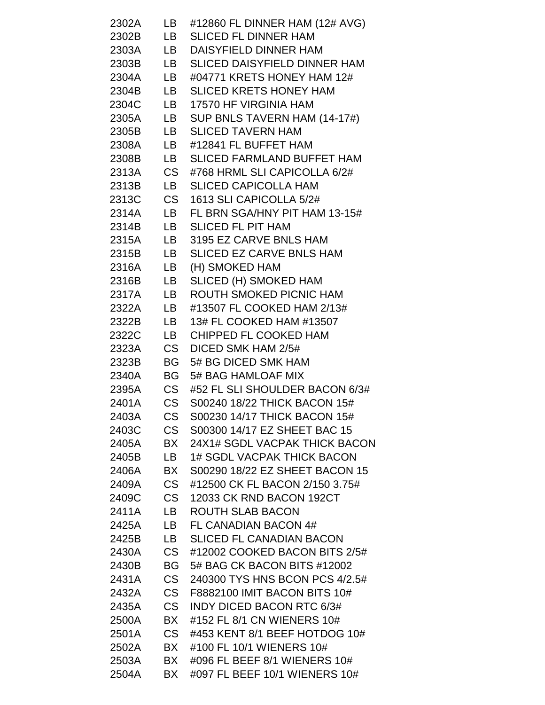| 2302A | LB        | #12860 FL DINNER HAM (12# AVG)      |
|-------|-----------|-------------------------------------|
| 2302B | LB        | <b>SLICED FL DINNER HAM</b>         |
| 2303A | LB        | DAISYFIELD DINNER HAM               |
| 2303B | LB —      | <b>SLICED DAISYFIELD DINNER HAM</b> |
| 2304A | LB —      | #04771 KRETS HONEY HAM 12#          |
| 2304B | LB —      | <b>SLICED KRETS HONEY HAM</b>       |
| 2304C | LB —      | 17570 HF VIRGINIA HAM               |
| 2305A | LB        | SUP BNLS TAVERN HAM (14-17#)        |
| 2305B | LB —      | <b>SLICED TAVERN HAM</b>            |
| 2308A | LB        | #12841 FL BUFFET HAM                |
| 2308B | LB        | <b>SLICED FARMLAND BUFFET HAM</b>   |
| 2313A | <b>CS</b> | #768 HRML SLI CAPICOLLA 6/2#        |
| 2313B | LB        | <b>SLICED CAPICOLLA HAM</b>         |
| 2313C | <b>CS</b> | 1613 SLI CAPICOLLA 5/2#             |
| 2314A | LB        | FL BRN SGA/HNY PIT HAM 13-15#       |
| 2314B | LB        | <b>SLICED FL PIT HAM</b>            |
| 2315A | LB —      | 3195 EZ CARVE BNLS HAM              |
| 2315B | LB        | SLICED EZ CARVE BNLS HAM            |
| 2316A | LB        | (H) SMOKED HAM                      |
| 2316B | LB        | SLICED (H) SMOKED HAM               |
| 2317A | LB        | ROUTH SMOKED PICNIC HAM             |
| 2322A | LB        | #13507 FL COOKED HAM 2/13#          |
| 2322B | LB —      | 13# FL COOKED HAM #13507            |
| 2322C | LB        | CHIPPED FL COOKED HAM               |
| 2323A | <b>CS</b> | DICED SMK HAM 2/5#                  |
| 2323B | BG -      | 5# BG DICED SMK HAM                 |
| 2340A | BG        | 5# BAG HAMLOAF MIX                  |
| 2395A | <b>CS</b> | #52 FL SLI SHOULDER BACON 6/3#      |
| 2401A | <b>CS</b> | S00240 18/22 THICK BACON 15#        |
| 2403A | <b>CS</b> | S00230 14/17 THICK BACON 15#        |
| 2403C | CS        | S00300 14/17 EZ SHEET BAC 15        |
| 2405A | BX        | 24X1# SGDL VACPAK THICK BACON       |
| 2405B | LB        | <b>1# SGDL VACPAK THICK BACON</b>   |
| 2406A | BX        | S00290 18/22 EZ SHEET BACON 15      |
| 2409A | <b>CS</b> | #12500 CK FL BACON 2/150 3.75#      |
| 2409C | CS        | 12033 CK RND BACON 192CT            |
| 2411A | LB.       | ROUTH SLAB BACON                    |
| 2425A | LB        | FL CANADIAN BACON 4#                |
| 2425B | LB        | <b>SLICED FL CANADIAN BACON</b>     |
| 2430A | CS        | #12002 COOKED BACON BITS 2/5#       |
| 2430B | BG        | 5# BAG CK BACON BITS #12002         |
| 2431A | <b>CS</b> | 240300 TYS HNS BCON PCS 4/2.5#      |
| 2432A | <b>CS</b> | F8882100 IMIT BACON BITS 10#        |
| 2435A | <b>CS</b> | <b>INDY DICED BACON RTC 6/3#</b>    |
| 2500A | BX        | #152 FL 8/1 CN WIENERS 10#          |
| 2501A | CS        | #453 KENT 8/1 BEEF HOTDOG 10#       |
| 2502A | BX        | #100 FL 10/1 WIENERS 10#            |
| 2503A | BX.       | #096 FL BEEF 8/1 WIENERS 10#        |
| 2504A | BX        | #097 FL BEEF 10/1 WIENERS 10#       |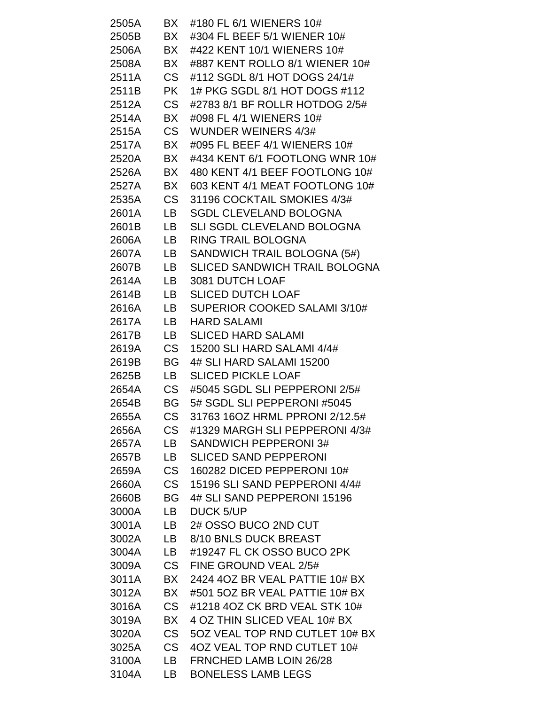| 2505A | BX              | #180 FL 6/1 WIENERS 10#                                        |
|-------|-----------------|----------------------------------------------------------------|
| 2505B | BX              | #304 FL BEEF 5/1 WIENER 10#                                    |
| 2506A | BX              | #422 KENT 10/1 WIENERS 10#                                     |
| 2508A | BX              | #887 KENT ROLLO 8/1 WIENER 10#                                 |
| 2511A | CS              | #112 SGDL 8/1 HOT DOGS 24/1#                                   |
| 2511B | <b>PK</b>       | 1# PKG SGDL 8/1 HOT DOGS #112                                  |
| 2512A | <b>CS</b>       | #2783 8/1 BF ROLLR HOTDOG 2/5#                                 |
| 2514A | BX              | #098 FL 4/1 WIENERS 10#                                        |
| 2515A | CS              | <b>WUNDER WEINERS 4/3#</b>                                     |
| 2517A | BX              | #095 FL BEEF 4/1 WIENERS 10#                                   |
| 2520A | BX              | #434 KENT 6/1 FOOTLONG WNR 10#                                 |
| 2526A | BX              | 480 KENT 4/1 BEEF FOOTLONG 10#                                 |
| 2527A | BX              | 603 KENT 4/1 MEAT FOOTLONG 10#                                 |
| 2535A | CS              | 31196 COCKTAIL SMOKIES 4/3#                                    |
| 2601A | LB              | <b>SGDL CLEVELAND BOLOGNA</b>                                  |
| 2601B | LB              | SLI SGDL CLEVELAND BOLOGNA                                     |
| 2606A | LB.             | <b>RING TRAIL BOLOGNA</b>                                      |
| 2607A | LB              | SANDWICH TRAIL BOLOGNA (5#)                                    |
| 2607B | LB              | <b>SLICED SANDWICH TRAIL BOLOGNA</b>                           |
| 2614A | LB              | 3081 DUTCH LOAF                                                |
| 2614B | LB              | <b>SLICED DUTCH LOAF</b>                                       |
| 2616A | LB              | SUPERIOR COOKED SALAMI 3/10#                                   |
| 2617A | LB              | <b>HARD SALAMI</b>                                             |
| 2617B | LB.             | <b>SLICED HARD SALAMI</b>                                      |
| 2619A | <b>CS</b>       | 15200 SLI HARD SALAMI 4/4#                                     |
| 2619B | BG              | 4# SLI HARD SALAMI 15200                                       |
| 2625B | LB              | <b>SLICED PICKLE LOAF</b>                                      |
| 2654A | <b>CS</b>       | #5045 SGDL SLI PEPPERONI 2/5#                                  |
| 2654B | <b>BG</b>       | 5# SGDL SLI PEPPERONI #5045                                    |
| 2655A | <b>CS</b>       | 31763 16OZ HRML PPRONI 2/12.5#                                 |
| 2656A | CS              | #1329 MARGH SLI PEPPERONI 4/3#                                 |
| 2657A | LB              | SANDWICH PEPPERONI 3#                                          |
| 2657B | LB.             | <b>SLICED SAND PEPPERONI</b>                                   |
| 2659A | CS              | 160282 DICED PEPPERONI 10#                                     |
| 2660A | CS              | 15196 SLI SAND PEPPERONI 4/4#                                  |
| 2660B | <b>BG</b>       | 4# SLI SAND PEPPERONI 15196                                    |
| 3000A | LB              | <b>DUCK 5/UP</b>                                               |
| 3001A | LB              | 2# OSSO BUCO 2ND CUT                                           |
| 3002A | LB              | 8/10 BNLS DUCK BREAST                                          |
| 3004A | LB              | #19247 FL CK OSSO BUCO 2PK                                     |
| 3009A | CS.             | FINE GROUND VEAL 2/5#                                          |
| 3011A | BX              | 2424 40Z BR VEAL PATTIE 10# BX                                 |
| 3012A | BX              | #501 5OZ BR VEAL PATTIE 10# BX                                 |
| 3016A | CS              | #1218 4OZ CK BRD VEAL STK 10#                                  |
|       |                 |                                                                |
| 3019A | BX<br><b>CS</b> | 4 OZ THIN SLICED VEAL 10# BX<br>50Z VEAL TOP RND CUTLET 10# BX |
| 3020A |                 | 4OZ VEAL TOP RND CUTLET 10#                                    |
| 3025A | CS .            |                                                                |
| 3100A | LB.             | <b>FRNCHED LAMB LOIN 26/28</b>                                 |
| 3104A | LB.             | <b>BONELESS LAMB LEGS</b>                                      |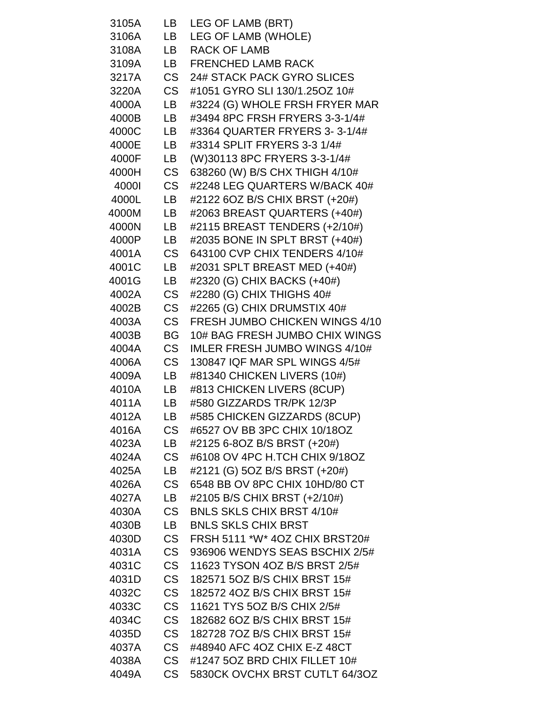| 3105A          | LB                     | LEG OF LAMB (BRT)                                            |
|----------------|------------------------|--------------------------------------------------------------|
| 3106A          | LB                     | LEG OF LAMB (WHOLE)                                          |
| 3108A          | LB                     | <b>RACK OF LAMB</b>                                          |
| 3109A          | LB                     | <b>FRENCHED LAMB RACK</b>                                    |
| 3217A          | <b>CS</b>              | 24# STACK PACK GYRO SLICES                                   |
| 3220A          | CS                     | #1051 GYRO SLI 130/1.25OZ 10#                                |
| 4000A          | LB                     | #3224 (G) WHOLE FRSH FRYER MAR                               |
| 4000B          | LB                     | #3494 8PC FRSH FRYERS 3-3-1/4#                               |
| 4000C          | LB                     | #3364 QUARTER FRYERS 3-3-1/4#                                |
| 4000E          | LB                     | #3314 SPLIT FRYERS 3-3 1/4#                                  |
| 4000F          | LB                     | (W)30113 8PC FRYERS 3-3-1/4#                                 |
| 4000H          | <b>CS</b>              | 638260 (W) B/S CHX THIGH 4/10#                               |
| 4000l          | <b>CS</b>              | #2248 LEG QUARTERS W/BACK 40#                                |
| 4000L          | LB                     | #2122 6OZ B/S CHIX BRST (+20#)                               |
| 4000M          | LB                     | #2063 BREAST QUARTERS (+40#)                                 |
| 4000N          | LB                     | #2115 BREAST TENDERS (+2/10#)                                |
| 4000P          | LB                     | #2035 BONE IN SPLT BRST (+40#)                               |
| 4001A          | <b>CS</b>              | 643100 CVP CHIX TENDERS 4/10#                                |
| 4001C          | LB.                    | #2031 SPLT BREAST MED (+40#)                                 |
| 4001G          | LB                     | #2320 (G) CHIX BACKS (+40#)                                  |
| 4002A          | <b>CS</b>              | #2280 (G) CHIX THIGHS 40#                                    |
| 4002B          | <b>CS</b>              | #2265 (G) CHIX DRUMSTIX 40#                                  |
| 4003A          | <b>CS</b>              | FRESH JUMBO CHICKEN WINGS 4/10                               |
| 4003B          | <b>BG</b>              | 10# BAG FRESH JUMBO CHIX WINGS                               |
| 4004A          | <b>CS</b>              | IMLER FRESH JUMBO WINGS 4/10#                                |
| 4006A          | <b>CS</b>              | 130847 IQF MAR SPL WINGS 4/5#                                |
| 4009A          | LB                     | #81340 CHICKEN LIVERS (10#)                                  |
| 4010A          | LB                     | #813 CHICKEN LIVERS (8CUP)                                   |
| 4011A          | LB                     | #580 GIZZARDS TR/PK 12/3P                                    |
| 4012A          | LB.                    | #585 CHICKEN GIZZARDS (8CUP)                                 |
| 4016A          | <b>CS</b>              | #6527 OV BB 3PC CHIX 10/18OZ                                 |
| 4023A          | LB                     | #2125 6-80Z B/S BRST (+20#)                                  |
| 4024A          | <b>CS</b>              | #6108 OV 4PC H.TCH CHIX 9/18OZ                               |
| 4025A          | LB                     | #2121 (G) 5OZ B/S BRST (+20#)                                |
| 4026A          | <b>CS</b>              | 6548 BB OV 8PC CHIX 10HD/80 CT                               |
| 4027A          | LB                     | #2105 B/S CHIX BRST (+2/10#)                                 |
| 4030A          | <b>CS</b>              | <b>BNLS SKLS CHIX BRST 4/10#</b>                             |
| 4030B          | LB                     | <b>BNLS SKLS CHIX BRST</b>                                   |
| 4030D          | <b>CS</b>              | FRSH 5111 *W* 4OZ CHIX BRST20#                               |
| 4031A          | <b>CS</b>              | 936906 WENDYS SEAS BSCHIX 2/5#                               |
| 4031C          | <b>CS</b>              | 11623 TYSON 4OZ B/S BRST 2/5#                                |
| 4031D<br>4032C | <b>CS</b><br><b>CS</b> | 182571 5OZ B/S CHIX BRST 15#<br>182572 4OZ B/S CHIX BRST 15# |
| 4033C          | <b>CS</b>              | 11621 TYS 5OZ B/S CHIX 2/5#                                  |
|                | <b>CS</b>              | 182682 6OZ B/S CHIX BRST 15#                                 |
| 4034C<br>4035D | <b>CS</b>              | 182728 7OZ B/S CHIX BRST 15#                                 |
| 4037A          | CS                     | #48940 AFC 4OZ CHIX E-Z 48CT                                 |
| 4038A          | <b>CS</b>              | #1247 5OZ BRD CHIX FILLET 10#                                |
| 4049A          | <b>CS</b>              | 5830CK OVCHX BRST CUTLT 64/3OZ                               |
|                |                        |                                                              |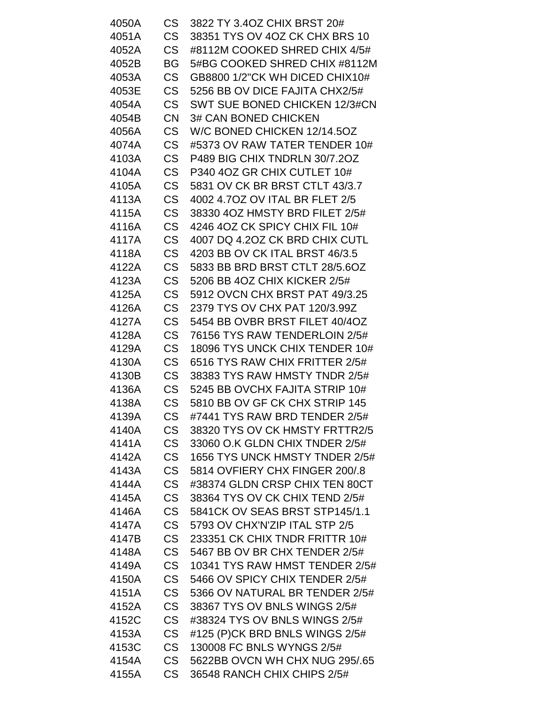| 4050A | <b>CS</b> | 3822 TY 3.4OZ CHIX BRST 20#    |
|-------|-----------|--------------------------------|
| 4051A | <b>CS</b> | 38351 TYS OV 4OZ CK CHX BRS 10 |
| 4052A | <b>CS</b> | #8112M COOKED SHRED CHIX 4/5#  |
| 4052B | BG        | 5#BG COOKED SHRED CHIX #8112M  |
| 4053A | <b>CS</b> | GB8800 1/2"CK WH DICED CHIX10# |
| 4053E | <b>CS</b> | 5256 BB OV DICE FAJITA CHX2/5# |
| 4054A | <b>CS</b> | SWT SUE BONED CHICKEN 12/3#CN  |
| 4054B | <b>CN</b> | <b>3# CAN BONED CHICKEN</b>    |
| 4056A | <b>CS</b> | W/C BONED CHICKEN 12/14.5OZ    |
| 4074A | <b>CS</b> | #5373 OV RAW TATER TENDER 10#  |
| 4103A | <b>CS</b> | P489 BIG CHIX TNDRLN 30/7.2OZ  |
| 4104A | <b>CS</b> | P340 4OZ GR CHIX CUTLET 10#    |
| 4105A | <b>CS</b> | 5831 OV CK BR BRST CTLT 43/3.7 |
| 4113A | <b>CS</b> | 4002 4.7OZ OV ITAL BR FLET 2/5 |
| 4115A | <b>CS</b> | 38330 4OZ HMSTY BRD FILET 2/5# |
| 4116A | <b>CS</b> | 4246 4OZ CK SPICY CHIX FIL 10# |
| 4117A | <b>CS</b> | 4007 DQ 4.2OZ CK BRD CHIX CUTL |
| 4118A | <b>CS</b> | 4203 BB OV CK ITAL BRST 46/3.5 |
| 4122A | <b>CS</b> | 5833 BB BRD BRST CTLT 28/5.6OZ |
| 4123A | <b>CS</b> | 5206 BB 4OZ CHIX KICKER 2/5#   |
| 4125A | <b>CS</b> | 5912 OVCN CHX BRST PAT 49/3.25 |
| 4126A | <b>CS</b> | 2379 TYS OV CHX PAT 120/3.99Z  |
| 4127A | <b>CS</b> | 5454 BB OVBR BRST FILET 40/4OZ |
| 4128A | <b>CS</b> | 76156 TYS RAW TENDERLOIN 2/5#  |
| 4129A | <b>CS</b> | 18096 TYS UNCK CHIX TENDER 10# |
| 4130A | <b>CS</b> | 6516 TYS RAW CHIX FRITTER 2/5# |
| 4130B | <b>CS</b> | 38383 TYS RAW HMSTY TNDR 2/5#  |
| 4136A | <b>CS</b> | 5245 BB OVCHX FAJITA STRIP 10# |
| 4138A | CS        | 5810 BB OV GF CK CHX STRIP 145 |
| 4139A | <b>CS</b> | #7441 TYS RAW BRD TENDER 2/5#  |
| 4140A | <b>CS</b> | 38320 TYS OV CK HMSTY FRTTR2/5 |
| 4141A | <b>CS</b> | 33060 O.K GLDN CHIX TNDER 2/5# |
| 4142A | <b>CS</b> | 1656 TYS UNCK HMSTY TNDER 2/5# |
| 4143A | <b>CS</b> | 5814 OVFIERY CHX FINGER 200/.8 |
| 4144A | <b>CS</b> | #38374 GLDN CRSP CHIX TEN 80CT |
| 4145A | <b>CS</b> | 38364 TYS OV CK CHIX TEND 2/5# |
| 4146A | <b>CS</b> | 5841CK OV SEAS BRST STP145/1.1 |
| 4147A | <b>CS</b> | 5793 OV CHX'N'ZIP ITAL STP 2/5 |
| 4147B | <b>CS</b> | 233351 CK CHIX TNDR FRITTR 10# |
| 4148A | <b>CS</b> | 5467 BB OV BR CHX TENDER 2/5#  |
| 4149A | <b>CS</b> | 10341 TYS RAW HMST TENDER 2/5# |
| 4150A | <b>CS</b> | 5466 OV SPICY CHIX TENDER 2/5# |
| 4151A | <b>CS</b> | 5366 OV NATURAL BR TENDER 2/5# |
| 4152A | <b>CS</b> | 38367 TYS OV BNLS WINGS 2/5#   |
| 4152C | <b>CS</b> | #38324 TYS OV BNLS WINGS 2/5#  |
| 4153A | <b>CS</b> | #125 (P)CK BRD BNLS WINGS 2/5# |
| 4153C | <b>CS</b> | 130008 FC BNLS WYNGS 2/5#      |
| 4154A | <b>CS</b> | 5622BB OVCN WH CHX NUG 295/.65 |
| 4155A | <b>CS</b> | 36548 RANCH CHIX CHIPS 2/5#    |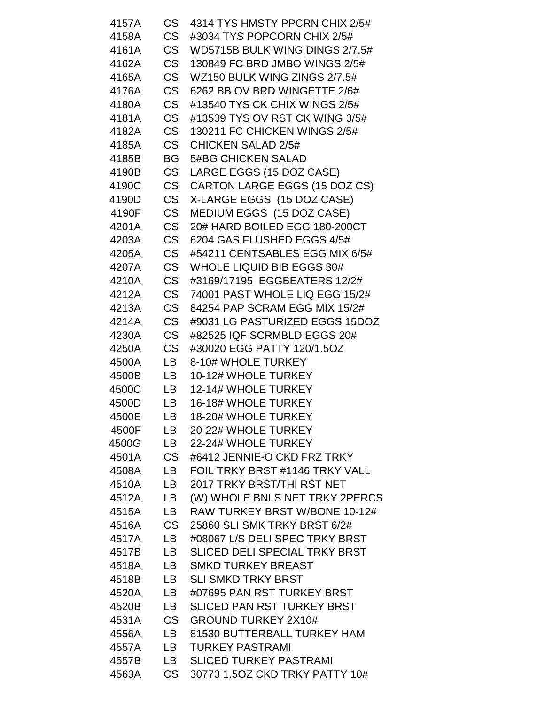| 4157A | CS .      | 4314 TYS HMSTY PPCRN CHIX 2/5#    |
|-------|-----------|-----------------------------------|
| 4158A | <b>CS</b> | #3034 TYS POPCORN CHIX 2/5#       |
| 4161A | <b>CS</b> | WD5715B BULK WING DINGS 2/7.5#    |
| 4162A | <b>CS</b> | 130849 FC BRD JMBO WINGS 2/5#     |
| 4165A | <b>CS</b> | WZ150 BULK WING ZINGS 2/7.5#      |
| 4176A | <b>CS</b> | 6262 BB OV BRD WINGETTE 2/6#      |
| 4180A | <b>CS</b> | #13540 TYS CK CHIX WINGS 2/5#     |
| 4181A | <b>CS</b> | #13539 TYS OV RST CK WING 3/5#    |
| 4182A | <b>CS</b> | 130211 FC CHICKEN WINGS 2/5#      |
| 4185A | CS        | <b>CHICKEN SALAD 2/5#</b>         |
| 4185B | <b>BG</b> | <b>5#BG CHICKEN SALAD</b>         |
| 4190B | <b>CS</b> | LARGE EGGS (15 DOZ CASE)          |
| 4190C | <b>CS</b> | CARTON LARGE EGGS (15 DOZ CS)     |
| 4190D | <b>CS</b> | X-LARGE EGGS (15 DOZ CASE)        |
| 4190F | <b>CS</b> | MEDIUM EGGS (15 DOZ CASE)         |
| 4201A | CS        | 20# HARD BOILED EGG 180-200CT     |
| 4203A | <b>CS</b> | 6204 GAS FLUSHED EGGS 4/5#        |
| 4205A | <b>CS</b> | #54211 CENTSABLES EGG MIX 6/5#    |
| 4207A | CS        | <b>WHOLE LIQUID BIB EGGS 30#</b>  |
| 4210A | <b>CS</b> | #3169/17195 EGGBEATERS 12/2#      |
| 4212A | <b>CS</b> | 74001 PAST WHOLE LIQ EGG 15/2#    |
| 4213A | <b>CS</b> | 84254 PAP SCRAM EGG MIX 15/2#     |
| 4214A | CS        | #9031 LG PASTURIZED EGGS 15DOZ    |
| 4230A | <b>CS</b> | #82525 IQF SCRMBLD EGGS 20#       |
| 4250A | CS        | #30020 EGG PATTY 120/1.5OZ        |
| 4500A | LB        | 8-10# WHOLE TURKEY                |
| 4500B | LB        | 10-12# WHOLE TURKEY               |
| 4500C | LB        | 12-14# WHOLE TURKEY               |
| 4500D | LB        | 16-18# WHOLE TURKEY               |
| 4500E | LB        | 18-20# WHOLE TURKEY               |
| 4500F | LB.       | 20-22# WHOLE TURKEY               |
| 4500G | LB        | 22-24# WHOLE TURKEY               |
| 4501A | <b>CS</b> | #6412 JENNIE-O CKD FRZ TRKY       |
| 4508A | LB        | FOIL TRKY BRST #1146 TRKY VALL    |
| 4510A | LB.       | 2017 TRKY BRST/THI RST NET        |
| 4512A | LB        | (W) WHOLE BNLS NET TRKY 2PERCS    |
| 4515A | LB        | RAW TURKEY BRST W/BONE 10-12#     |
| 4516A | CS        | 25860 SLI SMK TRKY BRST 6/2#      |
| 4517A | LB.       | #08067 L/S DELI SPEC TRKY BRST    |
| 4517B | LB        | SLICED DELI SPECIAL TRKY BRST     |
| 4518A | LB        | <b>SMKD TURKEY BREAST</b>         |
| 4518B | LB.       | <b>SLI SMKD TRKY BRST</b>         |
| 4520A | LB        | #07695 PAN RST TURKEY BRST        |
| 4520B | LB        | <b>SLICED PAN RST TURKEY BRST</b> |
| 4531A | CS        | <b>GROUND TURKEY 2X10#</b>        |
| 4556A | LB.       | 81530 BUTTERBALL TURKEY HAM       |
| 4557A | LB        | <b>TURKEY PASTRAMI</b>            |
| 4557B | LB .      | <b>SLICED TURKEY PASTRAMI</b>     |
| 4563A | CS        | 30773 1.5OZ CKD TRKY PATTY 10#    |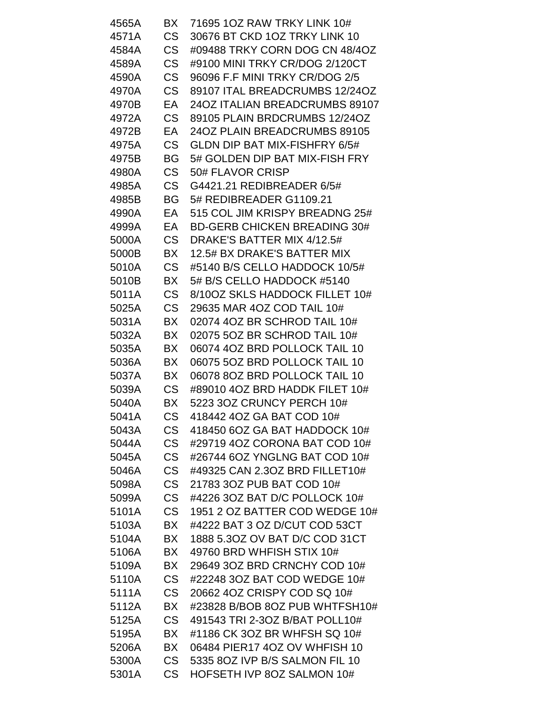| 4565A | BX        | 71695 1OZ RAW TRKY LINK 10#          |
|-------|-----------|--------------------------------------|
| 4571A | <b>CS</b> | 30676 BT CKD 1OZ TRKY LINK 10        |
| 4584A | <b>CS</b> | #09488 TRKY CORN DOG CN 48/4OZ       |
| 4589A | <b>CS</b> | #9100 MINI TRKY CR/DOG 2/120CT       |
| 4590A | <b>CS</b> | 96096 F.F MINI TRKY CR/DOG 2/5       |
| 4970A | CS        | 89107 ITAL BREADCRUMBS 12/24OZ       |
| 4970B | EA        | 24OZ ITALIAN BREADCRUMBS 89107       |
| 4972A | CS        | 89105 PLAIN BRDCRUMBS 12/24OZ        |
| 4972B | EA        | 24OZ PLAIN BREADCRUMBS 89105         |
| 4975A | CS        | <b>GLDN DIP BAT MIX-FISHFRY 6/5#</b> |
| 4975B | BG        | 5# GOLDEN DIP BAT MIX-FISH FRY       |
| 4980A | <b>CS</b> | 50# FLAVOR CRISP                     |
| 4985A | <b>CS</b> | G4421.21 REDIBREADER 6/5#            |
| 4985B | BG        | 5# REDIBREADER G1109.21              |
| 4990A | EA        | 515 COL JIM KRISPY BREADNG 25#       |
| 4999A | EA        | <b>BD-GERB CHICKEN BREADING 30#</b>  |
| 5000A | CS        | DRAKE'S BATTER MIX 4/12.5#           |
| 5000B | BX        | 12.5# BX DRAKE'S BATTER MIX          |
| 5010A | CS        | #5140 B/S CELLO HADDOCK 10/5#        |
| 5010B | BX        | 5# B/S CELLO HADDOCK #5140           |
| 5011A | <b>CS</b> | 8/10OZ SKLS HADDOCK FILLET 10#       |
| 5025A | <b>CS</b> | 29635 MAR 4OZ COD TAIL 10#           |
| 5031A | BX        | 02074 4OZ BR SCHROD TAIL 10#         |
| 5032A | BX        | 02075 5OZ BR SCHROD TAIL 10#         |
| 5035A | BX        | 06074 4OZ BRD POLLOCK TAIL 10        |
| 5036A | BX        | 06075 5OZ BRD POLLOCK TAIL 10        |
| 5037A | BX        | 06078 8OZ BRD POLLOCK TAIL 10        |
| 5039A | <b>CS</b> | #89010 4OZ BRD HADDK FILET 10#       |
| 5040A | BX        | 5223 3OZ CRUNCY PERCH 10#            |
| 5041A | <b>CS</b> | 418442 4OZ GA BAT COD 10#            |
| 5043A | <b>CS</b> | 418450 6OZ GA BAT HADDOCK 10#        |
| 5044A | <b>CS</b> | #29719 4OZ CORONA BAT COD 10#        |
| 5045A | <b>CS</b> | #26744 6OZ YNGLNG BAT COD 10#        |
| 5046A | <b>CS</b> | #49325 CAN 2.3OZ BRD FILLET10#       |
| 5098A | <b>CS</b> | 21783 3OZ PUB BAT COD 10#            |
| 5099A | <b>CS</b> | #4226 3OZ BAT D/C POLLOCK 10#        |
| 5101A | <b>CS</b> | 1951 2 OZ BATTER COD WEDGE 10#       |
| 5103A | BX        | #4222 BAT 3 OZ D/CUT COD 53CT        |
| 5104A | BX        | 1888 5.30Z OV BAT D/C COD 31CT       |
| 5106A | BX        | 49760 BRD WHFISH STIX 10#            |
| 5109A | BX        | 29649 3OZ BRD CRNCHY COD 10#         |
| 5110A | <b>CS</b> | #22248 30Z BAT COD WEDGE 10#         |
| 5111A | CS        | 20662 4OZ CRISPY COD SQ 10#          |
| 5112A | BX        | #23828 B/BOB 8OZ PUB WHTFSH10#       |
| 5125A | <b>CS</b> | 491543 TRI 2-30Z B/BAT POLL10#       |
| 5195A | BX        | #1186 CK 3OZ BR WHFSH SQ 10#         |
| 5206A | BX        | 06484 PIER17 4OZ OV WHFISH 10        |
| 5300A | <b>CS</b> | 5335 80Z IVP B/S SALMON FIL 10       |
| 5301A | CS        | HOFSETH IVP 8OZ SALMON 10#           |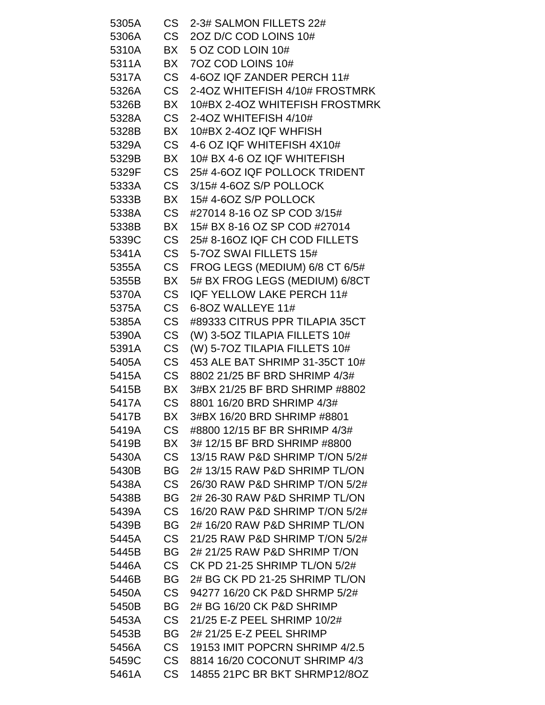| 5305A | CS I      | 2-3# SALMON FILLETS 22#        |
|-------|-----------|--------------------------------|
| 5306A | CS        | 20Z D/C COD LOINS 10#          |
| 5310A | BX        | 5 OZ COD LOIN 10#              |
| 5311A | BX        | 7OZ COD LOINS 10#              |
| 5317A | <b>CS</b> | 4-6OZ IQF ZANDER PERCH 11#     |
| 5326A | CS        | 2-4OZ WHITEFISH 4/10# FROSTMRK |
| 5326B | BX        | 10#BX 2-4OZ WHITEFISH FROSTMRK |
| 5328A | <b>CS</b> | 2-4OZ WHITEFISH 4/10#          |
| 5328B | BX        | 10#BX 2-4OZ IQF WHFISH         |
| 5329A | CS        | 4-6 OZ IQF WHITEFISH 4X10#     |
| 5329B | BX        | 10# BX 4-6 OZ IQF WHITEFISH    |
| 5329F | <b>CS</b> | 25#4-60ZIQF POLLOCK TRIDENT    |
| 5333A | <b>CS</b> | 3/15# 4-6OZ S/P POLLOCK        |
| 5333B | BX        | 15#4-60Z S/P POLLOCK           |
| 5338A | CS        | #27014 8-16 OZ SP COD 3/15#    |
| 5338B | BX        | 15# BX 8-16 OZ SP COD #27014   |
| 5339C | CS        | 25# 8-16OZ IQF CH COD FILLETS  |
| 5341A | <b>CS</b> | 5-70Z SWAI FILLETS 15#         |
| 5355A | <b>CS</b> | FROG LEGS (MEDIUM) 6/8 CT 6/5# |
| 5355B | BX        | 5# BX FROG LEGS (MEDIUM) 6/8CT |
| 5370A | <b>CS</b> | IQF YELLOW LAKE PERCH 11#      |
| 5375A | <b>CS</b> | 6-80Z WALLEYE 11#              |
| 5385A | CS        | #89333 CITRUS PPR TILAPIA 35CT |
| 5390A | <b>CS</b> | (W) 3-5OZ TILAPIA FILLETS 10#  |
| 5391A | <b>CS</b> | (W) 5-7OZ TILAPIA FILLETS 10#  |
| 5405A | <b>CS</b> | 453 ALE BAT SHRIMP 31-35CT 10# |
| 5415A | <b>CS</b> | 8802 21/25 BF BRD SHRIMP 4/3#  |
| 5415B | BX        | 3#BX 21/25 BF BRD SHRIMP #8802 |
| 5417A | <b>CS</b> | 8801 16/20 BRD SHRIMP 4/3#     |
| 5417B | ВX        | 3#BX 16/20 BRD SHRIMP #8801    |
| 5419A | <b>CS</b> | #8800 12/15 BF BR SHRIMP 4/3#  |
| 5419B | BX        | 3#12/15 BF BRD SHRIMP #8800    |
| 5430A | <b>CS</b> | 13/15 RAW P&D SHRIMP T/ON 5/2# |
| 5430B | <b>BG</b> | 2#13/15 RAW P&D SHRIMP TL/ON   |
| 5438A | <b>CS</b> | 26/30 RAW P&D SHRIMP T/ON 5/2# |
| 5438B | <b>BG</b> | 2# 26-30 RAW P&D SHRIMP TL/ON  |
| 5439A | <b>CS</b> | 16/20 RAW P&D SHRIMP T/ON 5/2# |
| 5439B | <b>BG</b> | 2#16/20 RAW P&D SHRIMP TL/ON   |
| 5445A | <b>CS</b> | 21/25 RAW P&D SHRIMP T/ON 5/2# |
| 5445B | <b>BG</b> | 2# 21/25 RAW P&D SHRIMP T/ON   |
| 5446A | <b>CS</b> | CK PD 21-25 SHRIMP TL/ON 5/2#  |
| 5446B | <b>BG</b> | 2# BG CK PD 21-25 SHRIMP TL/ON |
| 5450A | <b>CS</b> | 94277 16/20 CK P&D SHRMP 5/2#  |
| 5450B | BG        | 2# BG 16/20 CK P&D SHRIMP      |
| 5453A | <b>CS</b> | 21/25 E-Z PEEL SHRIMP 10/2#    |
| 5453B | BG        | 2# 21/25 E-Z PEEL SHRIMP       |
| 5456A | CS        | 19153 IMIT POPCRN SHRIMP 4/2.5 |
| 5459C | <b>CS</b> | 8814 16/20 COCONUT SHRIMP 4/3  |
| 5461A | CS        | 14855 21PC BR BKT SHRMP12/8OZ  |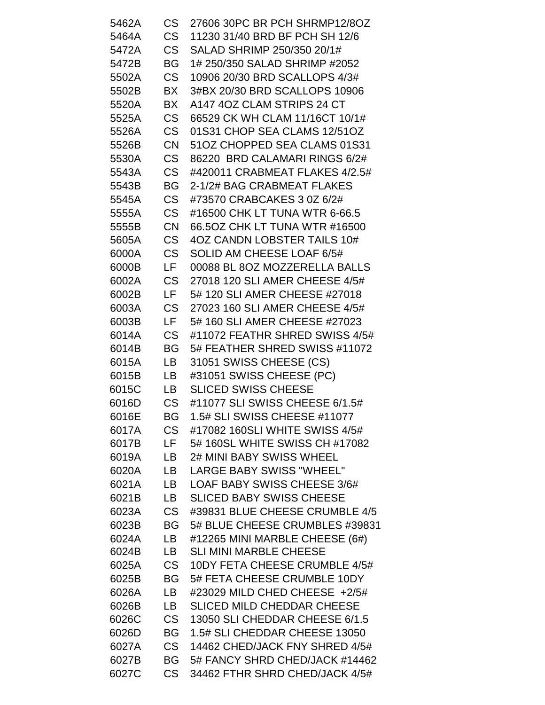| 5462A | CS        | 27606 30PC BR PCH SHRMP12/8OZ     |
|-------|-----------|-----------------------------------|
| 5464A | <b>CS</b> | 11230 31/40 BRD BF PCH SH 12/6    |
| 5472A | <b>CS</b> | SALAD SHRIMP 250/350 20/1#        |
| 5472B | <b>BG</b> | 1# 250/350 SALAD SHRIMP #2052     |
| 5502A | <b>CS</b> | 10906 20/30 BRD SCALLOPS 4/3#     |
| 5502B | BX        | 3#BX 20/30 BRD SCALLOPS 10906     |
| 5520A | <b>BX</b> | A147 4OZ CLAM STRIPS 24 CT        |
| 5525A | <b>CS</b> | 66529 CK WH CLAM 11/16CT 10/1#    |
| 5526A | <b>CS</b> | 01S31 CHOP SEA CLAMS 12/51OZ      |
| 5526B | <b>CN</b> | 51OZ CHOPPED SEA CLAMS 01S31      |
| 5530A | <b>CS</b> | 86220 BRD CALAMARI RINGS 6/2#     |
| 5543A | CS        | #420011 CRABMEAT FLAKES 4/2.5#    |
| 5543B | <b>BG</b> | 2-1/2# BAG CRABMEAT FLAKES        |
| 5545A | <b>CS</b> | #73570 CRABCAKES 3 0Z 6/2#        |
| 5555A | <b>CS</b> | #16500 CHK LT TUNA WTR 6-66.5     |
| 5555B | <b>CN</b> | 66.5OZ CHK LT TUNA WTR #16500     |
| 5605A | <b>CS</b> | 4OZ CANDN LOBSTER TAILS 10#       |
| 6000A | <b>CS</b> | SOLID AM CHEESE LOAF 6/5#         |
| 6000B | LF.       | 00088 BL 8OZ MOZZERELLA BALLS     |
| 6002A | <b>CS</b> | 27018 120 SLI AMER CHEESE 4/5#    |
| 6002B | LF.       | 5# 120 SLI AMER CHEESE #27018     |
| 6003A | <b>CS</b> | 27023 160 SLI AMER CHEESE 4/5#    |
| 6003B | LF.       | 5# 160 SLI AMER CHEESE #27023     |
| 6014A | <b>CS</b> | #11072 FEATHR SHRED SWISS 4/5#    |
| 6014B | <b>BG</b> | 5# FEATHER SHRED SWISS #11072     |
| 6015A | LB        | 31051 SWISS CHEESE (CS)           |
| 6015B | LB        | #31051 SWISS CHEESE (PC)          |
| 6015C | LB        | <b>SLICED SWISS CHEESE</b>        |
| 6016D | CS        | #11077 SLI SWISS CHEESE 6/1.5#    |
| 6016E | <b>BG</b> | 1.5# SLI SWISS CHEESE #11077      |
| 6017A | <b>CS</b> | #17082 160SLI WHITE SWISS 4/5#    |
| 6017B | LF.       | 5# 160SL WHITE SWISS CH #17082    |
| 6019A | LB        | 2# MINI BABY SWISS WHEEL          |
| 6020A | LB.       | <b>LARGE BABY SWISS "WHEEL"</b>   |
| 6021A | LB        | LOAF BABY SWISS CHEESE 3/6#       |
| 6021B | LB        | <b>SLICED BABY SWISS CHEESE</b>   |
| 6023A | <b>CS</b> | #39831 BLUE CHEESE CRUMBLE 4/5    |
| 6023B | <b>BG</b> | 5# BLUE CHEESE CRUMBLES #39831    |
| 6024A | LB.       | #12265 MINI MARBLE CHEESE (6#)    |
| 6024B | LB        | <b>SLI MINI MARBLE CHEESE</b>     |
| 6025A | <b>CS</b> | 10DY FETA CHEESE CRUMBLE 4/5#     |
| 6025B | BG        | 5# FETA CHEESE CRUMBLE 10DY       |
| 6026A | <b>LB</b> | #23029 MILD CHED CHEESE +2/5#     |
| 6026B | LB        | <b>SLICED MILD CHEDDAR CHEESE</b> |
| 6026C | <b>CS</b> | 13050 SLI CHEDDAR CHEESE 6/1.5    |
| 6026D | <b>BG</b> | 1.5# SLI CHEDDAR CHEESE 13050     |
| 6027A | <b>CS</b> | 14462 CHED/JACK FNY SHRED 4/5#    |
| 6027B | BG        | 5# FANCY SHRD CHED/JACK #14462    |
| 6027C | <b>CS</b> | 34462 FTHR SHRD CHED/JACK 4/5#    |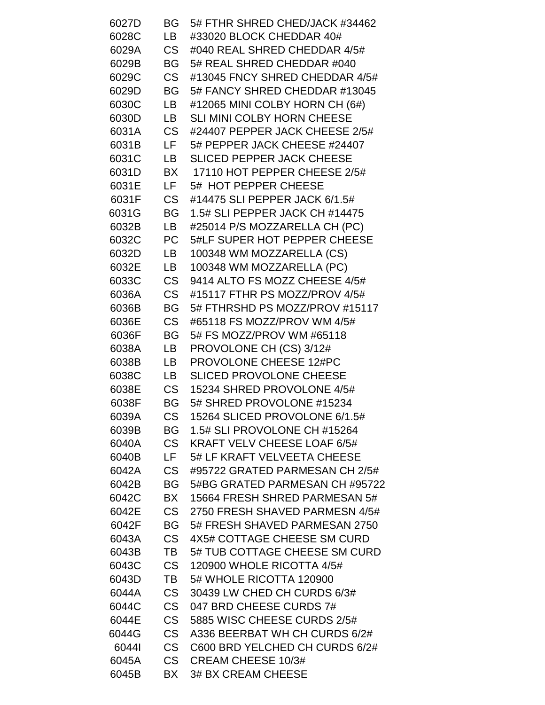| 6027D | BG        | 5# FTHR SHRED CHED/JACK #34462   |
|-------|-----------|----------------------------------|
| 6028C | LB        | #33020 BLOCK CHEDDAR 40#         |
| 6029A | <b>CS</b> | #040 REAL SHRED CHEDDAR 4/5#     |
| 6029B | BG        | 5# REAL SHRED CHEDDAR #040       |
| 6029C | <b>CS</b> | #13045 FNCY SHRED CHEDDAR 4/5#   |
| 6029D | <b>BG</b> | 5# FANCY SHRED CHEDDAR #13045    |
| 6030C | LB        | #12065 MINI COLBY HORN CH (6#)   |
| 6030D | LB        | SLI MINI COLBY HORN CHEESE       |
| 6031A | <b>CS</b> | #24407 PEPPER JACK CHEESE 2/5#   |
| 6031B | LF.       | 5# PEPPER JACK CHEESE #24407     |
| 6031C | LB        | <b>SLICED PEPPER JACK CHEESE</b> |
| 6031D | BX        | 17110 HOT PEPPER CHEESE 2/5#     |
| 6031E | LF.       | 5# HOT PEPPER CHEESE             |
| 6031F | <b>CS</b> | #14475 SLI PEPPER JACK 6/1.5#    |
| 6031G | BG        | 1.5# SLI PEPPER JACK CH #14475   |
| 6032B | LB        | #25014 P/S MOZZARELLA CH (PC)    |
| 6032C | PC        | 5#LF SUPER HOT PEPPER CHEESE     |
| 6032D | LB        | 100348 WM MOZZARELLA (CS)        |
| 6032E | LB        | 100348 WM MOZZARELLA (PC)        |
| 6033C | <b>CS</b> | 9414 ALTO FS MOZZ CHEESE 4/5#    |
| 6036A | <b>CS</b> | #15117 FTHR PS MOZZ/PROV 4/5#    |
| 6036B | <b>BG</b> | 5# FTHRSHD PS MOZZ/PROV #15117   |
| 6036E | <b>CS</b> | #65118 FS MOZZ/PROV WM 4/5#      |
| 6036F | BG        | 5# FS MOZZ/PROV WM #65118        |
| 6038A | LB        | PROVOLONE CH (CS) 3/12#          |
| 6038B | LB        | PROVOLONE CHEESE 12#PC           |
| 6038C | LB        | <b>SLICED PROVOLONE CHEESE</b>   |
| 6038E | <b>CS</b> | 15234 SHRED PROVOLONE 4/5#       |
| 6038F | BG        | 5# SHRED PROVOLONE #15234        |
| 6039A | <b>CS</b> | 15264 SLICED PROVOLONE 6/1.5#    |
| 6039B | BG        | 1.5# SLI PROVOLONE CH #15264     |
| 6040A | <b>CS</b> | KRAFT VELV CHEESE LOAF 6/5#      |
| 6040B | LF.       | 5# LF KRAFT VELVEETA CHEESE      |
| 6042A | <b>CS</b> | #95722 GRATED PARMESAN CH 2/5#   |
| 6042B | BG        | 5#BG GRATED PARMESAN CH #95722   |
| 6042C | BX        | 15664 FRESH SHRED PARMESAN 5#    |
| 6042E | CS        | 2750 FRESH SHAVED PARMESN 4/5#   |
| 6042F | BG        | 5# FRESH SHAVED PARMESAN 2750    |
| 6043A | <b>CS</b> | 4X5# COTTAGE CHEESE SM CURD      |
| 6043B | TB        | 5# TUB COTTAGE CHEESE SM CURD    |
| 6043C | <b>CS</b> | 120900 WHOLE RICOTTA 4/5#        |
| 6043D | TB        | 5# WHOLE RICOTTA 120900          |
| 6044A | <b>CS</b> | 30439 LW CHED CH CURDS 6/3#      |
| 6044C | <b>CS</b> | 047 BRD CHEESE CURDS 7#          |
| 6044E | <b>CS</b> | 5885 WISC CHEESE CURDS 2/5#      |
| 6044G | <b>CS</b> | A336 BEERBAT WH CH CURDS 6/2#    |
| 60441 | <b>CS</b> | C600 BRD YELCHED CH CURDS 6/2#   |
| 6045A | <b>CS</b> | <b>CREAM CHEESE 10/3#</b>        |
| 6045B | BX        | 3# BX CREAM CHEESE               |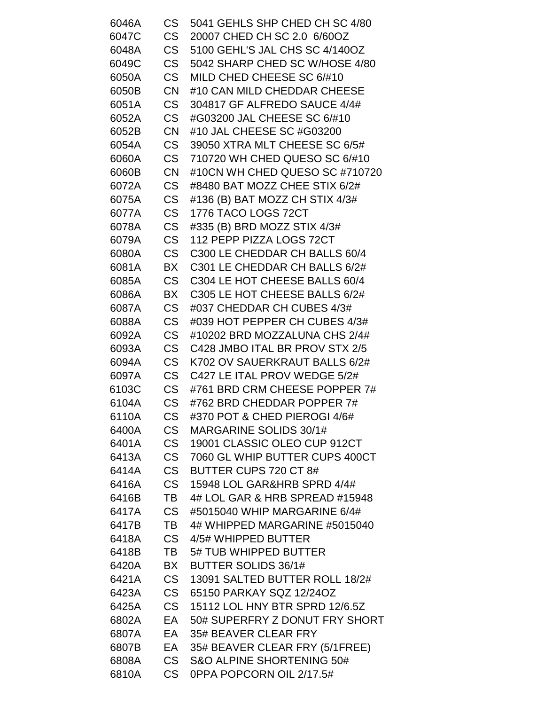| 6046A | CS        | 5041 GEHLS SHP CHED CH SC 4/80 |
|-------|-----------|--------------------------------|
| 6047C | <b>CS</b> | 20007 CHED CH SC 2.0 6/60OZ    |
| 6048A | CS        | 5100 GEHL'S JAL CHS SC 4/140OZ |
| 6049C | <b>CS</b> | 5042 SHARP CHED SC W/HOSE 4/80 |
| 6050A | <b>CS</b> | MILD CHED CHEESE SC 6/#10      |
| 6050B | <b>CN</b> | #10 CAN MILD CHEDDAR CHEESE    |
| 6051A | <b>CS</b> | 304817 GF ALFREDO SAUCE 4/4#   |
| 6052A | <b>CS</b> | #G03200 JAL CHEESE SC 6/#10    |
| 6052B | <b>CN</b> | #10 JAL CHEESE SC #G03200      |
| 6054A | <b>CS</b> | 39050 XTRA MLT CHEESE SC 6/5#  |
| 6060A | <b>CS</b> | 710720 WH CHED QUESO SC 6/#10  |
| 6060B | <b>CN</b> | #10CN WH CHED QUESO SC #710720 |
| 6072A | <b>CS</b> | #8480 BAT MOZZ CHEE STIX 6/2#  |
| 6075A | <b>CS</b> | #136 (B) BAT MOZZ CH STIX 4/3# |
| 6077A | <b>CS</b> | 1776 TACO LOGS 72CT            |
| 6078A | <b>CS</b> | #335 (B) BRD MOZZ STIX 4/3#    |
| 6079A | <b>CS</b> | 112 PEPP PIZZA LOGS 72CT       |
| 6080A | <b>CS</b> | C300 LE CHEDDAR CH BALLS 60/4  |
| 6081A | BX        | C301 LE CHEDDAR CH BALLS 6/2#  |
| 6085A | <b>CS</b> | C304 LE HOT CHEESE BALLS 60/4  |
| 6086A | BX        | C305 LE HOT CHEESE BALLS 6/2#  |
| 6087A | <b>CS</b> | #037 CHEDDAR CH CUBES 4/3#     |
| 6088A | <b>CS</b> | #039 HOT PEPPER CH CUBES 4/3#  |
| 6092A | <b>CS</b> | #10202 BRD MOZZALUNA CHS 2/4#  |
| 6093A | <b>CS</b> | C428 JMBO ITAL BR PROV STX 2/5 |
| 6094A | <b>CS</b> | K702 OV SAUERKRAUT BALLS 6/2#  |
| 6097A | CS        | C427 LE ITAL PROV WEDGE 5/2#   |
| 6103C | <b>CS</b> | #761 BRD CRM CHEESE POPPER 7#  |
| 6104A | <b>CS</b> | #762 BRD CHEDDAR POPPER 7#     |
| 6110A | <b>CS</b> | #370 POT & CHED PIEROGI 4/6#   |
| 6400A | <b>CS</b> | MARGARINE SOLIDS 30/1#         |
| 6401A | CS        | 19001 CLASSIC OLEO CUP 912CT   |
| 6413A | <b>CS</b> | 7060 GL WHIP BUTTER CUPS 400CT |
| 6414A | <b>CS</b> | BUTTER CUPS 720 CT 8#          |
| 6416A | <b>CS</b> | 15948 LOL GAR&HRB SPRD 4/4#    |
| 6416B | TB        | 4# LOL GAR & HRB SPREAD #15948 |
| 6417A | <b>CS</b> | #5015040 WHIP MARGARINE 6/4#   |
| 6417B | TB        | 4# WHIPPED MARGARINE #5015040  |
| 6418A | <b>CS</b> | 4/5# WHIPPED BUTTER            |
| 6418B | TB        | 5# TUB WHIPPED BUTTER          |
| 6420A | BX        | <b>BUTTER SOLIDS 36/1#</b>     |
| 6421A | <b>CS</b> | 13091 SALTED BUTTER ROLL 18/2# |
| 6423A | <b>CS</b> | 65150 PARKAY SQZ 12/24OZ       |
| 6425A | <b>CS</b> | 15112 LOL HNY BTR SPRD 12/6.5Z |
| 6802A | EA        | 50# SUPERFRY Z DONUT FRY SHORT |
| 6807A | EA        | 35# BEAVER CLEAR FRY           |
| 6807B | EA        | 35# BEAVER CLEAR FRY (5/1FREE) |
| 6808A | <b>CS</b> | S&O ALPINE SHORTENING 50#      |
| 6810A | CS        | 0PPA POPCORN OIL 2/17.5#       |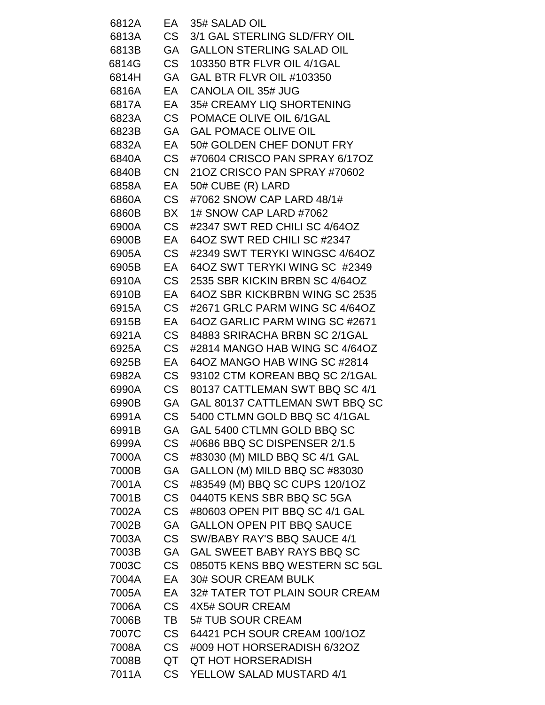| 6812A | EA        | 35# SALAD OIL                    |
|-------|-----------|----------------------------------|
| 6813A | <b>CS</b> | 3/1 GAL STERLING SLD/FRY OIL     |
| 6813B | GA        | <b>GALLON STERLING SALAD OIL</b> |
| 6814G | <b>CS</b> | 103350 BTR FLVR OIL 4/1GAL       |
| 6814H | GA        | <b>GAL BTR FLVR OIL #103350</b>  |
| 6816A | EА        | <b>CANOLA OIL 35# JUG</b>        |
| 6817A | EA        | 35# CREAMY LIQ SHORTENING        |
| 6823A | <b>CS</b> | POMACE OLIVE OIL 6/1GAL          |
| 6823B | GA        | <b>GAL POMACE OLIVE OIL</b>      |
| 6832A | EA        | 50# GOLDEN CHEF DONUT FRY        |
| 6840A | <b>CS</b> | #70604 CRISCO PAN SPRAY 6/17OZ   |
| 6840B | <b>CN</b> | 21OZ CRISCO PAN SPRAY #70602     |
| 6858A | EA        | 50# CUBE (R) LARD                |
| 6860A | CS        | #7062 SNOW CAP LARD 48/1#        |
| 6860B | BX        | 1# SNOW CAP LARD #7062           |
| 6900A | <b>CS</b> | #2347 SWT RED CHILI SC 4/64OZ    |
| 6900B | EA        | 64OZ SWT RED CHILI SC #2347      |
| 6905A | <b>CS</b> | #2349 SWT TERYKI WINGSC 4/64OZ   |
| 6905B | EA        | 64OZ SWT TERYKI WING SC #2349    |
| 6910A | <b>CS</b> | 2535 SBR KICKIN BRBN SC 4/64OZ   |
| 6910B | EА        | 64OZ SBR KICKBRBN WING SC 2535   |
| 6915A | <b>CS</b> | #2671 GRLC PARM WING SC 4/64OZ   |
| 6915B | EA        | 64OZ GARLIC PARM WING SC #2671   |
| 6921A | <b>CS</b> | 84883 SRIRACHA BRBN SC 2/1GAL    |
| 6925A | <b>CS</b> | #2814 MANGO HAB WING SC 4/64OZ   |
| 6925B | EA        | 64OZ MANGO HAB WING SC #2814     |
| 6982A | CS        | 93102 CTM KOREAN BBQ SC 2/1GAL   |
| 6990A | <b>CS</b> | 80137 CATTLEMAN SWT BBQ SC 4/1   |
| 6990B | GA        | GAL 80137 CATTLEMAN SWT BBQ SC   |
| 6991A | <b>CS</b> | 5400 CTLMN GOLD BBQ SC 4/1GAL    |
| 6991B | <b>GA</b> | GAL 5400 CTLMN GOLD BBQ SC       |
| 6999A | CS        | #0686 BBQ SC DISPENSER 2/1.5     |
| 7000A | <b>CS</b> | #83030 (M) MILD BBQ SC 4/1 GAL   |
| 7000B | GA        | GALLON (M) MILD BBQ SC #83030    |
| 7001A | <b>CS</b> | #83549 (M) BBQ SC CUPS 120/1OZ   |
| 7001B | <b>CS</b> | 0440T5 KENS SBR BBQ SC 5GA       |
| 7002A | <b>CS</b> | #80603 OPEN PIT BBQ SC 4/1 GAL   |
| 7002B | GA        | <b>GALLON OPEN PIT BBQ SAUCE</b> |
| 7003A | <b>CS</b> | SW/BABY RAY'S BBQ SAUCE 4/1      |
| 7003B | <b>GA</b> | GAL SWEET BABY RAYS BBQ SC       |
| 7003C | CS .      | 0850T5 KENS BBQ WESTERN SC 5GL   |
| 7004A | EA        | <b>30# SOUR CREAM BULK</b>       |
| 7005A | EA        | 32# TATER TOT PLAIN SOUR CREAM   |
| 7006A | <b>CS</b> | 4X5# SOUR CREAM                  |
| 7006B | TB        | 5# TUB SOUR CREAM                |
| 7007C | CS        | 64421 PCH SOUR CREAM 100/1OZ     |
| 7008A | CS        | #009 HOT HORSERADISH 6/32OZ      |
| 7008B | QT        | <b>QT HOT HORSERADISH</b>        |
| 7011A | CS        | YELLOW SALAD MUSTARD 4/1         |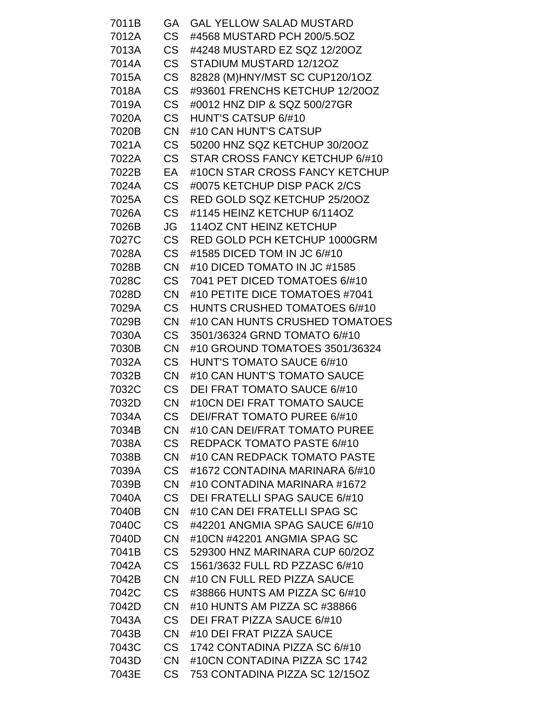| 7011B | GA        | <b>GAL YELLOW SALAD MUSTARD</b>     |
|-------|-----------|-------------------------------------|
| 7012A | <b>CS</b> | #4568 MUSTARD PCH 200/5.5OZ         |
| 7013A | <b>CS</b> | #4248 MUSTARD EZ SQZ 12/20OZ        |
| 7014A | CS        | STADIUM MUSTARD 12/12OZ             |
| 7015A | <b>CS</b> | 82828 (M)HNY/MST SC CUP120/1OZ      |
| 7018A | CS        | #93601 FRENCHS KETCHUP 12/20OZ      |
| 7019A | <b>CS</b> | #0012 HNZ DIP & SQZ 500/27GR        |
| 7020A | <b>CS</b> | HUNT'S CATSUP 6/#10                 |
| 7020B | <b>CN</b> | #10 CAN HUNT'S CATSUP               |
| 7021A | CS        | 50200 HNZ SQZ KETCHUP 30/20OZ       |
| 7022A | <b>CS</b> | STAR CROSS FANCY KETCHUP 6/#10      |
| 7022B | EA        | #10CN STAR CROSS FANCY KETCHUP      |
| 7024A | <b>CS</b> | #0075 KETCHUP DISP PACK 2/CS        |
| 7025A | <b>CS</b> | RED GOLD SQZ KETCHUP 25/20OZ        |
| 7026A | CS        | #1145 HEINZ KETCHUP 6/114OZ         |
| 7026B | JG        | <b>114OZ CNT HEINZ KETCHUP</b>      |
| 7027C | <b>CS</b> | <b>RED GOLD PCH KETCHUP 1000GRM</b> |
| 7028A | <b>CS</b> | #1585 DICED TOM IN JC 6/#10         |
| 7028B | <b>CN</b> | #10 DICED TOMATO IN JC #1585        |
| 7028C | <b>CS</b> | 7041 PET DICED TOMATOES 6/#10       |
| 7028D | <b>CN</b> | #10 PETITE DICE TOMATOES #7041      |
| 7029A | CS        | <b>HUNTS CRUSHED TOMATOES 6/#10</b> |
| 7029B | <b>CN</b> | #10 CAN HUNTS CRUSHED TOMATOES      |
| 7030A | <b>CS</b> | 3501/36324 GRND TOMATO 6/#10        |
| 7030B | <b>CN</b> | #10 GROUND TOMATOES 3501/36324      |
| 7032A | CS        | <b>HUNT'S TOMATO SAUCE 6/#10</b>    |
| 7032B | CN.       | #10 CAN HUNT'S TOMATO SAUCE         |
| 7032C | CS        | <b>DEI FRAT TOMATO SAUCE 6/#10</b>  |
| 7032D | CN        | #10CN DEI FRAT TOMATO SAUCE         |
| 7034A | <b>CS</b> | <b>DEI/FRAT TOMATO PUREE 6/#10</b>  |
| 7034B | <b>CN</b> | #10 CAN DEI/FRAT TOMATO PUREE       |
| 7038A | CS        | <b>REDPACK TOMATO PASTE 6/#10</b>   |
| 7038B | <b>CN</b> | #10 CAN REDPACK TOMATO PASTE        |
| 7039A | CS        | #1672 CONTADINA MARINARA 6/#10      |
| 7039B | <b>CN</b> | #10 CONTADINA MARINARA #1672        |
| 7040A | <b>CS</b> | DEI FRATELLI SPAG SAUCE 6/#10       |
| 7040B | <b>CN</b> | #10 CAN DEI FRATELLI SPAG SC        |
| 7040C | <b>CS</b> | #42201 ANGMIA SPAG SAUCE 6/#10      |
| 7040D | <b>CN</b> | #10CN #42201 ANGMIA SPAG SC         |
| 7041B | CS        | 529300 HNZ MARINARA CUP 60/2OZ      |
| 7042A | CS        | 1561/3632 FULL RD PZZASC 6/#10      |
| 7042B | <b>CN</b> | #10 CN FULL RED PIZZA SAUCE         |
| 7042C | CS        | #38866 HUNTS AM PIZZA SC 6/#10      |
| 7042D | <b>CN</b> | #10 HUNTS AM PIZZA SC #38866        |
| 7043A | CS        | <b>DEI FRAT PIZZA SAUCE 6/#10</b>   |
| 7043B | <b>CN</b> | #10 DEI FRAT PIZZA SAUCE            |
| 7043C | CS        | 1742 CONTADINA PIZZA SC 6/#10       |
| 7043D | <b>CN</b> | #10CN CONTADINA PIZZA SC 1742       |
| 7043E | CS        | 753 CONTADINA PIZZA SC 12/15OZ      |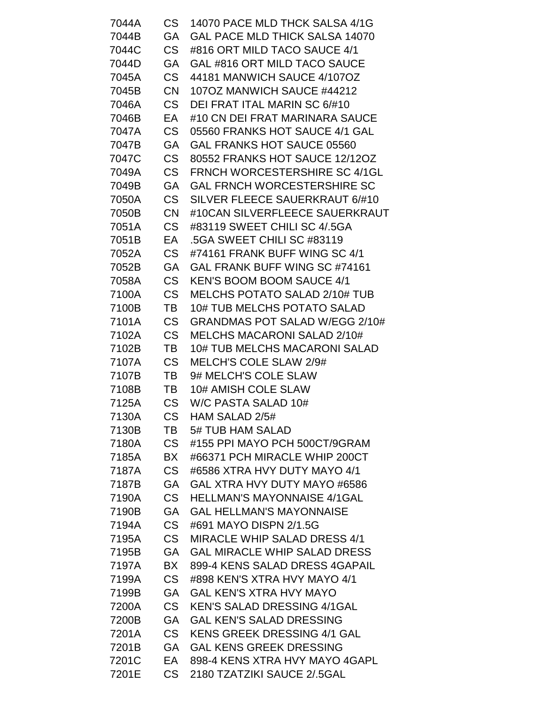| 7044A | CS        | 14070 PACE MLD THCK SALSA 4/1G        |
|-------|-----------|---------------------------------------|
| 7044B | GA        | <b>GAL PACE MLD THICK SALSA 14070</b> |
| 7044C | CS        | #816 ORT MILD TACO SAUCE 4/1          |
| 7044D | GA        | GAL #816 ORT MILD TACO SAUCE          |
| 7045A | CS        | 44181 MANWICH SAUCE 4/107OZ           |
| 7045B | <b>CN</b> | 107OZ MANWICH SAUCE #44212            |
| 7046A | CS        | DEI FRAT ITAL MARIN SC 6/#10          |
| 7046B | EA        | #10 CN DEI FRAT MARINARA SAUCE        |
| 7047A | <b>CS</b> | 05560 FRANKS HOT SAUCE 4/1 GAL        |
| 7047B | GA        | <b>GAL FRANKS HOT SAUCE 05560</b>     |
| 7047C | <b>CS</b> | 80552 FRANKS HOT SAUCE 12/12OZ        |
| 7049A | CS        | FRNCH WORCESTERSHIRE SC 4/1GL         |
| 7049B | <b>GA</b> | <b>GAL FRNCH WORCESTERSHIRE SC</b>    |
| 7050A | CS        | SILVER FLEECE SAUERKRAUT 6/#10        |
| 7050B | <b>CN</b> | #10CAN SILVERFLEECE SAUERKRAUT        |
| 7051A | CS        | #83119 SWEET CHILI SC 4/.5GA          |
| 7051B | EA        | .5GA SWEET CHILI SC #83119            |
| 7052A | CS        | #74161 FRANK BUFF WING SC 4/1         |
| 7052B | GA        | GAL FRANK BUFF WING SC #74161         |
| 7058A | <b>CS</b> | <b>KEN'S BOOM BOOM SAUCE 4/1</b>      |
| 7100A | CS        | <b>MELCHS POTATO SALAD 2/10# TUB</b>  |
| 7100B | TB        | <b>10# TUB MELCHS POTATO SALAD</b>    |
| 7101A | CS        | GRANDMAS POT SALAD W/EGG 2/10#        |
| 7102A | <b>CS</b> | MELCHS MACARONI SALAD 2/10#           |
| 7102B | TB        | <b>10# TUB MELCHS MACARONI SALAD</b>  |
| 7107A | CS        | MELCH'S COLE SLAW 2/9#                |
| 7107B | TB        | 9# MELCH'S COLE SLAW                  |
| 7108B | TB        | 10# AMISH COLE SLAW                   |
| 7125A | CS        | W/C PASTA SALAD 10#                   |
| 7130A | <b>CS</b> | HAM SALAD 2/5#                        |
| 7130B | TB        | 5# TUB HAM SALAD                      |
| 7180A | CS        | #155 PPI MAYO PCH 500CT/9GRAM         |
| 7185A | BX        | #66371 PCH MIRACLE WHIP 200CT         |
| 7187A | CS        | #6586 XTRA HVY DUTY MAYO 4/1          |
| 7187B | GA        | GAL XTRA HVY DUTY MAYO #6586          |
| 7190A | CS        | <b>HELLMAN'S MAYONNAISE 4/1GAL</b>    |
| 7190B | <b>GA</b> | <b>GAL HELLMAN'S MAYONNAISE</b>       |
| 7194A | <b>CS</b> | #691 MAYO DISPN 2/1.5G                |
| 7195A | CS        | <b>MIRACLE WHIP SALAD DRESS 4/1</b>   |
| 7195B | <b>GA</b> | <b>GAL MIRACLE WHIP SALAD DRESS</b>   |
| 7197A | BX        | 899-4 KENS SALAD DRESS 4GAPAIL        |
| 7199A | CS        | #898 KEN'S XTRA HVY MAYO 4/1          |
| 7199B | GA        | <b>GAL KEN'S XTRA HVY MAYO</b>        |
| 7200A | <b>CS</b> | <b>KEN'S SALAD DRESSING 4/1GAL</b>    |
| 7200B | GA        | <b>GAL KEN'S SALAD DRESSING</b>       |
| 7201A | CS        | <b>KENS GREEK DRESSING 4/1 GAL</b>    |
| 7201B | <b>GA</b> | <b>GAL KENS GREEK DRESSING</b>        |
| 7201C | EA        | 898-4 KENS XTRA HVY MAYO 4GAPL        |
| 7201E | CS        | 2180 TZATZIKI SAUCE 2/.5GAL           |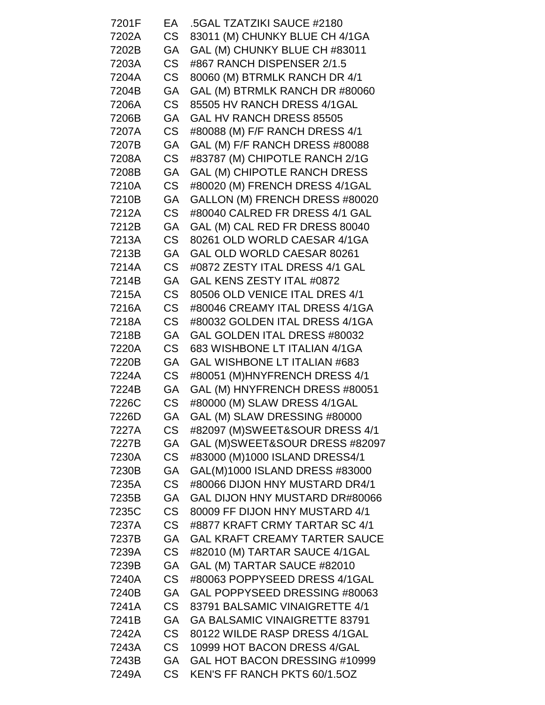| 7201F | EA        | .5GAL TZATZIKI SAUCE #2180           |
|-------|-----------|--------------------------------------|
| 7202A | CS        | 83011 (M) CHUNKY BLUE CH 4/1GA       |
| 7202B | GA        | GAL (M) CHUNKY BLUE CH #83011        |
| 7203A | CS        | #867 RANCH DISPENSER 2/1.5           |
| 7204A | CS        | 80060 (M) BTRMLK RANCH DR 4/1        |
| 7204B | GA        | GAL (M) BTRMLK RANCH DR #80060       |
| 7206A | <b>CS</b> | 85505 HV RANCH DRESS 4/1GAL          |
| 7206B | GA        | GAL HV RANCH DRESS 85505             |
| 7207A | CS        | #80088 (M) F/F RANCH DRESS 4/1       |
| 7207B | GA        | GAL (M) F/F RANCH DRESS #80088       |
| 7208A | <b>CS</b> | #83787 (M) CHIPOTLE RANCH 2/1G       |
| 7208B | GA        | <b>GAL (M) CHIPOTLE RANCH DRESS</b>  |
| 7210A | <b>CS</b> | #80020 (M) FRENCH DRESS 4/1GAL       |
| 7210B | GA        | GALLON (M) FRENCH DRESS #80020       |
| 7212A | CS        | #80040 CALRED FR DRESS 4/1 GAL       |
| 7212B | GA        | GAL (M) CAL RED FR DRESS 80040       |
| 7213A | CS        | 80261 OLD WORLD CAESAR 4/1GA         |
| 7213B | GA        | GAL OLD WORLD CAESAR 80261           |
| 7214A | CS        | #0872 ZESTY ITAL DRESS 4/1 GAL       |
| 7214B | <b>GA</b> | GAL KENS ZESTY ITAL #0872            |
| 7215A | CS .      | 80506 OLD VENICE ITAL DRES 4/1       |
| 7216A | <b>CS</b> | #80046 CREAMY ITAL DRESS 4/1GA       |
| 7218A | CS        | #80032 GOLDEN ITAL DRESS 4/1GA       |
| 7218B | <b>GA</b> | GAL GOLDEN ITAL DRESS #80032         |
| 7220A | CS        | 683 WISHBONE LT ITALIAN 4/1GA        |
| 7220B | GA        | GAL WISHBONE LT ITALIAN #683         |
| 7224A | CS        | #80051 (M)HNYFRENCH DRESS 4/1        |
| 7224B | <b>GA</b> | GAL (M) HNYFRENCH DRESS #80051       |
| 7226C | CS        | #80000 (M) SLAW DRESS 4/1GAL         |
| 7226D | GA        | GAL (M) SLAW DRESSING #80000         |
| 7227A | <b>CS</b> | #82097 (M)SWEET&SOUR DRESS 4/1       |
| 7227B | GA        | GAL (M)SWEET&SOUR DRESS #82097       |
| 7230A | <b>CS</b> | #83000 (M)1000 ISLAND DRESS4/1       |
| 7230B | GA        | GAL(M)1000 ISLAND DRESS #83000       |
| 7235A | <b>CS</b> | #80066 DIJON HNY MUSTARD DR4/1       |
| 7235B | GA        | GAL DIJON HNY MUSTARD DR#80066       |
| 7235C | <b>CS</b> | 80009 FF DIJON HNY MUSTARD 4/1       |
| 7237A | CS .      | #8877 KRAFT CRMY TARTAR SC 4/1       |
| 7237B | <b>GA</b> | <b>GAL KRAFT CREAMY TARTER SAUCE</b> |
| 7239A | <b>CS</b> | #82010 (M) TARTAR SAUCE 4/1GAL       |
| 7239B | GA        | GAL (M) TARTAR SAUCE #82010          |
| 7240A | <b>CS</b> | #80063 POPPYSEED DRESS 4/1GAL        |
| 7240B | GA        | GAL POPPYSEED DRESSING #80063        |
| 7241A | <b>CS</b> | 83791 BALSAMIC VINAIGRETTE 4/1       |
| 7241B | GA        | <b>GA BALSAMIC VINAIGRETTE 83791</b> |
| 7242A | CS        | 80122 WILDE RASP DRESS 4/1GAL        |
| 7243A | CS        | 10999 HOT BACON DRESS 4/GAL          |
| 7243B | <b>GA</b> | GAL HOT BACON DRESSING #10999        |
| 7249A | CS        | KEN'S FF RANCH PKTS 60/1.5OZ         |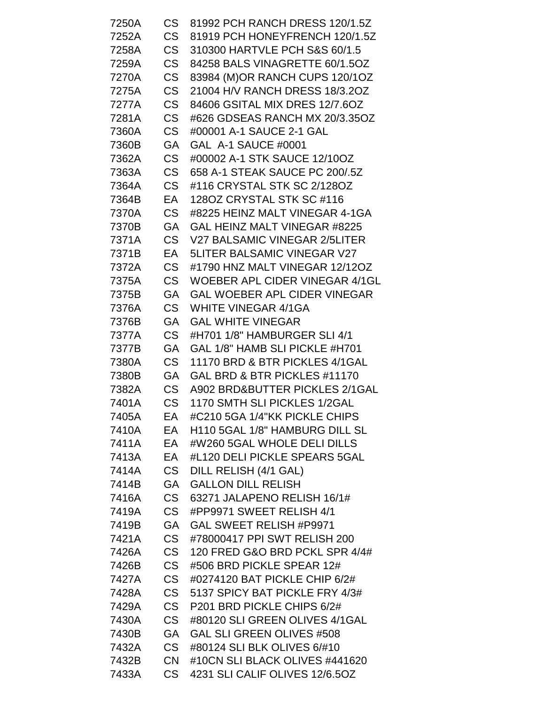| 7250A | <b>CS</b> | 81992 PCH RANCH DRESS 120/1.5Z      |
|-------|-----------|-------------------------------------|
| 7252A | <b>CS</b> | 81919 PCH HONEYFRENCH 120/1.5Z      |
| 7258A | <b>CS</b> | 310300 HARTVLE PCH S&S 60/1.5       |
| 7259A | <b>CS</b> | 84258 BALS VINAGRETTE 60/1.5OZ      |
| 7270A | <b>CS</b> | 83984 (M)OR RANCH CUPS 120/1OZ      |
| 7275A | <b>CS</b> | 21004 H/V RANCH DRESS 18/3.2OZ      |
| 7277A | <b>CS</b> | 84606 GSITAL MIX DRES 12/7.6OZ      |
| 7281A | <b>CS</b> | #626 GDSEAS RANCH MX 20/3.35OZ      |
| 7360A | <b>CS</b> | #00001 A-1 SAUCE 2-1 GAL            |
| 7360B | GА        | GAL A-1 SAUCE #0001                 |
| 7362A | <b>CS</b> | #00002 A-1 STK SAUCE 12/10OZ        |
| 7363A | <b>CS</b> | 658 A-1 STEAK SAUCE PC 200/.5Z      |
| 7364A | <b>CS</b> | #116 CRYSTAL STK SC 2/128OZ         |
| 7364B | EA        | 1280Z CRYSTAL STK SC #116           |
| 7370A | <b>CS</b> | #8225 HEINZ MALT VINEGAR 4-1GA      |
| 7370B | GA        | GAL HEINZ MALT VINEGAR #8225        |
| 7371A | <b>CS</b> | V27 BALSAMIC VINEGAR 2/5LITER       |
| 7371B | EA        | <b>5LITER BALSAMIC VINEGAR V27</b>  |
| 7372A | CS        | #1790 HNZ MALT VINEGAR 12/12OZ      |
| 7375A | <b>CS</b> | WOEBER APL CIDER VINEGAR 4/1GL      |
| 7375B | GА        | <b>GAL WOEBER APL CIDER VINEGAR</b> |
| 7376A | <b>CS</b> | <b>WHITE VINEGAR 4/1GA</b>          |
| 7376B | GA        | <b>GAL WHITE VINEGAR</b>            |
| 7377A | <b>CS</b> | #H701 1/8" HAMBURGER SLI 4/1        |
| 7377B | GA        | GAL 1/8" HAMB SLI PICKLE #H701      |
| 7380A | <b>CS</b> | 11170 BRD & BTR PICKLES 4/1GAL      |
| 7380B | GA        | GAL BRD & BTR PICKLES #11170        |
| 7382A | <b>CS</b> | A902 BRD&BUTTER PICKLES 2/1GAL      |
| 7401A | CS        | 1170 SMTH SLI PICKLES 1/2GAL        |
| 7405A | EA        | #C210 5GA 1/4"KK PICKLE CHIPS       |
| 7410A | EA        | H110 5GAL 1/8" HAMBURG DILL SL      |
| 7411A | EA        | #W260 5GAL WHOLE DELI DILLS         |
| 7413A | EA        | #L120 DELI PICKLE SPEARS 5GAL       |
| 7414A | CS .      | DILL RELISH (4/1 GAL)               |
| 7414B | <b>GA</b> | <b>GALLON DILL RELISH</b>           |
| 7416A | <b>CS</b> | 63271 JALAPENO RELISH 16/1#         |
| 7419A | <b>CS</b> | #PP9971 SWEET RELISH 4/1            |
| 7419B | GA        | GAL SWEET RELISH #P9971             |
| 7421A | <b>CS</b> | #78000417 PPI SWT RELISH 200        |
| 7426A | <b>CS</b> | 120 FRED G&O BRD PCKL SPR 4/4#      |
| 7426B | CS        | #506 BRD PICKLE SPEAR 12#           |
| 7427A | CS        | #0274120 BAT PICKLE CHIP 6/2#       |
| 7428A | <b>CS</b> | 5137 SPICY BAT PICKLE FRY 4/3#      |
| 7429A | <b>CS</b> | P201 BRD PICKLE CHIPS 6/2#          |
| 7430A | CS        | #80120 SLI GREEN OLIVES 4/1GAL      |
| 7430B | <b>GA</b> | <b>GAL SLI GREEN OLIVES #508</b>    |
| 7432A | CS .      | #80124 SLI BLK OLIVES 6/#10         |
| 7432B | CN -      | #10CN SLI BLACK OLIVES #441620      |
| 7433A | CS        | 4231 SLI CALIF OLIVES 12/6.5OZ      |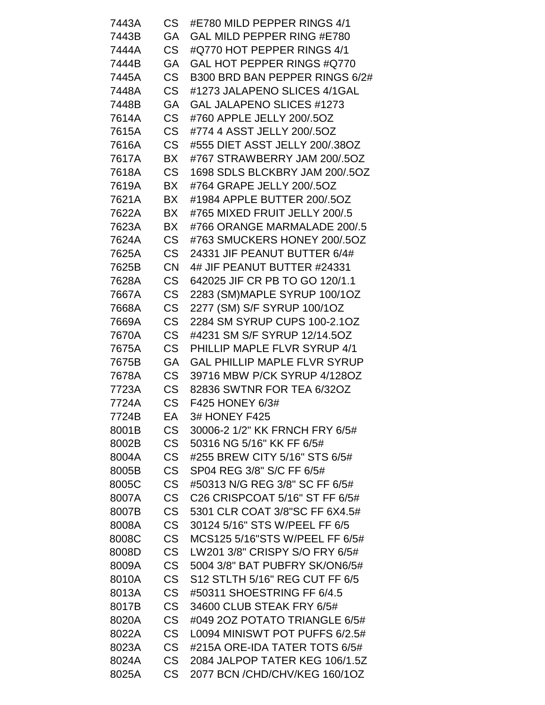| 7443A | CS .      | #E780 MILD PEPPER RINGS 4/1                                 |
|-------|-----------|-------------------------------------------------------------|
| 7443B | GA        | GAL MILD PEPPER RING #E780                                  |
| 7444A | <b>CS</b> | #Q770 HOT PEPPER RINGS 4/1                                  |
| 7444B | GA        | GAL HOT PEPPER RINGS #Q770                                  |
| 7445A | <b>CS</b> | B300 BRD BAN PEPPER RINGS 6/2#                              |
| 7448A | <b>CS</b> | #1273 JALAPENO SLICES 4/1GAL                                |
| 7448B | GA        | GAL JALAPENO SLICES #1273                                   |
| 7614A | <b>CS</b> | #760 APPLE JELLY 200/.5OZ                                   |
| 7615A | <b>CS</b> | #774 4 ASST JELLY 200/.5OZ                                  |
| 7616A | <b>CS</b> | #555 DIET ASST JELLY 200/.38OZ                              |
| 7617A | <b>BX</b> | #767 STRAWBERRY JAM 200/.5OZ                                |
| 7618A | CS        | 1698 SDLS BLCKBRY JAM 200/.5OZ                              |
| 7619A | BX        | #764 GRAPE JELLY 200/.5OZ                                   |
| 7621A | <b>BX</b> | #1984 APPLE BUTTER 200/.5OZ                                 |
| 7622A | BX        | #765 MIXED FRUIT JELLY 200/.5                               |
| 7623A | BX        | #766 ORANGE MARMALADE 200/.5                                |
| 7624A | <b>CS</b> | #763 SMUCKERS HONEY 200/.5OZ                                |
| 7625A | <b>CS</b> | 24331 JIF PEANUT BUTTER 6/4#                                |
| 7625B | <b>CN</b> | 4# JIF PEANUT BUTTER #24331                                 |
| 7628A | <b>CS</b> | 642025 JIF CR PB TO GO 120/1.1                              |
| 7667A | <b>CS</b> |                                                             |
| 7668A | <b>CS</b> | 2283 (SM)MAPLE SYRUP 100/1OZ<br>2277 (SM) S/F SYRUP 100/1OZ |
| 7669A | <b>CS</b> | 2284 SM SYRUP CUPS 100-2.1OZ                                |
| 7670A | <b>CS</b> | #4231 SM S/F SYRUP 12/14.5OZ                                |
| 7675A | <b>CS</b> | PHILLIP MAPLE FLVR SYRUP 4/1                                |
| 7675B | GA        | <b>GAL PHILLIP MAPLE FLVR SYRUP</b>                         |
| 7678A | CS        | 39716 MBW P/CK SYRUP 4/1280Z                                |
| 7723A | <b>CS</b> | 82836 SWTNR FOR TEA 6/32OZ                                  |
| 7724A | <b>CS</b> | F425 HONEY 6/3#                                             |
| 7724B | EA        | 3# HONEY F425                                               |
| 8001B | <b>CS</b> | 30006-2 1/2" KK FRNCH FRY 6/5#                              |
| 8002B | <b>CS</b> | 50316 NG 5/16" KK FF 6/5#                                   |
| 8004A | <b>CS</b> | #255 BREW CITY 5/16" STS 6/5#                               |
| 8005B | <b>CS</b> | SP04 REG 3/8" S/C FF 6/5#                                   |
| 8005C | <b>CS</b> | #50313 N/G REG 3/8" SC FF 6/5#                              |
| 8007A | <b>CS</b> | C26 CRISPCOAT 5/16" ST FF 6/5#                              |
| 8007B | <b>CS</b> | 5301 CLR COAT 3/8"SC FF 6X4.5#                              |
| 8008A | <b>CS</b> | 30124 5/16" STS W/PEEL FF 6/5                               |
| 8008C | <b>CS</b> | MCS125 5/16"STS W/PEEL FF 6/5#                              |
| 8008D | <b>CS</b> | LW201 3/8" CRISPY S/O FRY 6/5#                              |
| 8009A | <b>CS</b> | 5004 3/8" BAT PUBFRY SK/ON6/5#                              |
| 8010A | <b>CS</b> | S12 STLTH 5/16" REG CUT FF 6/5                              |
| 8013A | <b>CS</b> | #50311 SHOESTRING FF 6/4.5                                  |
| 8017B | <b>CS</b> | 34600 CLUB STEAK FRY 6/5#                                   |
| 8020A | <b>CS</b> | #049 2OZ POTATO TRIANGLE 6/5#                               |
| 8022A | <b>CS</b> | L0094 MINISWT POT PUFFS 6/2.5#                              |
| 8023A | <b>CS</b> | #215A ORE-IDA TATER TOTS 6/5#                               |
| 8024A | <b>CS</b> | 2084 JALPOP TATER KEG 106/1.5Z                              |
| 8025A | <b>CS</b> | 2077 BCN / CHD/CHV/KEG 160/10Z                              |
|       |           |                                                             |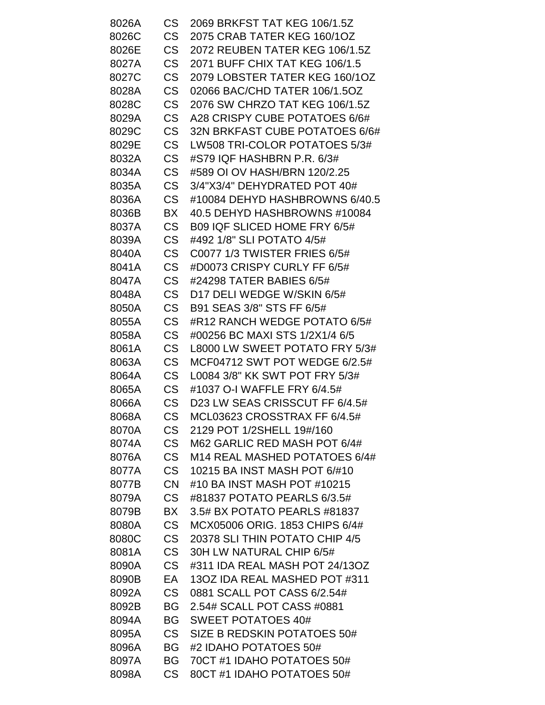| 8026A | <b>CS</b> | 2069 BRKFST TAT KEG 106/1.5Z   |
|-------|-----------|--------------------------------|
| 8026C | <b>CS</b> | 2075 CRAB TATER KEG 160/1OZ    |
| 8026E | <b>CS</b> | 2072 REUBEN TATER KEG 106/1.5Z |
| 8027A | <b>CS</b> | 2071 BUFF CHIX TAT KEG 106/1.5 |
| 8027C | <b>CS</b> | 2079 LOBSTER TATER KEG 160/1OZ |
| 8028A | <b>CS</b> | 02066 BAC/CHD TATER 106/1.5OZ  |
| 8028C | <b>CS</b> | 2076 SW CHRZO TAT KEG 106/1.5Z |
| 8029A | <b>CS</b> | A28 CRISPY CUBE POTATOES 6/6#  |
| 8029C | <b>CS</b> | 32N BRKFAST CUBE POTATOES 6/6# |
| 8029E | <b>CS</b> | LW508 TRI-COLOR POTATOES 5/3#  |
| 8032A | <b>CS</b> | #S79 IQF HASHBRN P.R. 6/3#     |
| 8034A | <b>CS</b> | #589 OI OV HASH/BRN 120/2.25   |
| 8035A | <b>CS</b> | 3/4"X3/4" DEHYDRATED POT 40#   |
| 8036A | <b>CS</b> | #10084 DEHYD HASHBROWNS 6/40.5 |
| 8036B | BX        | 40.5 DEHYD HASHBROWNS #10084   |
| 8037A | <b>CS</b> | B09 IQF SLICED HOME FRY 6/5#   |
| 8039A | <b>CS</b> | #492 1/8" SLI POTATO 4/5#      |
| 8040A | <b>CS</b> | C0077 1/3 TWISTER FRIES 6/5#   |
| 8041A | <b>CS</b> | #D0073 CRISPY CURLY FF 6/5#    |
| 8047A | <b>CS</b> | #24298 TATER BABIES 6/5#       |
| 8048A | <b>CS</b> | D17 DELI WEDGE W/SKIN 6/5#     |
| 8050A | <b>CS</b> | B91 SEAS 3/8" STS FF 6/5#      |
| 8055A | <b>CS</b> | #R12 RANCH WEDGE POTATO 6/5#   |
| 8058A | <b>CS</b> | #00256 BC MAXI STS 1/2X1/4 6/5 |
| 8061A | <b>CS</b> | L8000 LW SWEET POTATO FRY 5/3# |
| 8063A | <b>CS</b> | MCF04712 SWT POT WEDGE 6/2.5#  |
| 8064A | <b>CS</b> | L0084 3/8" KK SWT POT FRY 5/3# |
| 8065A | <b>CS</b> | #1037 O-I WAFFLE FRY 6/4.5#    |
| 8066A | <b>CS</b> | D23 LW SEAS CRISSCUT FF 6/4.5# |
| 8068A | <b>CS</b> | MCL03623 CROSSTRAX FF 6/4.5#   |
| 8070A | <b>CS</b> | 2129 POT 1/2SHELL 19#/160      |
| 8074A | <b>CS</b> | M62 GARLIC RED MASH POT 6/4#   |
| 8076A | <b>CS</b> | M14 REAL MASHED POTATOES 6/4#  |
| 8077A | <b>CS</b> | 10215 BA INST MASH POT 6/#10   |
| 8077B | <b>CN</b> | #10 BA INST MASH POT #10215    |
| 8079A | CS        | #81837 POTATO PEARLS 6/3.5#    |
| 8079B | BX        | 3.5# BX POTATO PEARLS #81837   |
| 8080A | <b>CS</b> | MCX05006 ORIG. 1853 CHIPS 6/4# |
| 8080C | <b>CS</b> | 20378 SLI THIN POTATO CHIP 4/5 |
| 8081A | <b>CS</b> | 30H LW NATURAL CHIP 6/5#       |
| 8090A | <b>CS</b> | #311 IDA REAL MASH POT 24/13OZ |
| 8090B | EA        | 130Z IDA REAL MASHED POT #311  |
| 8092A | <b>CS</b> | 0881 SCALL POT CASS 6/2.54#    |
| 8092B | BG.       | 2.54# SCALL POT CASS #0881     |
| 8094A | BG        | <b>SWEET POTATOES 40#</b>      |
| 8095A | CS        | SIZE B REDSKIN POTATOES 50#    |
| 8096A | BG        | #2 IDAHO POTATOES 50#          |
| 8097A | BG        | 70CT #1 IDAHO POTATOES 50#     |
| 8098A | <b>CS</b> | 80CT #1 IDAHO POTATOES 50#     |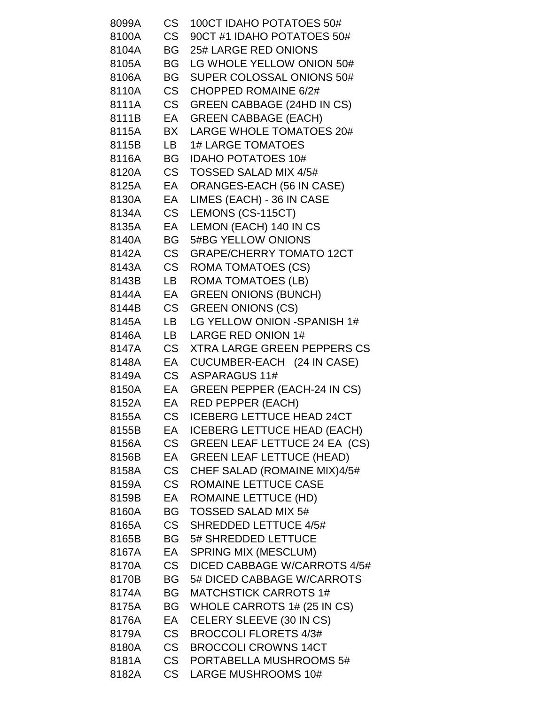| 8099A    | CS        | 100CT IDAHO POTATOES 50#              |
|----------|-----------|---------------------------------------|
| 8100A    | <b>CS</b> | 90CT #1 IDAHO POTATOES 50#            |
| 8104A    | BG -      | 25# LARGE RED ONIONS                  |
| 8105A    | BG -      | LG WHOLE YELLOW ONION 50#             |
| 8106A    | BG I      | SUPER COLOSSAL ONIONS 50#             |
| 8110A    | <b>CS</b> | CHOPPED ROMAINE 6/2#                  |
| 8111A    | <b>CS</b> | <b>GREEN CABBAGE (24HD IN CS)</b>     |
| 8111B EA |           | <b>GREEN CABBAGE (EACH)</b>           |
| 8115A BX |           | LARGE WHOLE TOMATOES 20#              |
| 8115B    | LB        | <b>1# LARGE TOMATOES</b>              |
| 8116A    | <b>BG</b> | <b>IDAHO POTATOES 10#</b>             |
| 8120A CS |           | <b>TOSSED SALAD MIX 4/5#</b>          |
| 8125A EA |           | ORANGES-EACH (56 IN CASE)             |
| 8130A    | EA        | LIMES (EACH) - 36 IN CASE             |
| 8134A    | <b>CS</b> | LEMONS (CS-115CT)                     |
| 8135A EA |           | LEMON (EACH) 140 IN CS                |
| 8140A    | BG I      | 5#BG YELLOW ONIONS                    |
| 8142A    | CS .      | <b>GRAPE/CHERRY TOMATO 12CT</b>       |
| 8143A CS |           | <b>ROMA TOMATOES (CS)</b>             |
| 8143B    | LB        | <b>ROMA TOMATOES (LB)</b>             |
| 8144A    | EA        | <b>GREEN ONIONS (BUNCH)</b>           |
| 8144B    | <b>CS</b> | <b>GREEN ONIONS (CS)</b>              |
| 8145A    | LB        | LG YELLOW ONION -SPANISH 1#           |
| 8146A    | LB        | LARGE RED ONION 1#                    |
| 8147A    | <b>CS</b> | <b>XTRA LARGE GREEN PEPPERS CS</b>    |
| 8148A    | EA        | CUCUMBER-EACH (24 IN CASE)            |
| 8149A CS |           | <b>ASPARAGUS 11#</b>                  |
|          |           | 8150A EA GREEN PEPPER (EACH-24 IN CS) |
| 8152A EA |           | RED PEPPER (EACH)                     |
| 8155A    | CS        | <b>ICEBERG LETTUCE HEAD 24CT</b>      |
| 8155B    | EA        | <b>ICEBERG LETTUCE HEAD (EACH)</b>    |
| 8156A    | <b>CS</b> | GREEN LEAF LETTUCE 24 EA (CS)         |
| 8156B    | EA        | <b>GREEN LEAF LETTUCE (HEAD)</b>      |
| 8158A    | CS        | CHEF SALAD (ROMAINE MIX)4/5#          |
| 8159A    | <b>CS</b> | ROMAINE LETTUCE CASE                  |
| 8159B    | EA        | <b>ROMAINE LETTUCE (HD)</b>           |
| 8160A    | BG -      | <b>TOSSED SALAD MIX 5#</b>            |
| 8165A    | CS .      | <b>SHREDDED LETTUCE 4/5#</b>          |
| 8165B    | <b>BG</b> | 5# SHREDDED LETTUCE                   |
| 8167A    | EA        | <b>SPRING MIX (MESCLUM)</b>           |
| 8170A    | CS        | DICED CABBAGE W/CARROTS 4/5#          |
| 8170B    | BG        | 5# DICED CABBAGE W/CARROTS            |
| 8174A    | BG        | <b>MATCHSTICK CARROTS 1#</b>          |
| 8175A    | BG        | WHOLE CARROTS 1# (25 IN CS)           |
| 8176A    | EA        | CELERY SLEEVE (30 IN CS)              |
| 8179A    | CS        | <b>BROCCOLI FLORETS 4/3#</b>          |
| 8180A    | <b>CS</b> | <b>BROCCOLI CROWNS 14CT</b>           |
| 8181A    | <b>CS</b> | PORTABELLA MUSHROOMS 5#               |
| 8182A    | <b>CS</b> | <b>LARGE MUSHROOMS 10#</b>            |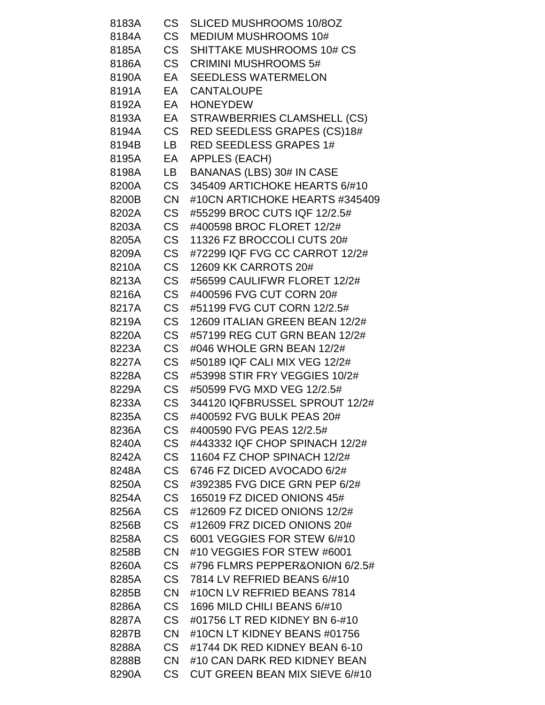| 8183A | CS .      | <b>SLICED MUSHROOMS 10/8OZ</b>   |
|-------|-----------|----------------------------------|
| 8184A | <b>CS</b> | <b>MEDIUM MUSHROOMS 10#</b>      |
| 8185A | CS I      | <b>SHITTAKE MUSHROOMS 10# CS</b> |
| 8186A |           | CS CRIMINI MUSHROOMS 5#          |
| 8190A | EA        | <b>SEEDLESS WATERMELON</b>       |
| 8191A | EA        | <b>CANTALOUPE</b>                |
| 8192A | EA        | <b>HONEYDEW</b>                  |
| 8193A |           | EA STRAWBERRIES CLAMSHELL (CS)   |
| 8194A |           | CS RED SEEDLESS GRAPES (CS)18#   |
| 8194B | LB.       | <b>RED SEEDLESS GRAPES 1#</b>    |
| 8195A | EA        | APPLES (EACH)                    |
| 8198A | LB        | <b>BANANAS (LBS) 30# IN CASE</b> |
| 8200A | <b>CS</b> | 345409 ARTICHOKE HEARTS 6/#10    |
| 8200B | <b>CN</b> | #10CN ARTICHOKE HEARTS #345409   |
| 8202A | <b>CS</b> | #55299 BROC CUTS IQF 12/2.5#     |
| 8203A | CS        | #400598 BROC FLORET 12/2#        |
| 8205A | CS        | 11326 FZ BROCCOLI CUTS 20#       |
| 8209A | CS        | #72299 IQF FVG CC CARROT 12/2#   |
| 8210A | <b>CS</b> | 12609 KK CARROTS 20#             |
| 8213A | CS        | #56599 CAULIFWR FLORET 12/2#     |
| 8216A | <b>CS</b> | #400596 FVG CUT CORN 20#         |
| 8217A | <b>CS</b> | #51199 FVG CUT CORN 12/2.5#      |
| 8219A | CS        | 12609 ITALIAN GREEN BEAN 12/2#   |
| 8220A | <b>CS</b> | #57199 REG CUT GRN BEAN 12/2#    |
| 8223A | <b>CS</b> | #046 WHOLE GRN BEAN 12/2#        |
| 8227A | <b>CS</b> | #50189 IQF CALI MIX VEG 12/2#    |
| 8228A | CS        | #53998 STIR FRY VEGGIES 10/2#    |
| 8229A | <b>CS</b> | #50599 FVG MXD VEG 12/2.5#       |
| 8233A | CS .      | 344120 IQFBRUSSEL SPROUT 12/2#   |
| 8235A | <b>CS</b> | #400592 FVG BULK PEAS 20#        |
| 8236A | <b>CS</b> | #400590 FVG PEAS 12/2.5#         |
| 8240A | <b>CS</b> | #443332 IQF CHOP SPINACH 12/2#   |
| 8242A | <b>CS</b> | 11604 FZ CHOP SPINACH 12/2#      |
| 8248A | <b>CS</b> | 6746 FZ DICED AVOCADO 6/2#       |
| 8250A | <b>CS</b> | #392385 FVG DICE GRN PEP 6/2#    |
| 8254A | <b>CS</b> | 165019 FZ DICED ONIONS 45#       |
| 8256A | <b>CS</b> | #12609 FZ DICED ONIONS 12/2#     |
| 8256B | <b>CS</b> | #12609 FRZ DICED ONIONS 20#      |
| 8258A | <b>CS</b> | 6001 VEGGIES FOR STEW 6/#10      |
| 8258B | <b>CN</b> | #10 VEGGIES FOR STEW #6001       |
| 8260A | <b>CS</b> | #796 FLMRS PEPPER&ONION 6/2.5#   |
| 8285A | <b>CS</b> | 7814 LV REFRIED BEANS 6/#10      |
| 8285B | <b>CN</b> | #10CN LV REFRIED BEANS 7814      |
| 8286A | <b>CS</b> | 1696 MILD CHILI BEANS 6/#10      |
| 8287A | <b>CS</b> | #01756 LT RED KIDNEY BN 6-#10    |
| 8287B | <b>CN</b> | #10CN LT KIDNEY BEANS #01756     |
| 8288A | <b>CS</b> | #1744 DK RED KIDNEY BEAN 6-10    |
| 8288B | <b>CN</b> | #10 CAN DARK RED KIDNEY BEAN     |
| 8290A | <b>CS</b> | CUT GREEN BEAN MIX SIEVE 6/#10   |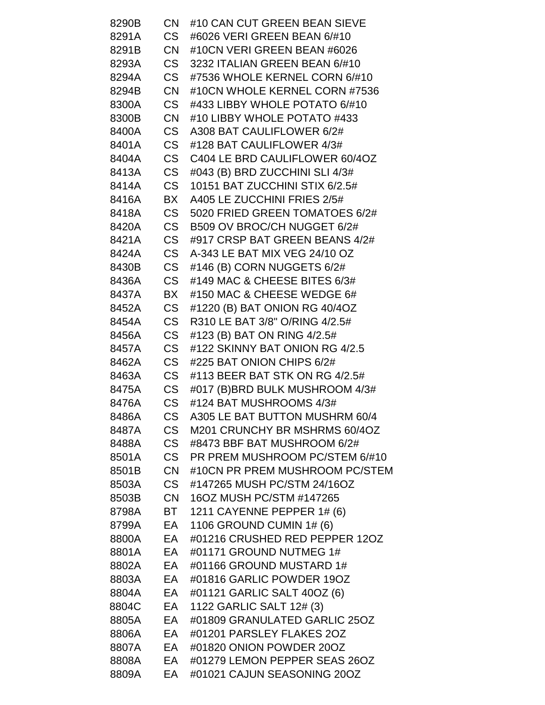| 8290B | CN        | #10 CAN CUT GREEN BEAN SIEVE   |
|-------|-----------|--------------------------------|
| 8291A | CS .      | #6026 VERI GREEN BEAN 6/#10    |
| 8291B | <b>CN</b> | #10CN VERI GREEN BEAN #6026    |
| 8293A | CS        | 3232 ITALIAN GREEN BEAN 6/#10  |
| 8294A | <b>CS</b> | #7536 WHOLE KERNEL CORN 6/#10  |
| 8294B | <b>CN</b> | #10CN WHOLE KERNEL CORN #7536  |
| 8300A | CS        | #433 LIBBY WHOLE POTATO 6/#10  |
| 8300B | <b>CN</b> | #10 LIBBY WHOLE POTATO #433    |
| 8400A | CS        | A308 BAT CAULIFLOWER 6/2#      |
| 8401A | CS        | #128 BAT CAULIFLOWER 4/3#      |
| 8404A | CS        | C404 LE BRD CAULIFLOWER 60/4OZ |
| 8413A | CS        | #043 (B) BRD ZUCCHINI SLI 4/3# |
| 8414A | CS        | 10151 BAT ZUCCHINI STIX 6/2.5# |
| 8416A | BX        | A405 LE ZUCCHINI FRIES 2/5#    |
| 8418A | CS        | 5020 FRIED GREEN TOMATOES 6/2# |
| 8420A | CS        | B509 OV BROC/CH NUGGET 6/2#    |
| 8421A | CS        | #917 CRSP BAT GREEN BEANS 4/2# |
| 8424A | CS        | A-343 LE BAT MIX VEG 24/10 OZ  |
| 8430B | CS        | #146 (B) CORN NUGGETS 6/2#     |
| 8436A | <b>CS</b> | #149 MAC & CHEESE BITES 6/3#   |
| 8437A | BX        | #150 MAC & CHEESE WEDGE 6#     |
| 8452A | CS        | #1220 (B) BAT ONION RG 40/4OZ  |
| 8454A | CS .      | R310 LE BAT 3/8" O/RING 4/2.5# |
| 8456A | CS        | #123 (B) BAT ON RING 4/2.5#    |
| 8457A | CS        | #122 SKINNY BAT ONION RG 4/2.5 |
| 8462A | CS        | #225 BAT ONION CHIPS 6/2#      |
| 8463A | CS        | #113 BEER BAT STK ON RG 4/2.5# |
| 8475A | CS        | #017 (B)BRD BULK MUSHROOM 4/3# |
| 8476A | <b>CS</b> | #124 BAT MUSHROOMS 4/3#        |
| 8486A | <b>CS</b> | A305 LE BAT BUTTON MUSHRM 60/4 |
| 8487A | <b>CS</b> | M201 CRUNCHY BR MSHRMS 60/4OZ  |
| 8488A | CS        | #8473 BBF BAT MUSHROOM 6/2#    |
| 8501A | <b>CS</b> | PR PREM MUSHROOM PC/STEM 6/#10 |
| 8501B | <b>CN</b> | #10CN PR PREM MUSHROOM PC/STEM |
| 8503A | CS        | #147265 MUSH PC/STM 24/16OZ    |
| 8503B | <b>CN</b> | 16OZ MUSH PC/STM #147265       |
| 8798A |           | BT 1211 CAYENNE PEPPER 1# (6)  |
| 8799A | EA        | 1106 GROUND CUMIN 1# (6)       |
| 8800A | EA        | #01216 CRUSHED RED PEPPER 12OZ |
| 8801A | EA        | #01171 GROUND NUTMEG 1#        |
| 8802A | EA        | #01166 GROUND MUSTARD 1#       |
| 8803A | EA        | #01816 GARLIC POWDER 19OZ      |
| 8804A | EA        | #01121 GARLIC SALT 40OZ (6)    |
| 8804C | EA        | 1122 GARLIC SALT 12# (3)       |
| 8805A | EA        | #01809 GRANULATED GARLIC 25OZ  |
| 8806A | EA        | #01201 PARSLEY FLAKES 2OZ      |
| 8807A | EA        | #01820 ONION POWDER 20OZ       |
| 8808A | EA        | #01279 LEMON PEPPER SEAS 26OZ  |
| 8809A | EA        | #01021 CAJUN SEASONING 20OZ    |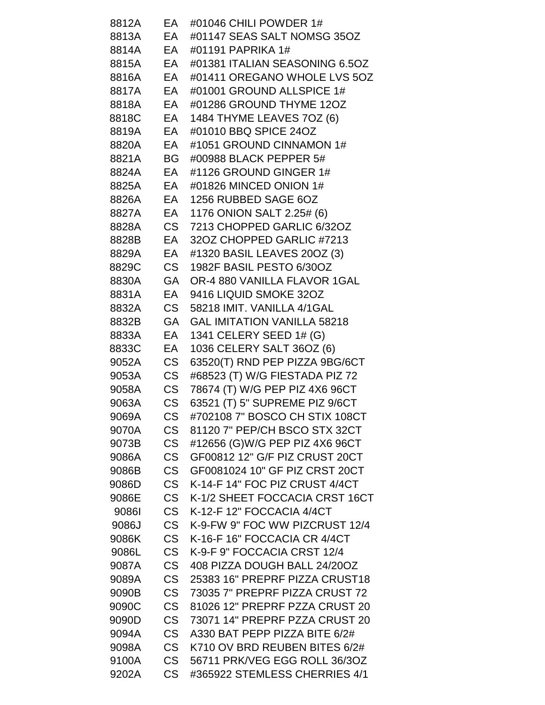| 8812A    | EA        | #01046 CHILI POWDER 1#             |
|----------|-----------|------------------------------------|
| 8813A    | EA        | #01147 SEAS SALT NOMSG 35OZ        |
| 8814A    | EA        | #01191 PAPRIKA 1#                  |
| 8815A    | EA        | #01381 ITALIAN SEASONING 6.5OZ     |
| 8816A    | EA        | #01411 OREGANO WHOLE LVS 5OZ       |
| 8817A    | EA        | #01001 GROUND ALLSPICE 1#          |
| 8818A    | EA        | #01286 GROUND THYME 12OZ           |
| 8818C EA |           | 1484 THYME LEAVES 7OZ (6)          |
| 8819A    | EA        | #01010 BBQ SPICE 24OZ              |
| 8820A    | EA        | #1051 GROUND CINNAMON 1#           |
| 8821A    | BG -      | #00988 BLACK PEPPER 5#             |
| 8824A    | EA        | #1126 GROUND GINGER 1#             |
| 8825A    | EA        | #01826 MINCED ONION 1#             |
| 8826A    | EA        | 1256 RUBBED SAGE 6OZ               |
| 8827A EA |           | 1176 ONION SALT 2.25# (6)          |
| 8828A    | <b>CS</b> | 7213 CHOPPED GARLIC 6/32OZ         |
| 8828B    | EA        | 32OZ CHOPPED GARLIC #7213          |
| 8829A    | EA        | #1320 BASIL LEAVES 20OZ (3)        |
| 8829C    | <b>CS</b> | 1982F BASIL PESTO 6/30OZ           |
| 8830A    | <b>GA</b> | OR-4 880 VANILLA FLAVOR 1GAL       |
| 8831A    | EA        | 9416 LIQUID SMOKE 32OZ             |
| 8832A    | CS —      | 58218 IMIT. VANILLA 4/1GAL         |
| 8832B    | <b>GA</b> | <b>GAL IMITATION VANILLA 58218</b> |
| 8833A    | EA        | 1341 CELERY SEED 1# (G)            |
| 8833C    | EA        | 1036 CELERY SALT 36OZ (6)          |
| 9052A    | CS        | 63520(T) RND PEP PIZZA 9BG/6CT     |
| 9053A    | <b>CS</b> | #68523 (T) W/G FIESTADA PIZ 72     |
| 9058A    | <b>CS</b> | 78674 (T) W/G PEP PIZ 4X6 96CT     |
| 9063A    | <b>CS</b> | 63521 (T) 5" SUPREME PIZ 9/6CT     |
| 9069A    | <b>CS</b> | #702108 7" BOSCO CH STIX 108CT     |
| 9070A    | <b>CS</b> | 81120 7" PEP/CH BSCO STX 32CT      |
| 9073B    | <b>CS</b> | #12656 (G)W/G PEP PIZ 4X6 96CT     |
| 9086A    | <b>CS</b> | GF00812 12" G/F PIZ CRUST 20CT     |
| 9086B    | <b>CS</b> | GF0081024 10" GF PIZ CRST 20CT     |
| 9086D    | <b>CS</b> | K-14-F 14" FOC PIZ CRUST 4/4CT     |
| 9086E    | <b>CS</b> | K-1/2 SHEET FOCCACIA CRST 16CT     |
| 90861    | <b>CS</b> | K-12-F 12" FOCCACIA 4/4CT          |
| 9086J    | <b>CS</b> | K-9-FW 9" FOC WW PIZCRUST 12/4     |
| 9086K    | <b>CS</b> | K-16-F 16" FOCCACIA CR 4/4CT       |
| 9086L    | <b>CS</b> | K-9-F 9" FOCCACIA CRST 12/4        |
| 9087A    | <b>CS</b> | 408 PIZZA DOUGH BALL 24/20OZ       |
| 9089A    | <b>CS</b> | 25383 16" PREPRF PIZZA CRUST18     |
| 9090B    | <b>CS</b> | 73035 7" PREPRF PIZZA CRUST 72     |
| 9090C    | <b>CS</b> | 81026 12" PREPRF PZZA CRUST 20     |
| 9090D    | <b>CS</b> | 73071 14" PREPRF PZZA CRUST 20     |
| 9094A    | <b>CS</b> | A330 BAT PEPP PIZZA BITE 6/2#      |
| 9098A    | <b>CS</b> | K710 OV BRD REUBEN BITES 6/2#      |
| 9100A    | <b>CS</b> | 56711 PRK/VEG EGG ROLL 36/3OZ      |
| 9202A    | <b>CS</b> | #365922 STEMLESS CHERRIES 4/1      |
|          |           |                                    |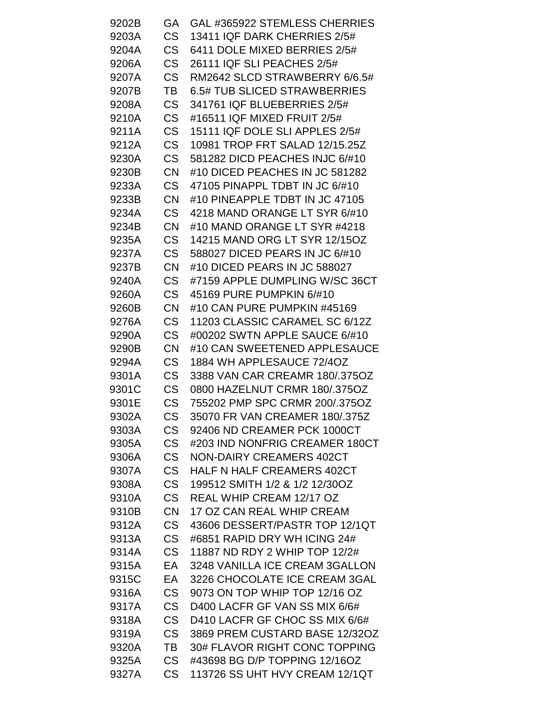| 9202B | GA        | GAL #365922 STEMLESS CHERRIES     |
|-------|-----------|-----------------------------------|
| 9203A | <b>CS</b> | 13411 IQF DARK CHERRIES 2/5#      |
| 9204A | <b>CS</b> | 6411 DOLE MIXED BERRIES 2/5#      |
| 9206A | <b>CS</b> | 26111 IQF SLI PEACHES 2/5#        |
| 9207A | <b>CS</b> | RM2642 SLCD STRAWBERRY 6/6.5#     |
| 9207B | TВ        | 6.5# TUB SLICED STRAWBERRIES      |
| 9208A | <b>CS</b> | 341761 IQF BLUEBERRIES 2/5#       |
| 9210A | <b>CS</b> | #16511 IQF MIXED FRUIT 2/5#       |
| 9211A | <b>CS</b> | 15111 IQF DOLE SLI APPLES 2/5#    |
| 9212A | <b>CS</b> | 10981 TROP FRT SALAD 12/15.25Z    |
| 9230A | <b>CS</b> | 581282 DICD PEACHES INJC 6/#10    |
| 9230B | <b>CN</b> | #10 DICED PEACHES IN JC 581282    |
| 9233A | <b>CS</b> | 47105 PINAPPL TDBT IN JC 6/#10    |
| 9233B | <b>CN</b> | #10 PINEAPPLE TDBT IN JC 47105    |
| 9234A | CS        | 4218 MAND ORANGE LT SYR 6/#10     |
| 9234B | <b>CN</b> | #10 MAND ORANGE LT SYR #4218      |
| 9235A | <b>CS</b> | 14215 MAND ORG LT SYR 12/15OZ     |
| 9237A | <b>CS</b> | 588027 DICED PEARS IN JC 6/#10    |
| 9237B | <b>CN</b> | #10 DICED PEARS IN JC 588027      |
| 9240A | <b>CS</b> | #7159 APPLE DUMPLING W/SC 36CT    |
| 9260A | <b>CS</b> | 45169 PURE PUMPKIN 6/#10          |
| 9260B | <b>CN</b> | #10 CAN PURE PUMPKIN #45169       |
| 9276A | <b>CS</b> | 11203 CLASSIC CARAMEL SC 6/12Z    |
| 9290A | <b>CS</b> | #00202 SWTN APPLE SAUCE 6/#10     |
| 9290B | <b>CN</b> | #10 CAN SWEETENED APPLESAUCE      |
| 9294A | <b>CS</b> | 1884 WH APPLESAUCE 72/4OZ         |
| 9301A | <b>CS</b> | 3388 VAN CAR CREAMR 180/.375OZ    |
| 9301C | <b>CS</b> | 0800 HAZELNUT CRMR 180/.375OZ     |
| 9301E | <b>CS</b> | 755202 PMP SPC CRMR 200/.375OZ    |
| 9302A | <b>CS</b> | 35070 FR VAN CREAMER 180/.375Z    |
| 9303A | <b>CS</b> | 92406 ND CREAMER PCK 1000CT       |
| 9305A | <b>CS</b> | #203 IND NONFRIG CREAMER 180CT    |
| 9306A | <b>CS</b> | <b>NON-DAIRY CREAMERS 402CT</b>   |
| 9307A | <b>CS</b> | <b>HALF N HALF CREAMERS 402CT</b> |
| 9308A | <b>CS</b> | 199512 SMITH 1/2 & 1/2 12/30OZ    |
| 9310A | <b>CS</b> | REAL WHIP CREAM 12/17 OZ          |
| 9310B | <b>CN</b> | 17 OZ CAN REAL WHIP CREAM         |
| 9312A | <b>CS</b> | 43606 DESSERT/PASTR TOP 12/1QT    |
| 9313A | <b>CS</b> | #6851 RAPID DRY WH ICING 24#      |
| 9314A | <b>CS</b> | 11887 ND RDY 2 WHIP TOP 12/2#     |
| 9315A | EA        | 3248 VANILLA ICE CREAM 3GALLON    |
| 9315C | EA        | 3226 CHOCOLATE ICE CREAM 3GAL     |
| 9316A | <b>CS</b> | 9073 ON TOP WHIP TOP 12/16 OZ     |
| 9317A | <b>CS</b> | D400 LACFR GF VAN SS MIX 6/6#     |
| 9318A | <b>CS</b> | D410 LACFR GF CHOC SS MIX 6/6#    |
| 9319A | <b>CS</b> | 3869 PREM CUSTARD BASE 12/32OZ    |
| 9320A | TВ        | 30# FLAVOR RIGHT CONC TOPPING     |
| 9325A | <b>CS</b> | #43698 BG D/P TOPPING 12/16OZ     |
| 9327A | <b>CS</b> | 113726 SS UHT HVY CREAM 12/1QT    |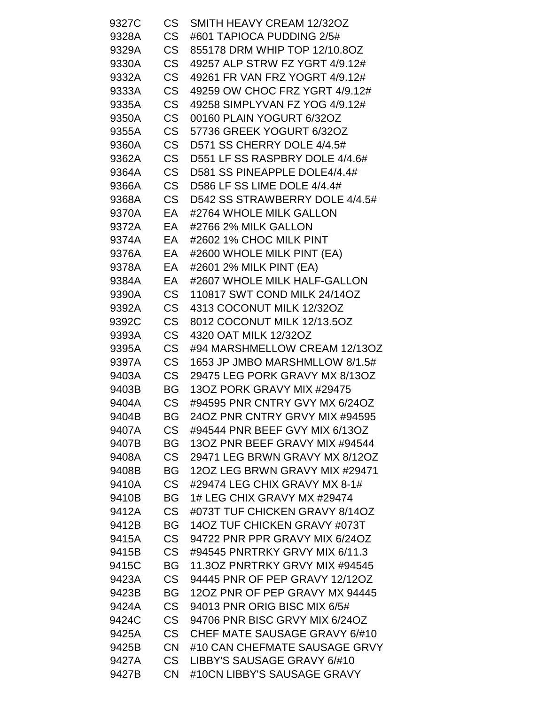| 9327C | CS        | SMITH HEAVY CREAM 12/32OZ      |
|-------|-----------|--------------------------------|
| 9328A | <b>CS</b> | #601 TAPIOCA PUDDING 2/5#      |
| 9329A | CS        | 855178 DRM WHIP TOP 12/10.8OZ  |
| 9330A | <b>CS</b> | 49257 ALP STRW FZ YGRT 4/9.12# |
| 9332A | CS        | 49261 FR VAN FRZ YOGRT 4/9.12# |
| 9333A | <b>CS</b> | 49259 OW CHOC FRZ YGRT 4/9.12# |
| 9335A | <b>CS</b> | 49258 SIMPLYVAN FZ YOG 4/9.12# |
| 9350A | <b>CS</b> | 00160 PLAIN YOGURT 6/32OZ      |
| 9355A | <b>CS</b> | 57736 GREEK YOGURT 6/32OZ      |
| 9360A | <b>CS</b> | D571 SS CHERRY DOLE 4/4.5#     |
| 9362A | <b>CS</b> | D551 LF SS RASPBRY DOLE 4/4.6# |
| 9364A | CS        | D581 SS PINEAPPLE DOLE4/4.4#   |
| 9366A | <b>CS</b> | D586 LF SS LIME DOLE 4/4.4#    |
| 9368A | CS        | D542 SS STRAWBERRY DOLE 4/4.5# |
| 9370A | EA        | #2764 WHOLE MILK GALLON        |
| 9372A | EA        | #2766 2% MILK GALLON           |
| 9374A | EA        | #2602 1% CHOC MILK PINT        |
| 9376A | EA        | #2600 WHOLE MILK PINT (EA)     |
| 9378A | EA        | #2601 2% MILK PINT (EA)        |
| 9384A | EA        | #2607 WHOLE MILK HALF-GALLON   |
| 9390A | CS        | 110817 SWT COND MILK 24/14OZ   |
| 9392A | <b>CS</b> | 4313 COCONUT MILK 12/32OZ      |
| 9392C | <b>CS</b> | 8012 COCONUT MILK 12/13.5OZ    |
| 9393A | <b>CS</b> | 4320 OAT MILK 12/32OZ          |
| 9395A | <b>CS</b> | #94 MARSHMELLOW CREAM 12/13OZ  |
| 9397A | <b>CS</b> | 1653 JP JMBO MARSHMLLOW 8/1.5# |
| 9403A | CS        | 29475 LEG PORK GRAVY MX 8/13OZ |
| 9403B | BG        | 13OZ PORK GRAVY MIX #29475     |
| 9404A | CS        | #94595 PNR CNTRY GVY MX 6/24OZ |
| 9404B | <b>BG</b> | 24OZ PNR CNTRY GRVY MIX #94595 |
| 9407A | <b>CS</b> | #94544 PNR BEEF GVY MIX 6/13OZ |
| 9407B | BG        | 13OZ PNR BEEF GRAVY MIX #94544 |
| 9408A | <b>CS</b> | 29471 LEG BRWN GRAVY MX 8/12OZ |
| 9408B | BG        | 12OZ LEG BRWN GRAVY MIX #29471 |
| 9410A | <b>CS</b> | #29474 LEG CHIX GRAVY MX 8-1#  |
| 9410B | BG        | 1# LEG CHIX GRAVY MX #29474    |
| 9412A | <b>CS</b> | #073T TUF CHICKEN GRAVY 8/14OZ |
| 9412B | BG        | 14OZ TUF CHICKEN GRAVY #073T   |
| 9415A | <b>CS</b> | 94722 PNR PPR GRAVY MIX 6/24OZ |
| 9415B | <b>CS</b> | #94545 PNRTRKY GRVY MIX 6/11.3 |
| 9415C | BG        | 11.3OZ PNRTRKY GRVY MIX #94545 |
| 9423A | <b>CS</b> | 94445 PNR OF PEP GRAVY 12/12OZ |
| 9423B | BG        | 12OZ PNR OF PEP GRAVY MX 94445 |
| 9424A | <b>CS</b> | 94013 PNR ORIG BISC MIX 6/5#   |
| 9424C | <b>CS</b> | 94706 PNR BISC GRVY MIX 6/24OZ |
| 9425A | <b>CS</b> | CHEF MATE SAUSAGE GRAVY 6/#10  |
| 9425B | <b>CN</b> | #10 CAN CHEFMATE SAUSAGE GRVY  |
| 9427A | <b>CS</b> | LIBBY'S SAUSAGE GRAVY 6/#10    |
| 9427B | <b>CN</b> | #10CN LIBBY'S SAUSAGE GRAVY    |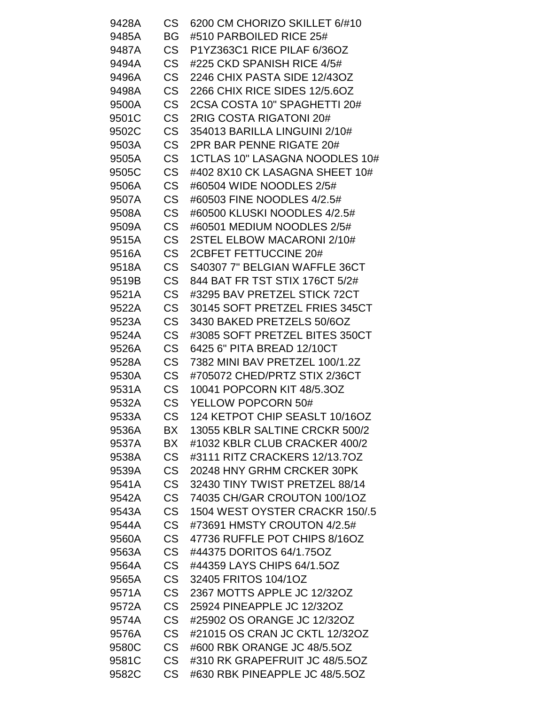| 9428A          | CS                     | 6200 CM CHORIZO SKILLET 6/#10  |
|----------------|------------------------|--------------------------------|
| 9485A          | BG                     | #510 PARBOILED RICE 25#        |
| 9487A          | <b>CS</b>              | P1YZ363C1 RICE PILAF 6/36OZ    |
| 9494A          | <b>CS</b>              | #225 CKD SPANISH RICE 4/5#     |
| 9496A          | <b>CS</b>              | 2246 CHIX PASTA SIDE 12/43OZ   |
| 9498A          | <b>CS</b>              | 2266 CHIX RICE SIDES 12/5.6OZ  |
| 9500A          | <b>CS</b>              | 2CSA COSTA 10" SPAGHETTI 20#   |
| 9501C          | <b>CS</b>              | 2RIG COSTA RIGATONI 20#        |
| 9502C          | <b>CS</b>              | 354013 BARILLA LINGUINI 2/10#  |
| 9503A          | <b>CS</b>              | 2PR BAR PENNE RIGATE 20#       |
| 9505A          | <b>CS</b>              | 1CTLAS 10" LASAGNA NOODLES 10# |
| 9505C          | <b>CS</b>              | #402 8X10 CK LASAGNA SHEET 10# |
| 9506A          | <b>CS</b>              | #60504 WIDE NOODLES 2/5#       |
| 9507A          | <b>CS</b>              | #60503 FINE NOODLES 4/2.5#     |
| 9508A          | <b>CS</b>              | #60500 KLUSKI NOODLES 4/2.5#   |
| 9509A          | <b>CS</b>              | #60501 MEDIUM NOODLES 2/5#     |
| 9515A          | <b>CS</b>              | 2STEL ELBOW MACARONI 2/10#     |
| 9516A          | <b>CS</b>              | 2CBFET FETTUCCINE 20#          |
| 9518A          | <b>CS</b>              | S40307 7" BELGIAN WAFFLE 36CT  |
| 9519B          | <b>CS</b>              | 844 BAT FR TST STIX 176CT 5/2# |
| 9521A          | <b>CS</b>              | #3295 BAV PRETZEL STICK 72CT   |
| 9522A          | <b>CS</b>              | 30145 SOFT PRETZEL FRIES 345CT |
| 9523A          | <b>CS</b>              | 3430 BAKED PRETZELS 50/6OZ     |
| 9524A          | <b>CS</b>              | #3085 SOFT PRETZEL BITES 350CT |
| 9526A          | <b>CS</b>              | 6425 6" PITA BREAD 12/10CT     |
| 9528A          | <b>CS</b>              | 7382 MINI BAV PRETZEL 100/1.2Z |
| 9530A          | <b>CS</b>              | #705072 CHED/PRTZ STIX 2/36CT  |
| 9531A          | <b>CS</b>              | 10041 POPCORN KIT 48/5.3OZ     |
| 9532A          | <b>CS</b>              | YELLOW POPCORN 50#             |
| 9533A          | <b>CS</b>              | 124 KETPOT CHIP SEASLT 10/16OZ |
| 9536A          | BX                     | 13055 KBLR SALTINE CRCKR 500/2 |
| 9537A          | BX                     | #1032 KBLR CLUB CRACKER 400/2  |
| 9538A          | <b>CS</b>              | #3111 RITZ CRACKERS 12/13.7OZ  |
| 9539A          | <b>CS</b>              | 20248 HNY GRHM CRCKER 30PK     |
| 9541A          | <b>CS</b>              | 32430 TINY TWIST PRETZEL 88/14 |
| 9542A          | <b>CS</b>              | 74035 CH/GAR CROUTON 100/1OZ   |
| 9543A          | <b>CS</b>              | 1504 WEST OYSTER CRACKR 150/.5 |
| 9544A          | <b>CS</b>              | #73691 HMSTY CROUTON 4/2.5#    |
| 9560A          | <b>CS</b>              | 47736 RUFFLE POT CHIPS 8/16OZ  |
|                | <b>CS</b>              | #44375 DORITOS 64/1.75OZ       |
| 9563A<br>9564A | <b>CS</b>              | #44359 LAYS CHIPS 64/1.5OZ     |
|                |                        | 32405 FRITOS 104/1OZ           |
| 9565A          | <b>CS</b><br><b>CS</b> | 2367 MOTTS APPLE JC 12/32OZ    |
| 9571A          |                        |                                |
| 9572A          | <b>CS</b>              | 25924 PINEAPPLE JC 12/32OZ     |
| 9574A          | <b>CS</b>              | #25902 OS ORANGE JC 12/32OZ    |
| 9576A          | <b>CS</b>              | #21015 OS CRAN JC CKTL 12/32OZ |
| 9580C          | <b>CS</b>              | #600 RBK ORANGE JC 48/5.5OZ    |
| 9581C          | <b>CS</b>              | #310 RK GRAPEFRUIT JC 48/5.5OZ |
| 9582C          | <b>CS</b>              | #630 RBK PINEAPPLE JC 48/5.5OZ |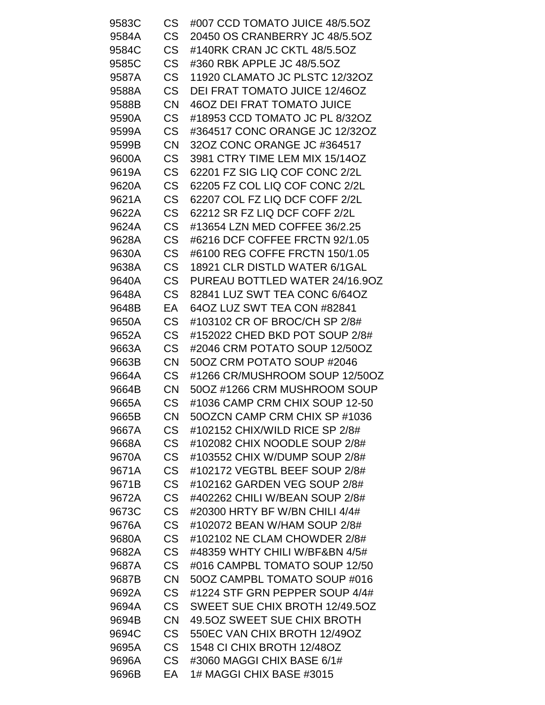| 9583C | <b>CS</b> | #007 CCD TOMATO JUICE 48/5.5OZ    |
|-------|-----------|-----------------------------------|
| 9584A | <b>CS</b> | 20450 OS CRANBERRY JC 48/5.5OZ    |
| 9584C | <b>CS</b> | #140RK CRAN JC CKTL 48/5.5OZ      |
| 9585C | <b>CS</b> | #360 RBK APPLE JC 48/5.5OZ        |
| 9587A | <b>CS</b> | 11920 CLAMATO JC PLSTC 12/32OZ    |
| 9588A | <b>CS</b> | DEI FRAT TOMATO JUICE 12/46OZ     |
| 9588B | <b>CN</b> | <b>46OZ DEI FRAT TOMATO JUICE</b> |
| 9590A | <b>CS</b> | #18953 CCD TOMATO JC PL 8/32OZ    |
| 9599A | <b>CS</b> | #364517 CONC ORANGE JC 12/32OZ    |
| 9599B | <b>CN</b> | 32OZ CONC ORANGE JC #364517       |
| 9600A | <b>CS</b> | 3981 CTRY TIME LEM MIX 15/14OZ    |
| 9619A | <b>CS</b> | 62201 FZ SIG LIQ COF CONC 2/2L    |
| 9620A | <b>CS</b> | 62205 FZ COL LIQ COF CONC 2/2L    |
| 9621A | <b>CS</b> | 62207 COL FZ LIQ DCF COFF 2/2L    |
| 9622A | <b>CS</b> | 62212 SR FZ LIQ DCF COFF 2/2L     |
| 9624A | <b>CS</b> | #13654 LZN MED COFFEE 36/2.25     |
| 9628A | <b>CS</b> | #6216 DCF COFFEE FRCTN 92/1.05    |
| 9630A | <b>CS</b> | #6100 REG COFFE FRCTN 150/1.05    |
| 9638A | <b>CS</b> | 18921 CLR DISTLD WATER 6/1GAL     |
| 9640A | <b>CS</b> | PUREAU BOTTLED WATER 24/16.90Z    |
| 9648A | <b>CS</b> | 82841 LUZ SWT TEA CONC 6/64OZ     |
| 9648B | EA        | 64OZ LUZ SWT TEA CON #82841       |
| 9650A | <b>CS</b> | #103102 CR OF BROC/CH SP 2/8#     |
| 9652A | <b>CS</b> | #152022 CHED BKD POT SOUP 2/8#    |
| 9663A | <b>CS</b> | #2046 CRM POTATO SOUP 12/50OZ     |
| 9663B | <b>CN</b> | 50OZ CRM POTATO SOUP #2046        |
| 9664A | CS        | #1266 CR/MUSHROOM SOUP 12/50OZ    |
| 9664B | CN        | 50OZ #1266 CRM MUSHROOM SOUP      |
| 9665A | <b>CS</b> | #1036 CAMP CRM CHIX SOUP 12-50    |
| 9665B | <b>CN</b> | 50OZCN CAMP CRM CHIX SP #1036     |
| 9667A | <b>CS</b> | #102152 CHIX/WILD RICE SP 2/8#    |
| 9668A | <b>CS</b> | #102082 CHIX NOODLE SOUP 2/8#     |
| 9670A | <b>CS</b> | #103552 CHIX W/DUMP SOUP 2/8#     |
| 9671A | <b>CS</b> | #102172 VEGTBL BEEF SOUP 2/8#     |
| 9671B | <b>CS</b> | #102162 GARDEN VEG SOUP 2/8#      |
| 9672A | <b>CS</b> | #402262 CHILI W/BEAN SOUP 2/8#    |
| 9673C | <b>CS</b> | #20300 HRTY BF W/BN CHILI 4/4#    |
| 9676A | <b>CS</b> | #102072 BEAN W/HAM SOUP 2/8#      |
| 9680A | <b>CS</b> | #102102 NE CLAM CHOWDER 2/8#      |
| 9682A | <b>CS</b> | #48359 WHTY CHILI W/BF&BN 4/5#    |
| 9687A | <b>CS</b> | #016 CAMPBL TOMATO SOUP 12/50     |
| 9687B | <b>CN</b> | 50OZ CAMPBL TOMATO SOUP #016      |
| 9692A | <b>CS</b> | #1224 STF GRN PEPPER SOUP 4/4#    |
| 9694A | <b>CS</b> | SWEET SUE CHIX BROTH 12/49.5OZ    |
| 9694B | <b>CN</b> | 49.50Z SWEET SUE CHIX BROTH       |
| 9694C | <b>CS</b> | 550EC VAN CHIX BROTH 12/49OZ      |
| 9695A | <b>CS</b> | 1548 CI CHIX BROTH 12/48OZ        |
| 9696A | <b>CS</b> | #3060 MAGGI CHIX BASE 6/1#        |
| 9696B | EА        | 1# MAGGI CHIX BASE #3015          |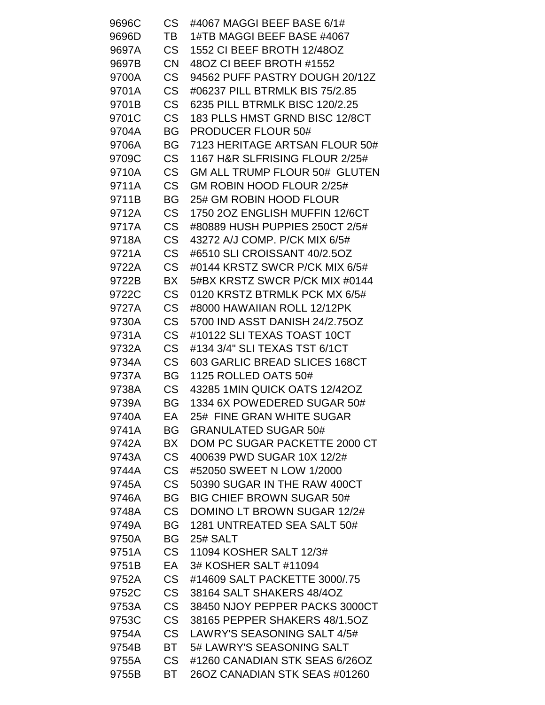| 9696C | <b>CS</b> | #4067 MAGGI BEEF BASE 6/1#       |
|-------|-----------|----------------------------------|
| 9696D | TВ        | 1#TB MAGGI BEEF BASE #4067       |
| 9697A | <b>CS</b> | 1552 CI BEEF BROTH 12/48OZ       |
| 9697B | <b>CN</b> | 480Z CI BEEF BROTH #1552         |
| 9700A | <b>CS</b> | 94562 PUFF PASTRY DOUGH 20/12Z   |
| 9701A | <b>CS</b> | #06237 PILL BTRMLK BIS 75/2.85   |
| 9701B | <b>CS</b> | 6235 PILL BTRMLK BISC 120/2.25   |
| 9701C | <b>CS</b> | 183 PLLS HMST GRND BISC 12/8CT   |
| 9704A | BG        | <b>PRODUCER FLOUR 50#</b>        |
| 9706A | BG        | 7123 HERITAGE ARTSAN FLOUR 50#   |
| 9709C | <b>CS</b> | 1167 H&R SLFRISING FLOUR 2/25#   |
| 9710A | <b>CS</b> | GM ALL TRUMP FLOUR 50# GLUTEN    |
| 9711A | <b>CS</b> | GM ROBIN HOOD FLOUR 2/25#        |
| 9711B | <b>BG</b> | 25# GM ROBIN HOOD FLOUR          |
| 9712A | <b>CS</b> | 1750 2OZ ENGLISH MUFFIN 12/6CT   |
| 9717A | <b>CS</b> | #80889 HUSH PUPPIES 250CT 2/5#   |
| 9718A | <b>CS</b> | 43272 A/J COMP. P/CK MIX 6/5#    |
| 9721A | <b>CS</b> | #6510 SLI CROISSANT 40/2.5OZ     |
| 9722A | <b>CS</b> | #0144 KRSTZ SWCR P/CK MIX 6/5#   |
| 9722B | BX        | 5#BX KRSTZ SWCR P/CK MIX #0144   |
| 9722C | <b>CS</b> | 0120 KRSTZ BTRMLK PCK MX 6/5#    |
| 9727A | <b>CS</b> | #8000 HAWAIIAN ROLL 12/12PK      |
| 9730A | <b>CS</b> | 5700 IND ASST DANISH 24/2.75OZ   |
| 9731A | <b>CS</b> | #10122 SLI TEXAS TOAST 10CT      |
| 9732A | <b>CS</b> | #134 3/4" SLI TEXAS TST 6/1CT    |
| 9734A | <b>CS</b> | 603 GARLIC BREAD SLICES 168CT    |
| 9737A | BG        | 1125 ROLLED OATS 50#             |
| 9738A | <b>CS</b> | 43285 1MIN QUICK OATS 12/42OZ    |
| 9739A | BG        | 1334 6X POWEDERED SUGAR 50#      |
| 9740A | EA        | 25# FINE GRAN WHITE SUGAR        |
| 9741A | <b>BG</b> | <b>GRANULATED SUGAR 50#</b>      |
| 9742A | BX        | DOM PC SUGAR PACKETTE 2000 CT    |
| 9743A | <b>CS</b> | 400639 PWD SUGAR 10X 12/2#       |
| 9744A | <b>CS</b> | #52050 SWEET N LOW 1/2000        |
| 9745A | <b>CS</b> | 50390 SUGAR IN THE RAW 400CT     |
| 9746A | <b>BG</b> | <b>BIG CHIEF BROWN SUGAR 50#</b> |
| 9748A | <b>CS</b> | DOMINO LT BROWN SUGAR 12/2#      |
| 9749A | BG        | 1281 UNTREATED SEA SALT 50#      |
| 9750A | <b>BG</b> | <b>25# SALT</b>                  |
| 9751A | CS        | 11094 KOSHER SALT 12/3#          |
| 9751B | EA        | 3# KOSHER SALT #11094            |
| 9752A | <b>CS</b> | #14609 SALT PACKETTE 3000/.75    |
| 9752C | <b>CS</b> | 38164 SALT SHAKERS 48/4OZ        |
| 9753A | <b>CS</b> | 38450 NJOY PEPPER PACKS 3000CT   |
| 9753C | <b>CS</b> | 38165 PEPPER SHAKERS 48/1.50Z    |
| 9754A | <b>CS</b> | LAWRY'S SEASONING SALT 4/5#      |
| 9754B | BT        | 5# LAWRY'S SEASONING SALT        |
| 9755A | <b>CS</b> | #1260 CANADIAN STK SEAS 6/26OZ   |
| 9755B | BT        | 26OZ CANADIAN STK SEAS #01260    |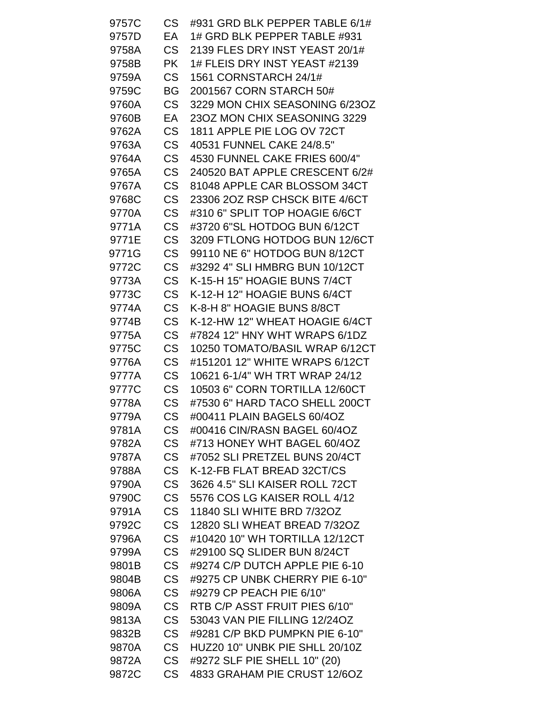| 9757C | <b>CS</b> | #931 GRD BLK PEPPER TABLE 6/1# |
|-------|-----------|--------------------------------|
| 9757D | EA        | 1# GRD BLK PEPPER TABLE #931   |
| 9758A | <b>CS</b> | 2139 FLES DRY INST YEAST 20/1# |
| 9758B | <b>PK</b> | 1# FLEIS DRY INST YEAST #2139  |
| 9759A | <b>CS</b> | 1561 CORNSTARCH 24/1#          |
| 9759C | BG        | 2001567 CORN STARCH 50#        |
| 9760A | <b>CS</b> | 3229 MON CHIX SEASONING 6/23OZ |
| 9760B | EA        | 23OZ MON CHIX SEASONING 3229   |
| 9762A | <b>CS</b> | 1811 APPLE PIE LOG OV 72CT     |
| 9763A | <b>CS</b> | 40531 FUNNEL CAKE 24/8.5"      |
| 9764A | <b>CS</b> | 4530 FUNNEL CAKE FRIES 600/4"  |
| 9765A | <b>CS</b> | 240520 BAT APPLE CRESCENT 6/2# |
| 9767A | <b>CS</b> | 81048 APPLE CAR BLOSSOM 34CT   |
| 9768C | <b>CS</b> | 23306 2OZ RSP CHSCK BITE 4/6CT |
| 9770A | <b>CS</b> | #310 6" SPLIT TOP HOAGIE 6/6CT |
| 9771A | <b>CS</b> | #3720 6"SL HOTDOG BUN 6/12CT   |
| 9771E | <b>CS</b> | 3209 FTLONG HOTDOG BUN 12/6CT  |
| 9771G | <b>CS</b> | 99110 NE 6" HOTDOG BUN 8/12CT  |
| 9772C | <b>CS</b> | #3292 4" SLI HMBRG BUN 10/12CT |
| 9773A | <b>CS</b> | K-15-H 15" HOAGIE BUNS 7/4CT   |
| 9773C | <b>CS</b> | K-12-H 12" HOAGIE BUNS 6/4CT   |
| 9774A | <b>CS</b> | K-8-H 8" HOAGIE BUNS 8/8CT     |
| 9774B | <b>CS</b> | K-12-HW 12" WHEAT HOAGIE 6/4CT |
| 9775A | <b>CS</b> | #7824 12" HNY WHT WRAPS 6/1DZ  |
| 9775C | <b>CS</b> | 10250 TOMATO/BASIL WRAP 6/12CT |
| 9776A | <b>CS</b> | #151201 12" WHITE WRAPS 6/12CT |
| 9777A | <b>CS</b> | 10621 6-1/4" WH TRT WRAP 24/12 |
| 9777C | <b>CS</b> | 10503 6" CORN TORTILLA 12/60CT |
| 9778A | <b>CS</b> | #7530 6" HARD TACO SHELL 200CT |
| 9779A | <b>CS</b> | #00411 PLAIN BAGELS 60/4OZ     |
| 9781A | <b>CS</b> | #00416 CIN/RASN BAGEL 60/4OZ   |
| 9782A | <b>CS</b> | #713 HONEY WHT BAGEL 60/4OZ    |
| 9787A | <b>CS</b> | #7052 SLI PRETZEL BUNS 20/4CT  |
| 9788A | <b>CS</b> | K-12-FB FLAT BREAD 32CT/CS     |
| 9790A | <b>CS</b> | 3626 4.5" SLI KAISER ROLL 72CT |
| 9790C | <b>CS</b> | 5576 COS LG KAISER ROLL 4/12   |
| 9791A | <b>CS</b> | 11840 SLI WHITE BRD 7/32OZ     |
| 9792C | <b>CS</b> | 12820 SLI WHEAT BREAD 7/32OZ   |
| 9796A | <b>CS</b> | #10420 10" WH TORTILLA 12/12CT |
| 9799A | <b>CS</b> | #29100 SQ SLIDER BUN 8/24CT    |
| 9801B | <b>CS</b> | #9274 C/P DUTCH APPLE PIE 6-10 |
| 9804B | <b>CS</b> | #9275 CP UNBK CHERRY PIE 6-10" |
| 9806A | <b>CS</b> | #9279 CP PEACH PIE 6/10"       |
| 9809A | <b>CS</b> | RTB C/P ASST FRUIT PIES 6/10"  |
| 9813A | <b>CS</b> | 53043 VAN PIE FILLING 12/24OZ  |
| 9832B | <b>CS</b> | #9281 C/P BKD PUMPKN PIE 6-10" |
| 9870A | <b>CS</b> | HUZ20 10" UNBK PIE SHLL 20/10Z |
| 9872A | <b>CS</b> | #9272 SLF PIE SHELL 10" (20)   |
| 9872C | <b>CS</b> | 4833 GRAHAM PIE CRUST 12/6OZ   |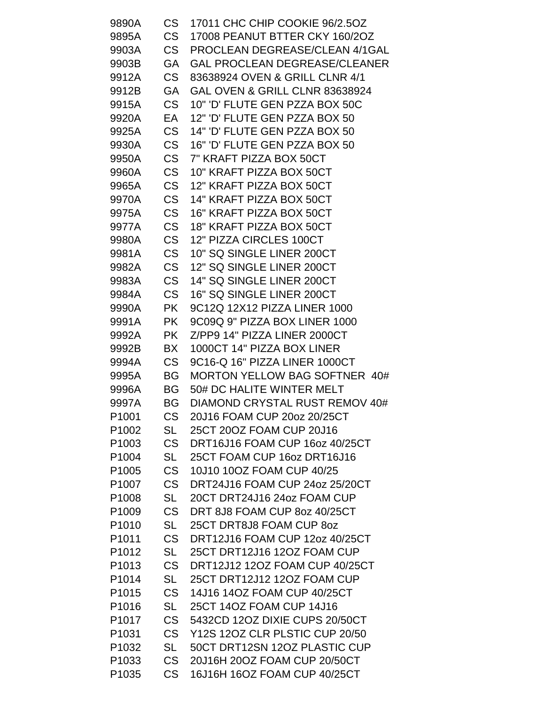| 9890A             | CS .      | 17011 CHC CHIP COOKIE 96/2.5OZ            |
|-------------------|-----------|-------------------------------------------|
| 9895A             | CS        | 17008 PEANUT BTTER CKY 160/2OZ            |
| 9903A             | CS        | PROCLEAN DEGREASE/CLEAN 4/1GAL            |
| 9903B             | GA        | <b>GAL PROCLEAN DEGREASE/CLEANER</b>      |
| 9912A             | <b>CS</b> | 83638924 OVEN & GRILL CLNR 4/1            |
| 9912B             | GA        | <b>GAL OVEN &amp; GRILL CLNR 83638924</b> |
| 9915A             | CS        | 10" 'D' FLUTE GEN PZZA BOX 50C            |
| 9920A             | EA        | 12" 'D' FLUTE GEN PZZA BOX 50             |
| 9925A             | CS        | 14" 'D' FLUTE GEN PZZA BOX 50             |
| 9930A             | <b>CS</b> | 16" 'D' FLUTE GEN PZZA BOX 50             |
| 9950A             | <b>CS</b> | 7" KRAFT PIZZA BOX 50CT                   |
| 9960A             | CS        | 10" KRAFT PIZZA BOX 50CT                  |
| 9965A             | CS        | 12" KRAFT PIZZA BOX 50CT                  |
| 9970A             | CS        | 14" KRAFT PIZZA BOX 50CT                  |
| 9975A             | CS        | 16" KRAFT PIZZA BOX 50CT                  |
| 9977A             | CS        | 18" KRAFT PIZZA BOX 50CT                  |
| 9980A             | <b>CS</b> | 12" PIZZA CIRCLES 100CT                   |
| 9981A             | <b>CS</b> | 10" SQ SINGLE LINER 200CT                 |
| 9982A             | <b>CS</b> | 12" SQ SINGLE LINER 200CT                 |
| 9983A             | CS        | 14" SQ SINGLE LINER 200CT                 |
| 9984A             | <b>CS</b> | 16" SQ SINGLE LINER 200CT                 |
| 9990A             | <b>PK</b> | 9C12Q 12X12 PIZZA LINER 1000              |
| 9991A             | PK        | 9C09Q 9" PIZZA BOX LINER 1000             |
| 9992A             | PK.       | Z/PP9 14" PIZZA LINER 2000CT              |
| 9992B             | BX        | 1000CT 14" PIZZA BOX LINER                |
| 9994A             | CS        | 9C16-Q 16" PIZZA LINER 1000CT             |
| 9995A             | BG        | MORTON YELLOW BAG SOFTNER 40#             |
| 9996A             | <b>BG</b> | 50# DC HALITE WINTER MELT                 |
| 9997A             | BG.       | DIAMOND CRYSTAL RUST REMOV 40#            |
| P1001             | <b>CS</b> | 20J16 FOAM CUP 20oz 20/25CT               |
| P1002             | SL        | 25CT 20OZ FOAM CUP 20J16                  |
| P <sub>1003</sub> | CS .      | DRT16J16 FOAM CUP 16oz 40/25CT            |
| P1004             | SL        | 25CT FOAM CUP 16oz DRT16J16               |
| P <sub>1005</sub> | <b>CS</b> | 10J10 10OZ FOAM CUP 40/25                 |
| P <sub>1007</sub> | <b>CS</b> | DRT24J16 FOAM CUP 24oz 25/20CT            |
| P <sub>1008</sub> | SL        | 20CT DRT24J16 24oz FOAM CUP               |
| P1009             | CS        | DRT 8J8 FOAM CUP 8oz 40/25CT              |
| P <sub>1010</sub> | SL        | 25CT DRT8J8 FOAM CUP 80Z                  |
| P <sub>1011</sub> | CS        | DRT12J16 FOAM CUP 12oz 40/25CT            |
| P <sub>1012</sub> | SL        | 25CT DRT12J16 12OZ FOAM CUP               |
| P1013             | CS        | DRT12J12 12OZ FOAM CUP 40/25CT            |
| P1014             | SL        | 25CT DRT12J12 12OZ FOAM CUP               |
| P <sub>1015</sub> | CS        | 14J16 14OZ FOAM CUP 40/25CT               |
| P <sub>1016</sub> | SL        | 25CT 14OZ FOAM CUP 14J16                  |
| P <sub>1017</sub> | <b>CS</b> | 5432CD 12OZ DIXIE CUPS 20/50CT            |
| P <sub>1031</sub> | <b>CS</b> | Y12S 12OZ CLR PLSTIC CUP 20/50            |
| P <sub>1032</sub> | SL        | 50CT DRT12SN 12OZ PLASTIC CUP             |
| P <sub>1033</sub> | <b>CS</b> | 20J16H 20OZ FOAM CUP 20/50CT              |
| P1035             | CS        | 16J16H 16OZ FOAM CUP 40/25CT              |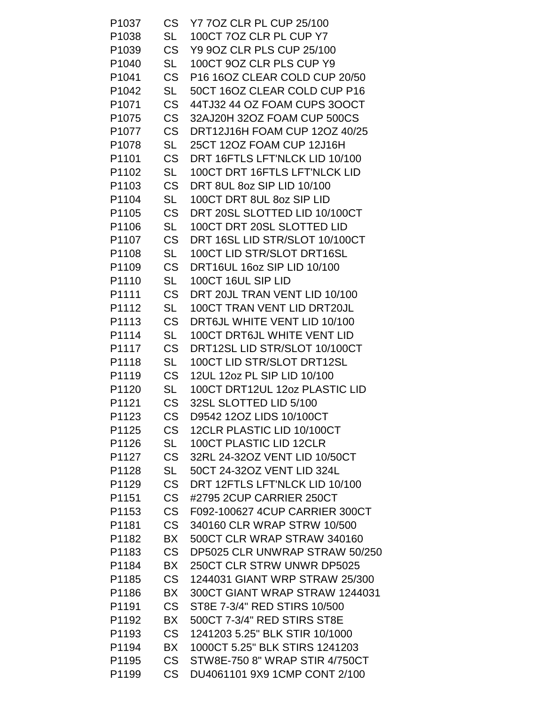| P1037             | <b>CS</b> | Y7 70Z CLR PL CUP 25/100           |
|-------------------|-----------|------------------------------------|
| P1038             | <b>SL</b> | 100CT 7OZ CLR PL CUP Y7            |
| P1039             | <b>CS</b> | Y9 9OZ CLR PLS CUP 25/100          |
| P <sub>1040</sub> | SL        | 100CT 9OZ CLR PLS CUP Y9           |
| P <sub>1041</sub> | <b>CS</b> | P16 16OZ CLEAR COLD CUP 20/50      |
| P1042             | SL        | 50CT 16OZ CLEAR COLD CUP P16       |
| P <sub>1071</sub> | <b>CS</b> | 44TJ32 44 OZ FOAM CUPS 300CT       |
| P1075             | <b>CS</b> | 32AJ20H 32OZ FOAM CUP 500CS        |
| P <sub>1077</sub> | <b>CS</b> | DRT12J16H FOAM CUP 12OZ 40/25      |
| P1078             | SL        | 25CT 12OZ FOAM CUP 12J16H          |
| P1101             | <b>CS</b> | DRT 16FTLS LFT'NLCK LID 10/100     |
| P1102             | SL        | 100CT DRT 16FTLS LFT'NLCK LID      |
| P1103             | <b>CS</b> | DRT 8UL 8oz SIP LID 10/100         |
| P1104             | <b>SL</b> | 100CT DRT 8UL 8oz SIP LID          |
| P1105             | <b>CS</b> | DRT 20SL SLOTTED LID 10/100CT      |
| P1106             | <b>SL</b> | 100CT DRT 20SL SLOTTED LID         |
| P1107             | <b>CS</b> | DRT 16SL LID STR/SLOT 10/100CT     |
| P1108             | <b>SL</b> | 100CT LID STR/SLOT DRT16SL         |
| P1109             | <b>CS</b> | DRT16UL 16oz SIP LID 10/100        |
| P1110             | <b>SL</b> | 100CT 16UL SIP LID                 |
| P1111             | <b>CS</b> | DRT 20JL TRAN VENT LID 10/100      |
| P1112             | <b>SL</b> | 100CT TRAN VENT LID DRT20JL        |
| P1113             | <b>CS</b> | DRT6JL WHITE VENT LID 10/100       |
| P1114             | <b>SL</b> | <b>100CT DRT6JL WHITE VENT LID</b> |
| P1117             | <b>CS</b> | DRT12SL LID STR/SLOT 10/100CT      |
| P1118             | SL        | 100CT LID STR/SLOT DRT12SL         |
| P1119             | <b>CS</b> | 12UL 12oz PL SIP LID 10/100        |
| P1120             | SL        | 100CT DRT12UL 12oz PLASTIC LID     |
| P1121             | <b>CS</b> | 32SL SLOTTED LID 5/100             |
| P1123             | <b>CS</b> | D9542 12OZ LIDS 10/100CT           |
| P1125             | <b>CS</b> | 12CLR PLASTIC LID 10/100CT         |
| P1126             | SL        | 100CT PLASTIC LID 12CLR            |
| P1127             | <b>CS</b> | 32RL 24-32OZ VENT LID 10/50CT      |
| P1128             | SL        | 50CT 24-32OZ VENT LID 324L         |
| P1129             | <b>CS</b> | DRT 12FTLS LFT'NLCK LID 10/100     |
| P1151             | <b>CS</b> | #2795 2CUP CARRIER 250CT           |
| P1153             | <b>CS</b> | F092-100627 4CUP CARRIER 300CT     |
| P1181             | <b>CS</b> | 340160 CLR WRAP STRW 10/500        |
| P1182             | BX        | 500CT CLR WRAP STRAW 340160        |
| P1183             | <b>CS</b> | DP5025 CLR UNWRAP STRAW 50/250     |
| P1184             | BX        | 250CT CLR STRW UNWR DP5025         |
| P1185             | <b>CS</b> | 1244031 GIANT WRP STRAW 25/300     |
| P1186             | BX        | 300CT GIANT WRAP STRAW 1244031     |
| P1191             | <b>CS</b> | ST8E 7-3/4" RED STIRS 10/500       |
| P1192             | BX        | 500CT 7-3/4" RED STIRS ST8E        |
| P1193             | <b>CS</b> | 1241203 5.25" BLK STIR 10/1000     |
| P1194             | BX        | 1000CT 5.25" BLK STIRS 1241203     |
| P1195             | <b>CS</b> | STW8E-750 8" WRAP STIR 4/750CT     |
| P1199             | <b>CS</b> | DU4061101 9X9 1CMP CONT 2/100      |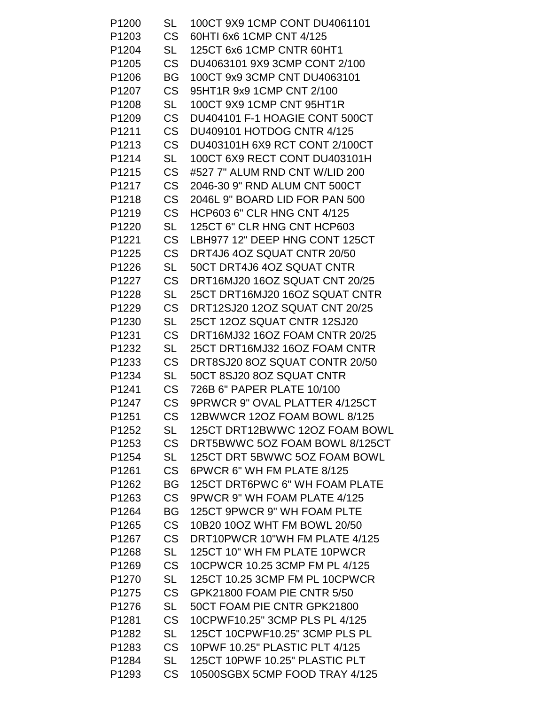| P1200             | SL        | 100CT 9X9 1CMP CONT DU4061101  |
|-------------------|-----------|--------------------------------|
| P1203             | CS .      | 60HTI 6x6 1CMP CNT 4/125       |
| P1204             | SL        | 125CT 6x6 1CMP CNTR 60HT1      |
| P1205             | CS        | DU4063101 9X9 3CMP CONT 2/100  |
| P1206             | BG        | 100CT 9x9 3CMP CNT DU4063101   |
| P1207             | CS        | 95HT1R 9x9 1CMP CNT 2/100      |
| P1208             | <b>SL</b> | 100CT 9X9 1CMP CNT 95HT1R      |
| P1209             | CS        | DU404101 F-1 HOAGIE CONT 500CT |
| P <sub>1211</sub> | <b>CS</b> | DU409101 HOTDOG CNTR 4/125     |
| P1213             | <b>CS</b> | DU403101H 6X9 RCT CONT 2/100CT |
| P <sub>1214</sub> | <b>SL</b> | 100CT 6X9 RECT CONT DU403101H  |
| P <sub>1215</sub> | CS        | #527 7" ALUM RND CNT W/LID 200 |
| P <sub>1217</sub> | CS .      | 2046-30 9" RND ALUM CNT 500CT  |
| P1218             | CS        | 2046L 9" BOARD LID FOR PAN 500 |
| P1219             | <b>CS</b> | HCP603 6" CLR HNG CNT 4/125    |
| P1220             | SL        | 125CT 6" CLR HNG CNT HCP603    |
| P1221             | <b>CS</b> | LBH977 12" DEEP HNG CONT 125CT |
| P1225             | <b>CS</b> | DRT4J6 4OZ SQUAT CNTR 20/50    |
| P1226             | SL        | 50CT DRT4J6 4OZ SQUAT CNTR     |
| P <sub>1227</sub> | CS        | DRT16MJ20 16OZ SQUAT CNT 20/25 |
| P1228             | SL        | 25CT DRT16MJ20 16OZ SQUAT CNTR |
| P1229             | <b>CS</b> | DRT12SJ20 12OZ SQUAT CNT 20/25 |
| P1230             | SL        | 25CT 12OZ SQUAT CNTR 12SJ20    |
| P <sub>1231</sub> | <b>CS</b> | DRT16MJ32 16OZ FOAM CNTR 20/25 |
| P1232             | SL        | 25CT DRT16MJ32 16OZ FOAM CNTR  |
| P1233             | <b>CS</b> | DRT8SJ20 8OZ SQUAT CONTR 20/50 |
| P1234             | SL        | 50CT 8SJ20 8OZ SQUAT CNTR      |
| P1241             | CS .      | 726B 6" PAPER PLATE 10/100     |
| P1247             | <b>CS</b> | 9PRWCR 9" OVAL PLATTER 4/125CT |
| P1251             | <b>CS</b> | 12BWWCR 12OZ FOAM BOWL 8/125   |
| P1252             | <b>SL</b> | 125CT DRT12BWWC 12OZ FOAM BOWL |
| P1253             | CS        | DRT5BWWC 5OZ FOAM BOWL 8/125CT |
| P1254             | SL        | 125CT DRT 5BWWC 5OZ FOAM BOWL  |
| P1261             | <b>CS</b> | 6PWCR 6" WH FM PLATE 8/125     |
| P1262             | BG        | 125CT DRT6PWC 6" WH FOAM PLATE |
| P1263             | <b>CS</b> | 9PWCR 9" WH FOAM PLATE 4/125   |
| P1264             | <b>BG</b> | 125CT 9PWCR 9" WH FOAM PLTE    |
| P1265             | <b>CS</b> | 10B20 10OZ WHT FM BOWL 20/50   |
| P <sub>1267</sub> | <b>CS</b> | DRT10PWCR 10"WH FM PLATE 4/125 |
| P1268             | <b>SL</b> | 125CT 10" WH FM PLATE 10PWCR   |
| P1269             | <b>CS</b> | 10CPWCR 10.25 3CMP FM PL 4/125 |
| P1270             | <b>SL</b> | 125CT 10.25 3CMP FM PL 10CPWCR |
| P1275             | <b>CS</b> | GPK21800 FOAM PIE CNTR 5/50    |
| P <sub>1276</sub> | <b>SL</b> | 50CT FOAM PIE CNTR GPK21800    |
| P1281             | <b>CS</b> | 10CPWF10.25" 3CMP PLS PL 4/125 |
| P1282             | <b>SL</b> | 125CT 10CPWF10.25" 3CMP PLS PL |
| P1283             | <b>CS</b> | 10PWF 10.25" PLASTIC PLT 4/125 |
| P1284             | SL        | 125CT 10PWF 10.25" PLASTIC PLT |
| P1293             | CS        | 10500SGBX 5CMP FOOD TRAY 4/125 |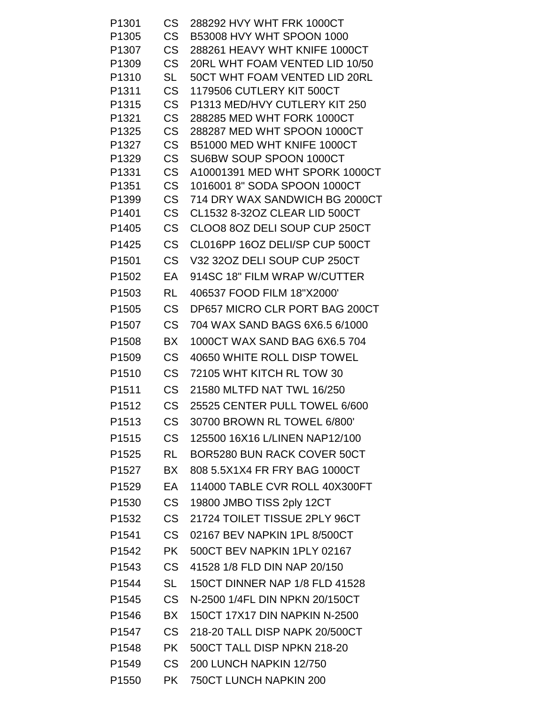| P <sub>1301</sub> | <b>CS</b>              | 288292 HVY WHT FRK 1000CT                                  |
|-------------------|------------------------|------------------------------------------------------------|
| P1305             | <b>CS</b>              | <b>B53008 HVY WHT SPOON 1000</b>                           |
| P1307             | <b>CS</b>              | 288261 HEAVY WHT KNIFE 1000CT                              |
| P1309             | <b>CS</b>              | 20RL WHT FOAM VENTED LID 10/50                             |
| P <sub>1310</sub> | <b>SL</b>              | 50CT WHT FOAM VENTED LID 20RL                              |
| P <sub>1311</sub> | <b>CS</b>              | <b>1179506 CUTLERY KIT 500CT</b>                           |
| P1315             | <b>CS</b>              | P1313 MED/HVY CUTLERY KIT 250                              |
| P1321             | <b>CS</b>              | 288285 MED WHT FORK 1000CT                                 |
| P1325<br>P1327    | <b>CS</b><br><b>CS</b> | 288287 MED WHT SPOON 1000CT<br>B51000 MED WHT KNIFE 1000CT |
| P1329             | <b>CS</b>              | SU6BW SOUP SPOON 1000CT                                    |
| P1331             | <b>CS</b>              | A10001391 MED WHT SPORK 1000CT                             |
| P1351             | <b>CS</b>              | 1016001 8" SODA SPOON 1000CT                               |
| P1399             | <b>CS</b>              | 714 DRY WAX SANDWICH BG 2000CT                             |
| P1401             | <b>CS</b>              | CL1532 8-32OZ CLEAR LID 500CT                              |
| P1405             | <b>CS</b>              | CLOO8 8OZ DELI SOUP CUP 250CT                              |
| P1425             | <b>CS</b>              | CL016PP 16OZ DELI/SP CUP 500CT                             |
| P <sub>1501</sub> | <b>CS</b>              | V32 32OZ DELI SOUP CUP 250CT                               |
| P <sub>1502</sub> | EA                     | 914SC 18" FILM WRAP W/CUTTER                               |
| P1503             | <b>RL</b>              | 406537 FOOD FILM 18"X2000'                                 |
| P <sub>1505</sub> | <b>CS</b>              | DP657 MICRO CLR PORT BAG 200CT                             |
| P1507             | <b>CS</b>              | 704 WAX SAND BAGS 6X6.5 6/1000                             |
| P <sub>1508</sub> | <b>BX</b>              | 1000CT WAX SAND BAG 6X6.5 704                              |
| P <sub>1509</sub> | <b>CS</b>              | 40650 WHITE ROLL DISP TOWEL                                |
| P <sub>1510</sub> | <b>CS</b>              | 72105 WHT KITCH RL TOW 30                                  |
| P <sub>1511</sub> | <b>CS</b>              | 21580 MLTFD NAT TWL 16/250                                 |
| P <sub>1512</sub> | <b>CS</b>              | 25525 CENTER PULL TOWEL 6/600                              |
| P <sub>1513</sub> | <b>CS</b>              | 30700 BROWN RL TOWEL 6/800'                                |
| P <sub>1515</sub> | <b>CS</b>              | 125500 16X16 L/LINEN NAP12/100                             |
| P1525             | RL                     | <b>BOR5280 BUN RACK COVER 50CT</b>                         |
| P <sub>1527</sub> | BX                     | 808 5.5X1X4 FR FRY BAG 1000CT                              |
| P <sub>1529</sub> | EA                     | 114000 TABLE CVR ROLL 40X300FT                             |
| P1530             | <b>CS</b>              | 19800 JMBO TISS 2ply 12CT                                  |
| P1532             | <b>CS</b>              | 21724 TOILET TISSUE 2PLY 96CT                              |
| P1541             | CS                     | 02167 BEV NAPKIN 1PL 8/500CT                               |
| P1542             | <b>PK</b>              | 500CT BEV NAPKIN 1PLY 02167                                |
| P <sub>1543</sub> | <b>CS</b>              | 41528 1/8 FLD DIN NAP 20/150                               |
| P1544             | <b>SL</b>              | 150CT DINNER NAP 1/8 FLD 41528                             |
| P <sub>1545</sub> | <b>CS</b>              | N-2500 1/4FL DIN NPKN 20/150CT                             |
| P1546             | BX                     | 150CT 17X17 DIN NAPKIN N-2500                              |
| P1547             | <b>CS</b>              | 218-20 TALL DISP NAPK 20/500CT                             |
| P1548             | <b>PK</b>              | 500CT TALL DISP NPKN 218-20                                |
| P <sub>1549</sub> | <b>CS</b>              | 200 LUNCH NAPKIN 12/750                                    |
| P <sub>1550</sub> | <b>PK</b>              | 750CT LUNCH NAPKIN 200                                     |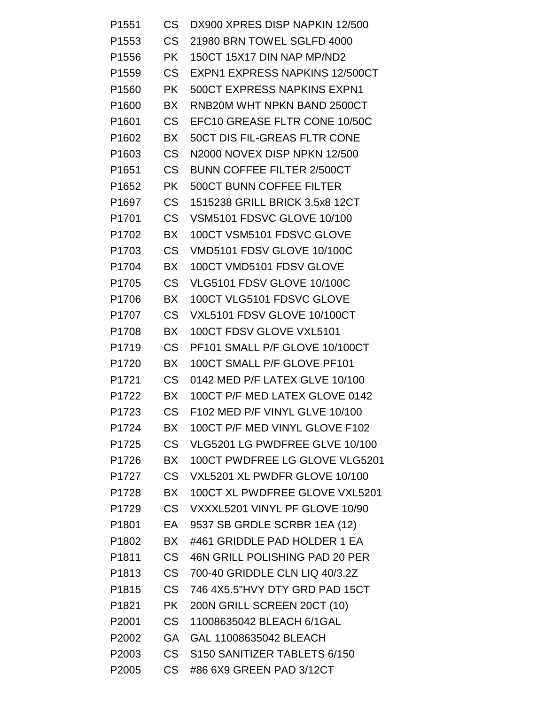| P <sub>1551</sub> | <b>CS</b>      | DX900 XPRES DISP NAPKIN 12/500     |
|-------------------|----------------|------------------------------------|
| P <sub>1553</sub> | CS             | 21980 BRN TOWEL SGLFD 4000         |
| P <sub>1556</sub> | <b>PK</b>      | 150CT 15X17 DIN NAP MP/ND2         |
| P1559             | CS             | EXPN1 EXPRESS NAPKINS 12/500CT     |
| P <sub>1560</sub> | <b>PK</b>      | <b>500CT EXPRESS NAPKINS EXPN1</b> |
| P <sub>1600</sub> | BX             | RNB20M WHT NPKN BAND 2500CT        |
| P <sub>1601</sub> | CS             | EFC10 GREASE FLTR CONE 10/50C      |
| P1602             | BX             | 50CT DIS FIL-GREAS FLTR CONE       |
| P <sub>1603</sub> | <b>CS</b>      | N2000 NOVEX DISP NPKN 12/500       |
| P <sub>1651</sub> | <b>CS</b>      | <b>BUNN COFFEE FILTER 2/500CT</b>  |
| P1652             | <b>PK</b>      | <b>500CT BUNN COFFEE FILTER</b>    |
| P1697             | CS             | 1515238 GRILL BRICK 3.5x8 12CT     |
| P1701             | CS             | <b>VSM5101 FDSVC GLOVE 10/100</b>  |
| P1702             | BX             | 100CT VSM5101 FDSVC GLOVE          |
| P1703             | <b>CS</b>      | <b>VMD5101 FDSV GLOVE 10/100C</b>  |
| P1704             | BX             | 100CT VMD5101 FDSV GLOVE           |
| P1705             | <b>CS</b>      | VLG5101 FDSV GLOVE 10/100C         |
| P1706             | BX             | 100CT VLG5101 FDSVC GLOVE          |
| P1707             | C <sub>S</sub> | VXL5101 FDSV GLOVE 10/100CT        |
| P1708             | BX             | 100CT FDSV GLOVE VXL5101           |
| P1719             | <b>CS</b>      | PF101 SMALL P/F GLOVE 10/100CT     |
| P <sub>1720</sub> | BX             | 100CT SMALL P/F GLOVE PF101        |
| P1721             | CS             | 0142 MED P/F LATEX GLVE 10/100     |
| P <sub>1722</sub> | BX             | 100CT P/F MED LATEX GLOVE 0142     |
| P1723             | CS             | F102 MED P/F VINYL GLVE 10/100     |
| P1724             | <b>BX</b>      | 100CT P/F MED VINYL GLOVE F102     |
| P1725             | <b>CS</b>      | VLG5201 LG PWDFREE GLVE 10/100     |
| P1726             | <b>BX</b>      | 100CT PWDFREE LG GLOVE VLG5201     |
| P1727             | <b>CS</b>      | VXL5201 XL PWDFR GLOVE 10/100      |
| P1728             | BX             | 100CT XL PWDFREE GLOVE VXL5201     |
| P1729             | <b>CS</b>      | VXXXL5201 VINYL PF GLOVE 10/90     |
| P1801             | EA             | 9537 SB GRDLE SCRBR 1EA (12)       |
| P1802             | BX             | #461 GRIDDLE PAD HOLDER 1 EA       |
| P <sub>1811</sub> | <b>CS</b>      | 46N GRILL POLISHING PAD 20 PER     |
| P1813             | <b>CS</b>      | 700-40 GRIDDLE CLN LIQ 40/3.2Z     |
| P1815             | CS             | 746 4X5.5"HVY DTY GRD PAD 15CT     |
| P1821             | <b>PK</b>      | 200N GRILL SCREEN 20CT (10)        |
| P2001             | CS             | 11008635042 BLEACH 6/1GAL          |
| P2002             | <b>GA</b>      | GAL 11008635042 BLEACH             |
| P2003             | <b>CS</b>      | S150 SANITIZER TABLETS 6/150       |
| P2005             | <b>CS</b>      | #86 6X9 GREEN PAD 3/12CT           |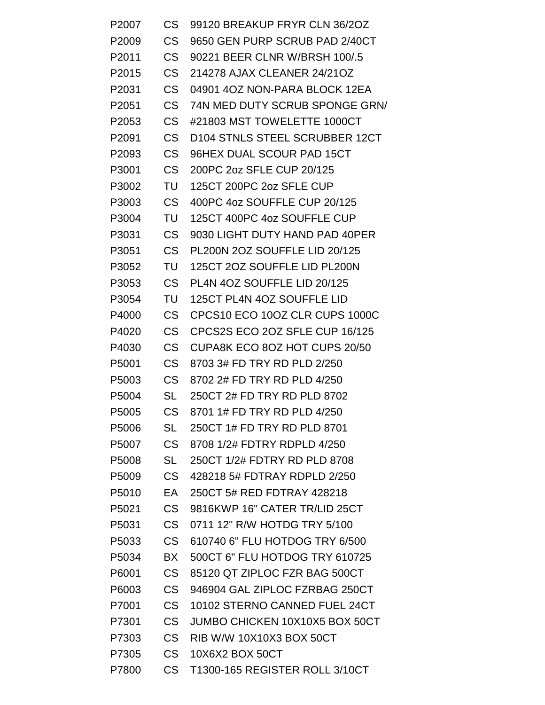| P2007             | CS        | 99120 BREAKUP FRYR CLN 36/2OZ  |
|-------------------|-----------|--------------------------------|
| P2009             | CS        | 9650 GEN PURP SCRUB PAD 2/40CT |
| P <sub>2011</sub> | CS        | 90221 BEER CLNR W/BRSH 100/.5  |
| P2015             | CS        | 214278 AJAX CLEANER 24/21OZ    |
| P2031             | CS        | 04901 4OZ NON-PARA BLOCK 12EA  |
| P2051             | CS .      | 74N MED DUTY SCRUB SPONGE GRN/ |
| P2053             | CS        | #21803 MST TOWELETTE 1000CT    |
| P2091             | CS        | D104 STNLS STEEL SCRUBBER 12CT |
| P2093             | CS        | 96HEX DUAL SCOUR PAD 15CT      |
| P3001             | CS        | 200PC 2oz SFLE CUP 20/125      |
| P3002             | TU        | 125CT 200PC 2oz SFLE CUP       |
| P3003             | CS        | 400PC 4oz SOUFFLE CUP 20/125   |
| P3004             | TU        | 125CT 400PC 4oz SOUFFLE CUP    |
| P3031             | CS        | 9030 LIGHT DUTY HAND PAD 40PER |
| P3051             | CS        | PL200N 2OZ SOUFFLE LID 20/125  |
| P3052             | TU        | 125CT 2OZ SOUFFLE LID PL200N   |
| P3053             | CS.       | PL4N 4OZ SOUFFLE LID 20/125    |
| P3054             | TU        | 125CT PL4N 4OZ SOUFFLE LID     |
| P4000             | <b>CS</b> | CPCS10 ECO 10OZ CLR CUPS 1000C |
| P4020             | CS        | CPCS2S ECO 2OZ SFLE CUP 16/125 |
| P4030             | CS        | CUPA8K ECO 8OZ HOT CUPS 20/50  |
| P5001             | <b>CS</b> | 8703 3# FD TRY RD PLD 2/250    |
| P5003             | CS        | 8702 2# FD TRY RD PLD 4/250    |
| P5004             | SL        | 250CT 2# FD TRY RD PLD 8702    |
| P5005             | <b>CS</b> | 8701 1# FD TRY RD PLD 4/250    |
| P5006             | SL        | 250CT 1# FD TRY RD PLD 8701    |
| P5007             | CS .      | 8708 1/2# FDTRY RDPLD 4/250    |
| P5008             | <b>SL</b> | 250CT 1/2# FDTRY RD PLD 8708   |
| P5009             | CS .      | 428218 5# FDTRAY RDPLD 2/250   |
| P5010             | EA.       | 250CT 5# RED FDTRAY 428218     |
| P5021             | CS .      | 9816KWP 16" CATER TR/LID 25CT  |
| P5031             | CS .      | 0711 12" R/W HOTDG TRY 5/100   |
| P5033             | CS .      | 610740 6" FLU HOTDOG TRY 6/500 |
| P5034             | BX        | 500CT 6" FLU HOTDOG TRY 610725 |
| P6001             | CS .      | 85120 QT ZIPLOC FZR BAG 500CT  |
| P6003             | CS .      | 946904 GAL ZIPLOC FZRBAG 250CT |
| P7001             | CS        | 10102 STERNO CANNED FUEL 24CT  |
| P7301             | CS        | JUMBO CHICKEN 10X10X5 BOX 50CT |
| P7303             | CS.       | RIB W/W 10X10X3 BOX 50CT       |
| P7305             | CS .      | 10X6X2 BOX 50CT                |
| P7800             | CS .      | T1300-165 REGISTER ROLL 3/10CT |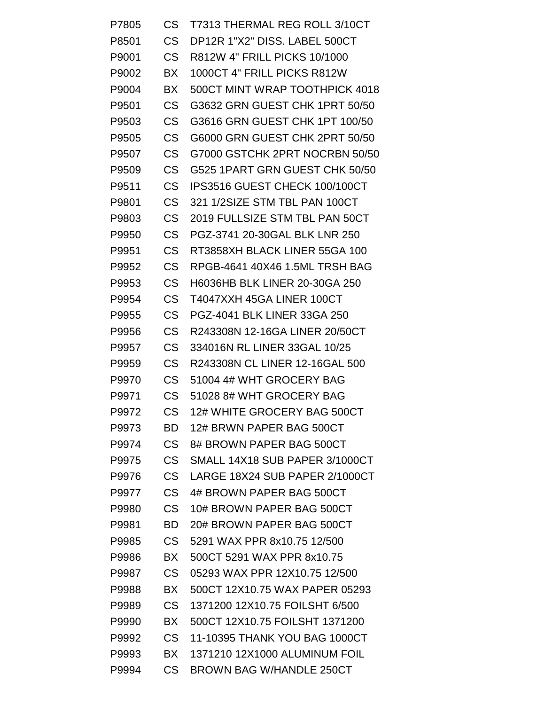| P7805 | <b>CS</b> | T7313 THERMAL REG ROLL 3/10CT        |
|-------|-----------|--------------------------------------|
| P8501 | <b>CS</b> | DP12R 1"X2" DISS. LABEL 500CT        |
| P9001 | <b>CS</b> | R812W 4" FRILL PICKS 10/1000         |
| P9002 | BX        | 1000CT 4" FRILL PICKS R812W          |
| P9004 | BX        | 500CT MINT WRAP TOOTHPICK 4018       |
| P9501 | <b>CS</b> | G3632 GRN GUEST CHK 1PRT 50/50       |
| P9503 | <b>CS</b> | G3616 GRN GUEST CHK 1PT 100/50       |
| P9505 | CS        | G6000 GRN GUEST CHK 2PRT 50/50       |
| P9507 | <b>CS</b> | G7000 GSTCHK 2PRT NOCRBN 50/50       |
| P9509 | CS        | G525 1PART GRN GUEST CHK 50/50       |
| P9511 | <b>CS</b> | IPS3516 GUEST CHECK 100/100CT        |
| P9801 | <b>CS</b> | 321 1/2SIZE STM TBL PAN 100CT        |
| P9803 | <b>CS</b> | 2019 FULLSIZE STM TBL PAN 50CT       |
| P9950 | <b>CS</b> | PGZ-3741 20-30GAL BLK LNR 250        |
| P9951 | CS        | RT3858XH BLACK LINER 55GA 100        |
| P9952 | <b>CS</b> | RPGB-4641 40X46 1.5ML TRSH BAG       |
| P9953 | <b>CS</b> | <b>H6036HB BLK LINER 20-30GA 250</b> |
| P9954 | <b>CS</b> | T4047XXH 45GA LINER 100CT            |
| P9955 | <b>CS</b> | <b>PGZ-4041 BLK LINER 33GA 250</b>   |
| P9956 | <b>CS</b> | R243308N 12-16GA LINER 20/50CT       |
| P9957 | <b>CS</b> | 334016N RL LINER 33GAL 10/25         |
| P9959 | <b>CS</b> | R243308N CL LINER 12-16GAL 500       |
| P9970 | <b>CS</b> | 51004 4# WHT GROCERY BAG             |
| P9971 | <b>CS</b> | 51028 8# WHT GROCERY BAG             |
| P9972 | CS        | 12# WHITE GROCERY BAG 500CT          |
| P9973 | <b>BD</b> | 12# BRWN PAPER BAG 500CT             |
| P9974 | CS        | 8# BROWN PAPER BAG 500CT             |
| P9975 | <b>CS</b> | SMALL 14X18 SUB PAPER 3/1000CT       |
| P9976 | <b>CS</b> | LARGE 18X24 SUB PAPER 2/1000CT       |
| P9977 | <b>CS</b> | 4# BROWN PAPER BAG 500CT             |
| P9980 | <b>CS</b> | 10# BROWN PAPER BAG 500CT            |
| P9981 | <b>BD</b> | 20# BROWN PAPER BAG 500CT            |
| P9985 | <b>CS</b> | 5291 WAX PPR 8x10.75 12/500          |
| P9986 | <b>BX</b> | 500CT 5291 WAX PPR 8x10.75           |
| P9987 | <b>CS</b> | 05293 WAX PPR 12X10.75 12/500        |
| P9988 | <b>BX</b> | 500CT 12X10.75 WAX PAPER 05293       |
| P9989 | <b>CS</b> | 1371200 12X10.75 FOILSHT 6/500       |
| P9990 | <b>BX</b> | 500CT 12X10.75 FOILSHT 1371200       |
| P9992 | <b>CS</b> | 11-10395 THANK YOU BAG 1000CT        |
| P9993 | <b>BX</b> | 1371210 12X1000 ALUMINUM FOIL        |
| P9994 | <b>CS</b> | <b>BROWN BAG W/HANDLE 250CT</b>      |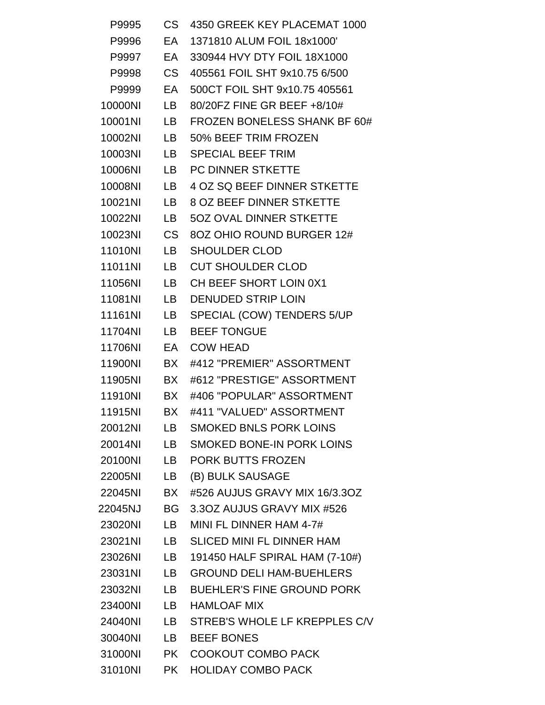| P9995   | CS        | 4350 GREEK KEY PLACEMAT 1000       |
|---------|-----------|------------------------------------|
| P9996   | EA        | 1371810 ALUM FOIL 18x1000'         |
| P9997   | EA        | 330944 HVY DTY FOIL 18X1000        |
| P9998   | CS .      | 405561 FOIL SHT 9x10.75 6/500      |
| P9999   | EA        | 500CT FOIL SHT 9x10.75 405561      |
| 10000NI | LB .      | 80/20FZ FINE GR BEEF +8/10#        |
| 10001NI | LB        | FROZEN BONELESS SHANK BF 60#       |
| 10002NI | LB        | 50% BEEF TRIM FROZEN               |
| 10003NI | LB —      | <b>SPECIAL BEEF TRIM</b>           |
| 10006NI | LB -      | <b>PC DINNER STKETTE</b>           |
| 10008NI | LB        | <b>4 OZ SQ BEEF DINNER STKETTE</b> |
| 10021NI | LB.       | <b>8 OZ BEEF DINNER STKETTE</b>    |
| 10022NI | LB.       | 50Z OVAL DINNER STKETTE            |
| 10023NI | CS .      | 8OZ OHIO ROUND BURGER 12#          |
| 11010NI | LB        | <b>SHOULDER CLOD</b>               |
| 11011NI | LB.       | <b>CUT SHOULDER CLOD</b>           |
| 11056NI | LB .      | CH BEEF SHORT LOIN 0X1             |
| 11081NI | LB        | <b>DENUDED STRIP LOIN</b>          |
| 11161NI | LB        | SPECIAL (COW) TENDERS 5/UP         |
| 11704NI | <b>LB</b> | <b>BEEF TONGUE</b>                 |
| 11706NI | EA        | <b>COW HEAD</b>                    |
| 11900NI | BX        | #412 "PREMIER" ASSORTMENT          |
| 11905NI | BX        | #612 "PRESTIGE" ASSORTMENT         |
| 11910NI | BX        | #406 "POPULAR" ASSORTMENT          |
| 11915NI | BX.       | #411 "VALUED" ASSORTMENT           |
| 20012NI | LB        | <b>SMOKED BNLS PORK LOINS</b>      |
| 20014NI | LB —      | <b>SMOKED BONE-IN PORK LOINS</b>   |
| 20100NI |           | LB PORK BUTTS FROZEN               |
| 22005NI | LB        | (B) BULK SAUSAGE                   |
| 22045NI | BX        | #526 AUJUS GRAVY MIX 16/3.3OZ      |
| 22045NJ | <b>BG</b> | 3.3OZ AUJUS GRAVY MIX #526         |
| 23020NI | LB        | MINI FL DINNER HAM 4-7#            |
| 23021NI | LB        | <b>SLICED MINI FL DINNER HAM</b>   |
| 23026NI | LB        | 191450 HALF SPIRAL HAM (7-10#)     |
| 23031NI | LB        | <b>GROUND DELI HAM-BUEHLERS</b>    |
| 23032NI | LB        | <b>BUEHLER'S FINE GROUND PORK</b>  |
| 23400NI | LB        | <b>HAMLOAF MIX</b>                 |
| 24040NI |           | LB STREB'S WHOLE LF KREPPLES C/V   |
| 30040NI | LB        | <b>BEEF BONES</b>                  |
| 31000NI | <b>PK</b> | <b>COOKOUT COMBO PACK</b>          |
| 31010NI | <b>PK</b> | <b>HOLIDAY COMBO PACK</b>          |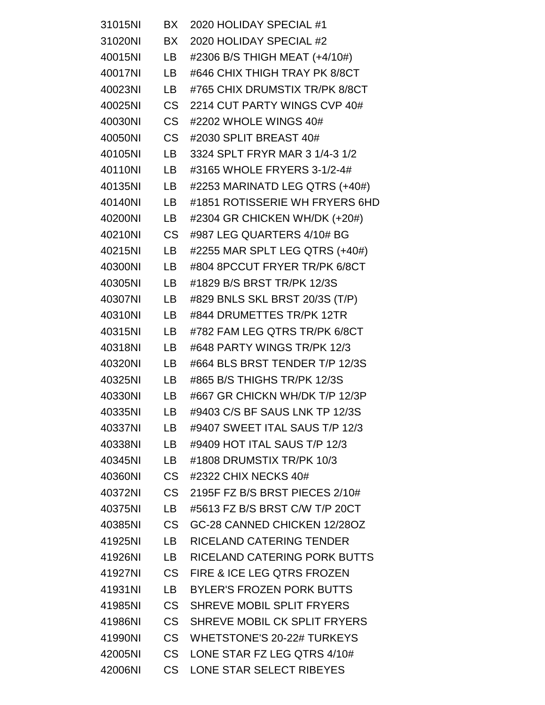| 31015NI | BX .      | 2020 HOLIDAY SPECIAL #1               |
|---------|-----------|---------------------------------------|
| 31020NI | BX        | 2020 HOLIDAY SPECIAL #2               |
| 40015NI | LB        | #2306 B/S THIGH MEAT (+4/10#)         |
| 40017NI | LB .      | #646 CHIX THIGH TRAY PK 8/8CT         |
| 40023NI | LB.       | #765 CHIX DRUMSTIX TR/PK 8/8CT        |
| 40025NI | <b>CS</b> | 2214 CUT PARTY WINGS CVP 40#          |
| 40030NI | <b>CS</b> | #2202 WHOLE WINGS 40#                 |
| 40050NI | <b>CS</b> | #2030 SPLIT BREAST 40#                |
| 40105NI | LB        | 3324 SPLT FRYR MAR 3 1/4-3 1/2        |
| 40110NI | LB        | #3165 WHOLE FRYERS 3-1/2-4#           |
| 40135NI | LB        | #2253 MARINATD LEG QTRS (+40#)        |
| 40140NI | <b>LB</b> | #1851 ROTISSERIE WH FRYERS 6HD        |
| 40200NI | <b>LB</b> | #2304 GR CHICKEN WH/DK (+20#)         |
| 40210NI | <b>CS</b> | #987 LEG QUARTERS 4/10# BG            |
| 40215NI | LB        | #2255 MAR SPLT LEG QTRS (+40#)        |
| 40300NI | LB        | #804 8PCCUT FRYER TR/PK 6/8CT         |
| 40305NI | LB        | #1829 B/S BRST TR/PK 12/3S            |
| 40307NI | <b>LB</b> | #829 BNLS SKL BRST 20/3S (T/P)        |
| 40310NI | <b>LB</b> | #844 DRUMETTES TR/PK 12TR             |
| 40315NI | <b>LB</b> | #782 FAM LEG QTRS TR/PK 6/8CT         |
| 40318NI | LB        | #648 PARTY WINGS TR/PK 12/3           |
| 40320NI | <b>LB</b> | #664 BLS BRST TENDER T/P 12/3S        |
| 40325NI | LB        | #865 B/S THIGHS TR/PK 12/3S           |
| 40330NI | <b>LB</b> | #667 GR CHICKN WH/DK T/P 12/3P        |
| 40335NI | LВ        | #9403 C/S BF SAUS LNK TP 12/3S        |
| 40337NI | LВ        | #9407 SWEET ITAL SAUS T/P 12/3        |
| 40338NI | LB.       | #9409 HOT ITAL SAUS T/P 12/3          |
| 40345NI | <b>LB</b> | #1808 DRUMSTIX TR/PK 10/3             |
| 40360NI | <b>CS</b> | #2322 CHIX NECKS 40#                  |
| 40372NI | <b>CS</b> | 2195F FZ B/S BRST PIECES 2/10#        |
| 40375NI | <b>LB</b> | #5613 FZ B/S BRST C/W T/P 20CT        |
| 40385NI | <b>CS</b> | GC-28 CANNED CHICKEN 12/28OZ          |
| 41925NI | <b>LB</b> | RICELAND CATERING TENDER              |
| 41926NI | LB        | RICELAND CATERING PORK BUTTS          |
| 41927NI | <b>CS</b> | <b>FIRE &amp; ICE LEG QTRS FROZEN</b> |
| 41931NI | <b>LB</b> | <b>BYLER'S FROZEN PORK BUTTS</b>      |
| 41985NI | <b>CS</b> | SHREVE MOBIL SPLIT FRYERS             |
| 41986NI | <b>CS</b> | SHREVE MOBIL CK SPLIT FRYERS          |
| 41990NI | <b>CS</b> | <b>WHETSTONE'S 20-22# TURKEYS</b>     |
| 42005NI | <b>CS</b> | LONE STAR FZ LEG QTRS 4/10#           |
| 42006NI | <b>CS</b> | LONE STAR SELECT RIBEYES              |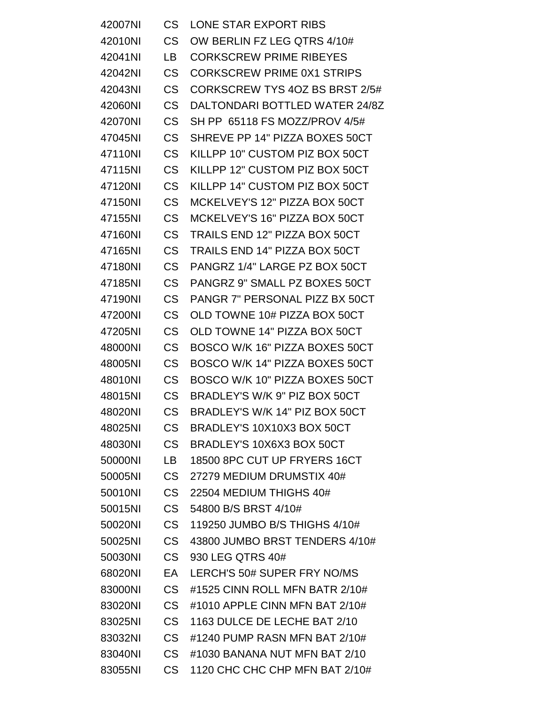| 42007NI | <b>CS</b>      | LONE STAR EXPORT RIBS                |
|---------|----------------|--------------------------------------|
| 42010NI | <b>CS</b>      | OW BERLIN FZ LEG QTRS 4/10#          |
| 42041NI | LB             | <b>CORKSCREW PRIME RIBEYES</b>       |
| 42042NI | <b>CS</b>      | <b>CORKSCREW PRIME 0X1 STRIPS</b>    |
| 42043NI | <b>CS</b>      | CORKSCREW TYS 4OZ BS BRST 2/5#       |
| 42060NI | <b>CS</b>      | DALTONDARI BOTTLED WATER 24/8Z       |
| 42070NI | <b>CS</b>      | SH PP 65118 FS MOZZ/PROV 4/5#        |
| 47045NI | <b>CS</b>      | SHREVE PP 14" PIZZA BOXES 50CT       |
| 47110NI | <b>CS</b>      | KILLPP 10" CUSTOM PIZ BOX 50CT       |
| 47115NI | <b>CS</b>      | KILLPP 12" CUSTOM PIZ BOX 50CT       |
| 47120NI | <b>CS</b>      | KILLPP 14" CUSTOM PIZ BOX 50CT       |
| 47150NI | <b>CS</b>      | MCKELVEY'S 12" PIZZA BOX 50CT        |
| 47155NI | <b>CS</b>      | MCKELVEY'S 16" PIZZA BOX 50CT        |
| 47160NI | <b>CS</b>      | <b>TRAILS END 12" PIZZA BOX 50CT</b> |
| 47165NI | <b>CS</b>      | <b>TRAILS END 14" PIZZA BOX 50CT</b> |
| 47180NI | <b>CS</b>      | PANGRZ 1/4" LARGE PZ BOX 50CT        |
| 47185NI | <b>CS</b>      | PANGRZ 9" SMALL PZ BOXES 50CT        |
| 47190NI | <b>CS</b>      | PANGR 7" PERSONAL PIZZ BX 50CT       |
| 47200NI | <b>CS</b>      | OLD TOWNE 10# PIZZA BOX 50CT         |
| 47205NI | <b>CS</b>      | OLD TOWNE 14" PIZZA BOX 50CT         |
| 48000NI | <b>CS</b>      | BOSCO W/K 16" PIZZA BOXES 50CT       |
| 48005NI | <b>CS</b>      | BOSCO W/K 14" PIZZA BOXES 50CT       |
| 48010NI | <b>CS</b>      | BOSCO W/K 10" PIZZA BOXES 50CT       |
| 48015NI | <b>CS</b>      | BRADLEY'S W/K 9" PIZ BOX 50CT        |
| 48020NI | CS             | BRADLEY'S W/K 14" PIZ BOX 50CT       |
| 48025NI | C <sub>S</sub> | BRADLEY'S 10X10X3 BOX 50CT           |
| 48030NI | <b>CS</b>      | BRADLEY'S 10X6X3 BOX 50CT            |
| 50000NI | LB.            | 18500 8PC CUT UP FRYERS 16CT         |
| 50005NI | CS .           | 27279 MEDIUM DRUMSTIX 40#            |
| 50010NI | <b>CS</b>      | 22504 MEDIUM THIGHS 40#              |
| 50015NI | <b>CS</b>      | 54800 B/S BRST 4/10#                 |
| 50020NI | <b>CS</b>      | 119250 JUMBO B/S THIGHS 4/10#        |
| 50025NI | C <sub>S</sub> | 43800 JUMBO BRST TENDERS 4/10#       |
| 50030NI | <b>CS</b>      | 930 LEG QTRS 40#                     |
| 68020NI | EA.            | LERCH'S 50# SUPER FRY NO/MS          |
| 83000NI | CS .           | #1525 CINN ROLL MFN BATR 2/10#       |
| 83020NI | CS             | #1010 APPLE CINN MFN BAT 2/10#       |
| 83025NI | CS -           | 1163 DULCE DE LECHE BAT 2/10         |
| 83032NI | CS             | #1240 PUMP RASN MFN BAT 2/10#        |
| 83040NI | CS             | #1030 BANANA NUT MFN BAT 2/10        |
| 83055NI | CS             | 1120 CHC CHC CHP MFN BAT 2/10#       |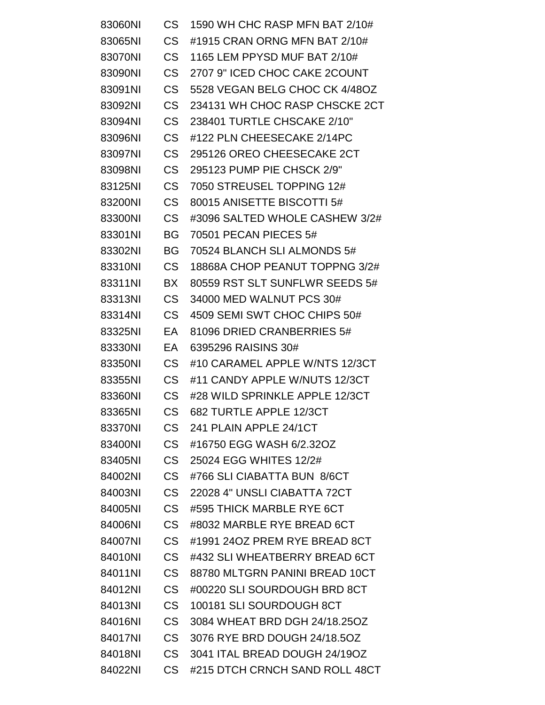| 83060NI | <b>CS</b> | 1590 WH CHC RASP MFN BAT 2/10# |
|---------|-----------|--------------------------------|
| 83065NI | <b>CS</b> | #1915 CRAN ORNG MFN BAT 2/10#  |
| 83070NI | <b>CS</b> | 1165 LEM PPYSD MUF BAT 2/10#   |
| 83090NI | <b>CS</b> | 2707 9" ICED CHOC CAKE 2COUNT  |
| 83091NI | <b>CS</b> | 5528 VEGAN BELG CHOC CK 4/48OZ |
| 83092NI | <b>CS</b> | 234131 WH CHOC RASP CHSCKE 2CT |
| 83094NI | <b>CS</b> | 238401 TURTLE CHSCAKE 2/10"    |
| 83096NI | <b>CS</b> | #122 PLN CHEESECAKE 2/14PC     |
| 83097NI | <b>CS</b> | 295126 OREO CHEESECAKE 2CT     |
| 83098NI | <b>CS</b> | 295123 PUMP PIE CHSCK 2/9"     |
| 83125NI | <b>CS</b> | 7050 STREUSEL TOPPING 12#      |
| 83200NI | <b>CS</b> | 80015 ANISETTE BISCOTTI 5#     |
| 83300NI | <b>CS</b> | #3096 SALTED WHOLE CASHEW 3/2# |
| 83301NI | <b>BG</b> | 70501 PECAN PIECES 5#          |
| 83302NI | BG        | 70524 BLANCH SLI ALMONDS 5#    |
| 83310NI | <b>CS</b> | 18868A CHOP PEANUT TOPPNG 3/2# |
| 83311NI | <b>BX</b> | 80559 RST SLT SUNFLWR SEEDS 5# |
| 83313NI | <b>CS</b> | 34000 MED WALNUT PCS 30#       |
| 83314NI | <b>CS</b> | 4509 SEMI SWT CHOC CHIPS 50#   |
| 83325NI | EA        | 81096 DRIED CRANBERRIES 5#     |
| 83330NI | EA        | 6395296 RAISINS 30#            |
| 83350NI | <b>CS</b> | #10 CARAMEL APPLE W/NTS 12/3CT |
| 83355NI | <b>CS</b> | #11 CANDY APPLE W/NUTS 12/3CT  |
| 83360NI | <b>CS</b> | #28 WILD SPRINKLE APPLE 12/3CT |
| 83365NI | CS        | 682 TURTLE APPLE 12/3CT        |
| 83370NI | <b>CS</b> | 241 PLAIN APPLE 24/1CT         |
| 83400NI | <b>CS</b> | #16750 EGG WASH 6/2.32OZ       |
| 83405NI | <b>CS</b> | 25024 EGG WHITES 12/2#         |
| 84002NI | <b>CS</b> | #766 SLI CIABATTA BUN 8/6CT    |
| 84003NI | <b>CS</b> | 22028 4" UNSLI CIABATTA 72CT   |
| 84005NI | <b>CS</b> | #595 THICK MARBLE RYE 6CT      |
| 84006NI | <b>CS</b> | #8032 MARBLE RYE BREAD 6CT     |
| 84007NI | <b>CS</b> | #1991 24OZ PREM RYE BREAD 8CT  |
| 84010NI | <b>CS</b> | #432 SLI WHEATBERRY BREAD 6CT  |
| 84011NI | <b>CS</b> | 88780 MLTGRN PANINI BREAD 10CT |
| 84012NI | <b>CS</b> | #00220 SLI SOURDOUGH BRD 8CT   |
| 84013NI | <b>CS</b> | 100181 SLI SOURDOUGH 8CT       |
| 84016NI | <b>CS</b> | 3084 WHEAT BRD DGH 24/18.25OZ  |
| 84017NI | <b>CS</b> | 3076 RYE BRD DOUGH 24/18.50Z   |
| 84018NI | <b>CS</b> | 3041 ITAL BREAD DOUGH 24/19OZ  |
| 84022NI | <b>CS</b> | #215 DTCH CRNCH SAND ROLL 48CT |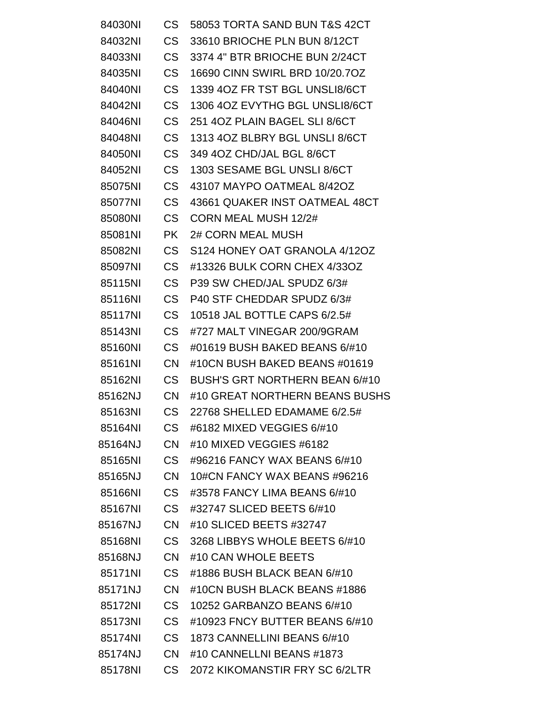| 84030NI | <b>CS</b> | 58053 TORTA SAND BUN T&S 42CT         |
|---------|-----------|---------------------------------------|
| 84032NI | <b>CS</b> | 33610 BRIOCHE PLN BUN 8/12CT          |
| 84033NI | <b>CS</b> | 3374 4" BTR BRIOCHE BUN 2/24CT        |
| 84035NI | <b>CS</b> | 16690 CINN SWIRL BRD 10/20.7OZ        |
| 84040NI | <b>CS</b> | 1339 4OZ FR TST BGL UNSLI8/6CT        |
| 84042NI | <b>CS</b> | 1306 4OZ EVYTHG BGL UNSLI8/6CT        |
| 84046NI | <b>CS</b> | 251 4OZ PLAIN BAGEL SLI 8/6CT         |
| 84048NI | <b>CS</b> | 1313 4OZ BLBRY BGL UNSLI 8/6CT        |
| 84050NI | <b>CS</b> | 349 4OZ CHD/JAL BGL 8/6CT             |
| 84052NI | <b>CS</b> | 1303 SESAME BGL UNSLI 8/6CT           |
| 85075NI | <b>CS</b> | 43107 MAYPO OATMEAL 8/42OZ            |
| 85077NI | <b>CS</b> | 43661 QUAKER INST OATMEAL 48CT        |
| 85080NI | <b>CS</b> | <b>CORN MEAL MUSH 12/2#</b>           |
| 85081NI | <b>PK</b> | <b>2# CORN MEAL MUSH</b>              |
| 85082NI | <b>CS</b> | S124 HONEY OAT GRANOLA 4/12OZ         |
| 85097NI | <b>CS</b> | #13326 BULK CORN CHEX 4/33OZ          |
| 85115NI | <b>CS</b> | P39 SW CHED/JAL SPUDZ 6/3#            |
| 85116NI | <b>CS</b> | P40 STF CHEDDAR SPUDZ 6/3#            |
| 85117NI | <b>CS</b> | 10518 JAL BOTTLE CAPS 6/2.5#          |
| 85143NI | <b>CS</b> | #727 MALT VINEGAR 200/9GRAM           |
| 85160NI | <b>CS</b> | #01619 BUSH BAKED BEANS 6/#10         |
| 85161NI | <b>CN</b> | #10CN BUSH BAKED BEANS #01619         |
| 85162NI | <b>CS</b> | <b>BUSH'S GRT NORTHERN BEAN 6/#10</b> |
| 85162NJ | <b>CN</b> | #10 GREAT NORTHERN BEANS BUSHS        |
| 85163NI | CS        | 22768 SHELLED EDAMAME 6/2.5#          |
| 85164NI | CS        | #6182 MIXED VEGGIES 6/#10             |
| 85164NJ | CN.       | #10 MIXED VEGGIES #6182               |
| 85165NI | <b>CS</b> | #96216 FANCY WAX BEANS 6/#10          |
| 85165NJ | CN -      | 10#CN FANCY WAX BEANS #96216          |
| 85166NI | <b>CS</b> | #3578 FANCY LIMA BEANS 6/#10          |
| 85167NI | <b>CS</b> | #32747 SLICED BEETS 6/#10             |
| 85167NJ | CN.       | #10 SLICED BEETS #32747               |
| 85168NI | <b>CS</b> | 3268 LIBBYS WHOLE BEETS 6/#10         |
| 85168NJ | CN.       | #10 CAN WHOLE BEETS                   |
| 85171NI | <b>CS</b> | #1886 BUSH BLACK BEAN 6/#10           |
| 85171NJ | <b>CN</b> | #10CN BUSH BLACK BEANS #1886          |
| 85172NI | CS .      | 10252 GARBANZO BEANS 6/#10            |
| 85173NI | <b>CS</b> | #10923 FNCY BUTTER BEANS 6/#10        |
| 85174NI | CS .      | 1873 CANNELLINI BEANS 6/#10           |
| 85174NJ | CN.       | #10 CANNELLNI BEANS #1873             |
| 85178NI | CS .      | 2072 KIKOMANSTIR FRY SC 6/2LTR        |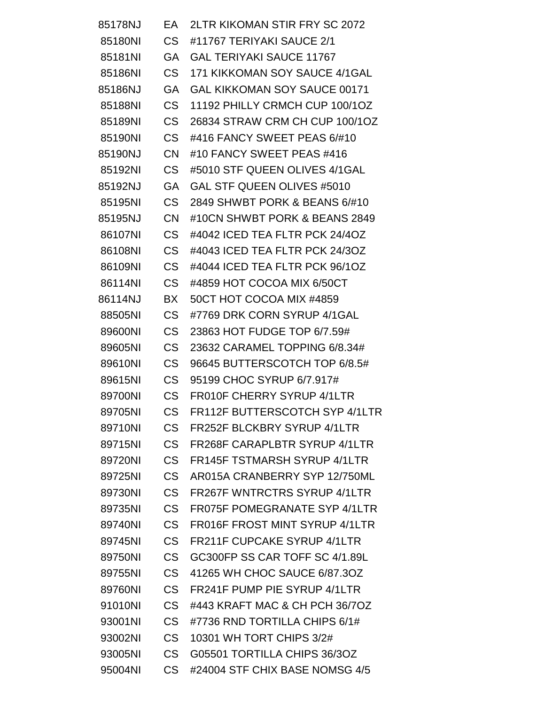| 85178NJ | EA.            | 2LTR KIKOMAN STIR FRY SC 2072        |
|---------|----------------|--------------------------------------|
| 85180NI | CS .           | #11767 TERIYAKI SAUCE 2/1            |
| 85181NI | GA             | <b>GAL TERIYAKI SAUCE 11767</b>      |
| 85186NI | CS             | 171 KIKKOMAN SOY SAUCE 4/1GAL        |
| 85186NJ | <b>GA</b>      | <b>GAL KIKKOMAN SOY SAUCE 00171</b>  |
| 85188NI | CS             | 11192 PHILLY CRMCH CUP 100/1OZ       |
| 85189NI | CS             | 26834 STRAW CRM CH CUP 100/1OZ       |
| 85190NI | CS             | #416 FANCY SWEET PEAS 6/#10          |
| 85190NJ | <b>CN</b>      | #10 FANCY SWEET PEAS #416            |
| 85192NI | <b>CS</b>      | #5010 STF QUEEN OLIVES 4/1GAL        |
| 85192NJ | GA             | GAL STF QUEEN OLIVES #5010           |
| 85195NI | CS             | 2849 SHWBT PORK & BEANS 6/#10        |
| 85195NJ | <b>CN</b>      | #10CN SHWBT PORK & BEANS 2849        |
| 86107NI | <b>CS</b>      | #4042 ICED TEA FLTR PCK 24/4OZ       |
| 86108NI | <b>CS</b>      | #4043 ICED TEA FLTR PCK 24/3OZ       |
| 86109NI | <b>CS</b>      | #4044 ICED TEA FLTR PCK 96/1OZ       |
| 86114NI | <b>CS</b>      | #4859 HOT COCOA MIX 6/50CT           |
| 86114NJ | BX             | 50CT HOT COCOA MIX #4859             |
| 88505NI | <b>CS</b>      | #7769 DRK CORN SYRUP 4/1GAL          |
| 89600NI | <b>CS</b>      | 23863 HOT FUDGE TOP 6/7.59#          |
| 89605NI | <b>CS</b>      | 23632 CARAMEL TOPPING 6/8.34#        |
| 89610NI | <b>CS</b>      | 96645 BUTTERSCOTCH TOP 6/8.5#        |
| 89615NI | <b>CS</b>      | 95199 CHOC SYRUP 6/7.917#            |
| 89700NI | <b>CS</b>      | FR010F CHERRY SYRUP 4/1LTR           |
| 89705NI | <b>CS</b>      | FR112F BUTTERSCOTCH SYP 4/1LTR       |
| 89710NI | <b>CS</b>      | FR252F BLCKBRY SYRUP 4/1LTR          |
| 89715NI | C <sub>S</sub> | FR268F CARAPLBTR SYRUP 4/1LTR        |
| 89720NI | <b>CS</b>      | <b>FR145F TSTMARSH SYRUP 4/1LTR</b>  |
| 89725NI | <b>CS</b>      | AR015A CRANBERRY SYP 12/750ML        |
| 89730NI | <b>CS</b>      | <b>FR267F WNTRCTRS SYRUP 4/1LTR</b>  |
| 89735NI | <b>CS</b>      | <b>FR075F POMEGRANATE SYP 4/1LTR</b> |
| 89740NI | <b>CS</b>      | FR016F FROST MINT SYRUP 4/1LTR       |
| 89745NI | <b>CS</b>      | <b>FR211F CUPCAKE SYRUP 4/1LTR</b>   |
| 89750NI | <b>CS</b>      | GC300FP SS CAR TOFF SC 4/1.89L       |
| 89755NI | <b>CS</b>      | 41265 WH CHOC SAUCE 6/87.30Z         |
| 89760NI | <b>CS</b>      | FR241F PUMP PIE SYRUP 4/1LTR         |
| 91010NI | <b>CS</b>      | #443 KRAFT MAC & CH PCH 36/7OZ       |
| 93001NI | <b>CS</b>      | #7736 RND TORTILLA CHIPS 6/1#        |
| 93002NI | <b>CS</b>      | 10301 WH TORT CHIPS 3/2#             |
| 93005NI | <b>CS</b>      | G05501 TORTILLA CHIPS 36/3OZ         |
| 95004NI | <b>CS</b>      | #24004 STF CHIX BASE NOMSG 4/5       |